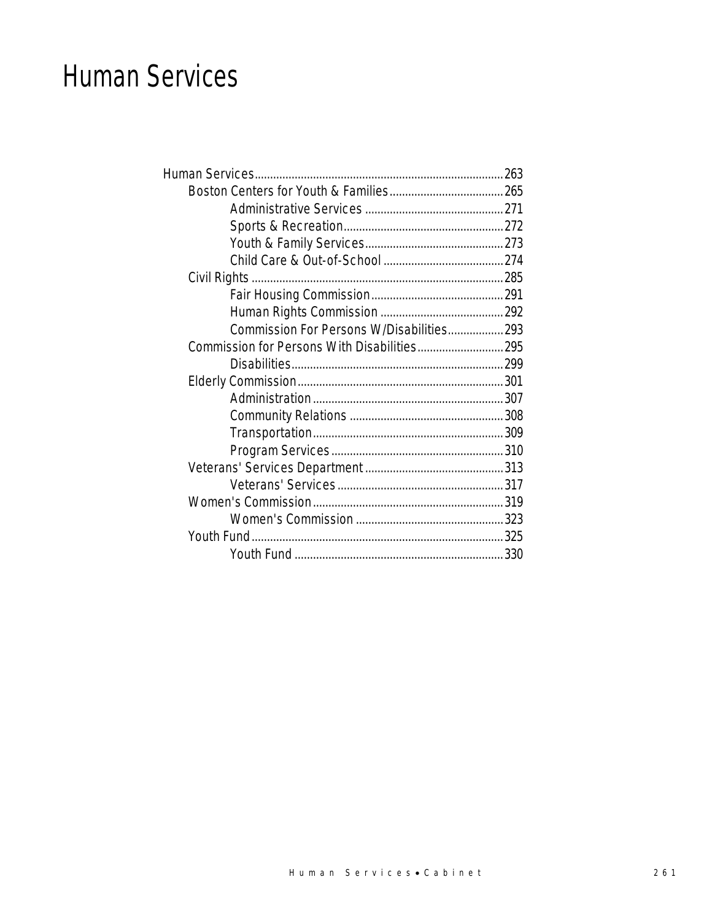### Human Services

| Commission For Persons W/Disabilities 293 |  |
|-------------------------------------------|--|
|                                           |  |
|                                           |  |
|                                           |  |
|                                           |  |
|                                           |  |
|                                           |  |
|                                           |  |
|                                           |  |
|                                           |  |
|                                           |  |
|                                           |  |
|                                           |  |
|                                           |  |
|                                           |  |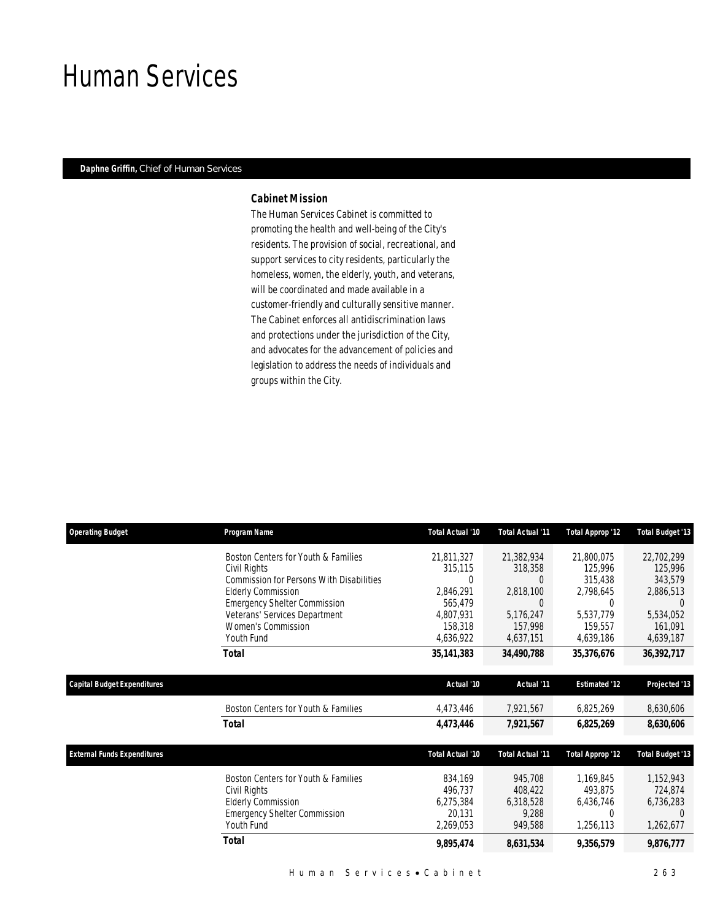### Human Services

### *Daphne Griffin, Chief of Human Services*

#### *Cabinet Mission*

The Human Services Cabinet is committed to promoting the health and well-being of the City's residents. The provision of social, recreational, and support services to city residents, particularly the homeless, women, the elderly, youth, and veterans, will be coordinated and made available in a customer-friendly and culturally sensitive manner. The Cabinet enforces all antidiscrimination laws and protections under the jurisdiction of the City, and advocates for the advancement of policies and legislation to address the needs of individuals and groups within the City.

| <b>Operating Budget</b>            | Program Name                                    | Total Actual '10 | <b>Total Actual '11</b> | Total Approp '12     | <b>Total Budget '13</b> |
|------------------------------------|-------------------------------------------------|------------------|-------------------------|----------------------|-------------------------|
|                                    | Boston Centers for Youth & Families             | 21,811,327       | 21,382,934              | 21,800,075           | 22,702,299              |
|                                    | Civil Rights                                    | 315,115          | 318,358                 | 125,996              | 125,996                 |
|                                    | <b>Commission for Persons With Disabilities</b> | 0                |                         | 315,438              | 343,579                 |
|                                    | <b>Elderly Commission</b>                       | 2,846,291        | 2,818,100               | 2,798,645            | 2,886,513               |
|                                    | <b>Emergency Shelter Commission</b>             | 565,479          | 0                       | 0                    | $\left( \right)$        |
|                                    | Veterans' Services Department                   | 4,807,931        | 5,176,247               | 5.537.779            | 5,534,052               |
|                                    | <b>Women's Commission</b><br>Youth Fund         | 158,318          | 157,998                 | 159,557              | 161,091                 |
|                                    |                                                 | 4,636,922        | 4,637,151               | 4,639,186            | 4,639,187               |
|                                    | Total                                           | 35,141,383       | 34,490,788              | 35,376,676           | 36,392,717              |
| Capital Budget Expenditures        |                                                 | Actual '10       | Actual '11              | <b>Estimated '12</b> | Projected '13           |
|                                    | Boston Centers for Youth & Families             | 4,473,446        | 7,921,567               | 6,825,269            | 8,630,606               |
|                                    | <b>Total</b>                                    | 4,473,446        | 7,921,567               | 6,825,269            | 8,630,606               |
| <b>External Funds Expenditures</b> |                                                 | Total Actual '10 | Total Actual '11        | Total Approp '12     | <b>Total Budget '13</b> |
|                                    | Boston Centers for Youth & Families             | 834,169          | 945,708                 | 1,169,845            | 1,152,943               |
|                                    | Civil Rights                                    | 496,737          | 408,422                 | 493,875              | 724,874                 |
|                                    | <b>Elderly Commission</b>                       | 6,275,384        | 6,318,528               | 6,436,746            | 6,736,283               |
|                                    | <b>Emergency Shelter Commission</b>             | 20,131           | 9,288                   | 0                    |                         |
|                                    | Youth Fund                                      | 2,269,053        | 949,588                 | 1,256,113            | 1,262,677               |
|                                    | <b>Total</b>                                    | 9,895,474        | 8,631,534               | 9,356,579            | 9,876,777               |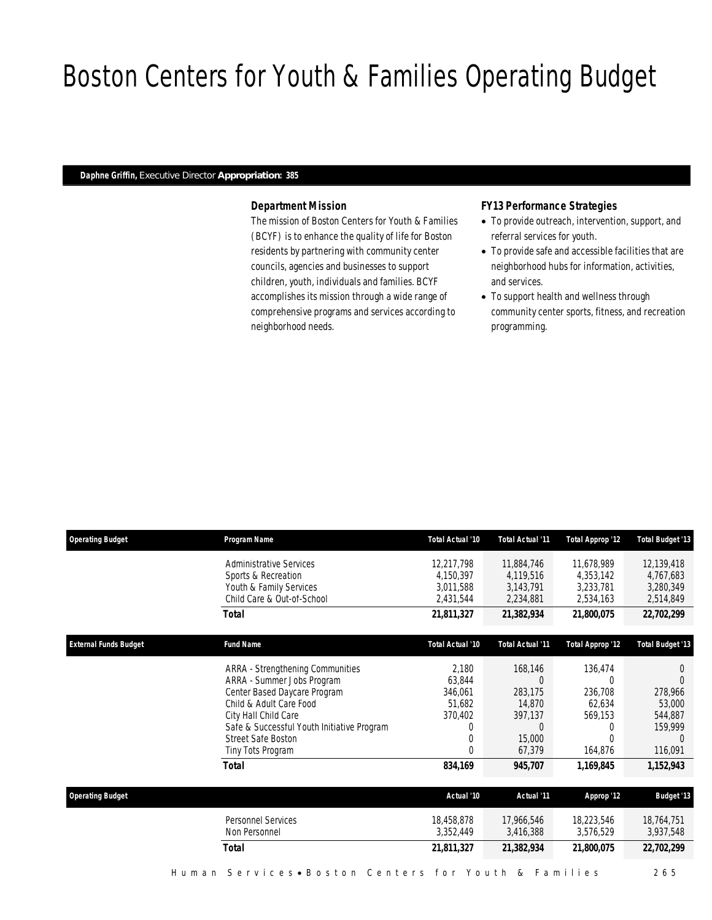# Boston Centers for Youth & Families Operating Budget

### *Daphne Griffin, Executive Director Appropriation: 385*

### *Department Mission*

The mission of Boston Centers for Youth & Families (BCYF) is to enhance the quality of life for Boston residents by partnering with community center councils, agencies and businesses to support children, youth, individuals and families. BCYF accomplishes its mission through a wide range of comprehensive programs and services according to neighborhood needs.

### *FY13 Performance Strategies*

- To provide outreach, intervention, support, and referral services for youth.
- To provide safe and accessible facilities that are neighborhood hubs for information, activities, and services.
- To support health and wellness through community center sports, fitness, and recreation programming.

| <b>Operating Budget</b>      | Program Name                                 | Total Actual '10 | <b>Total Actual '11</b> | <b>Total Approp '12</b> | <b>Total Budget '13</b> |
|------------------------------|----------------------------------------------|------------------|-------------------------|-------------------------|-------------------------|
|                              | <b>Administrative Services</b>               | 12,217,798       | 11,884,746              | 11,678,989              | 12,139,418              |
|                              | Sports & Recreation                          | 4.150.397        | 4.119.516               | 4.353.142               | 4,767,683               |
|                              | Youth & Family Services                      | 3,011,588        | 3,143,791               | 3,233,781               | 3,280,349               |
|                              | Child Care & Out-of-School                   | 2,431,544        | 2,234,881               | 2,534,163               | 2,514,849               |
|                              | <b>Total</b>                                 | 21,811,327       | 21,382,934              | 21,800,075              | 22,702,299              |
| <b>External Funds Budget</b> | <b>Fund Name</b>                             | Total Actual '10 | <b>Total Actual '11</b> | <b>Total Approp '12</b> | Total Budget '13        |
|                              | ARRA - Strengthening Communities             | 2,180            | 168,146                 | 136,474                 | $\left( \right)$        |
|                              | ARRA - Summer Jobs Program                   | 63,844           | $\Omega$                | $\Omega$                | $\Omega$                |
|                              | Center Based Daycare Program                 | 346.061          | 283.175                 | 236,708                 | 278,966                 |
|                              | Child & Adult Care Food                      | 51,682           | 14,870                  | 62,634                  | 53,000                  |
|                              | City Hall Child Care                         | 370,402          | 397,137                 | 569,153                 | 544,887                 |
|                              | Safe & Successful Youth Initiative Program   | 0                | $\Omega$                | 0                       | 159,999                 |
|                              | <b>Street Safe Boston</b>                    | 0                | 15,000                  | 0                       |                         |
|                              | Tiny Tots Program                            | $\Omega$         | 67,379                  | 164,876                 | 116,091                 |
|                              | <b>Total</b>                                 | 834,169          | 945,707                 | 1,169,845               | 1,152,943               |
| <b>Operating Budget</b>      |                                              | Actual '10       | Actual '11              | Approp '12              | <b>Budget '13</b>       |
|                              | <b>Personnel Services</b>                    | 18,458,878       | 17,966,546              | 18,223,546              | 18,764,751              |
|                              | Non Personnel                                | 3,352,449        | 3,416,388               | 3,576,529               | 3,937,548               |
|                              | <b>Total</b>                                 | 21,811,327       | 21,382,934              | 21,800,075              | 22,702,299              |
|                              | Services • Boston Centers for Youth<br>Human |                  | &                       | Families                | 2 6 5                   |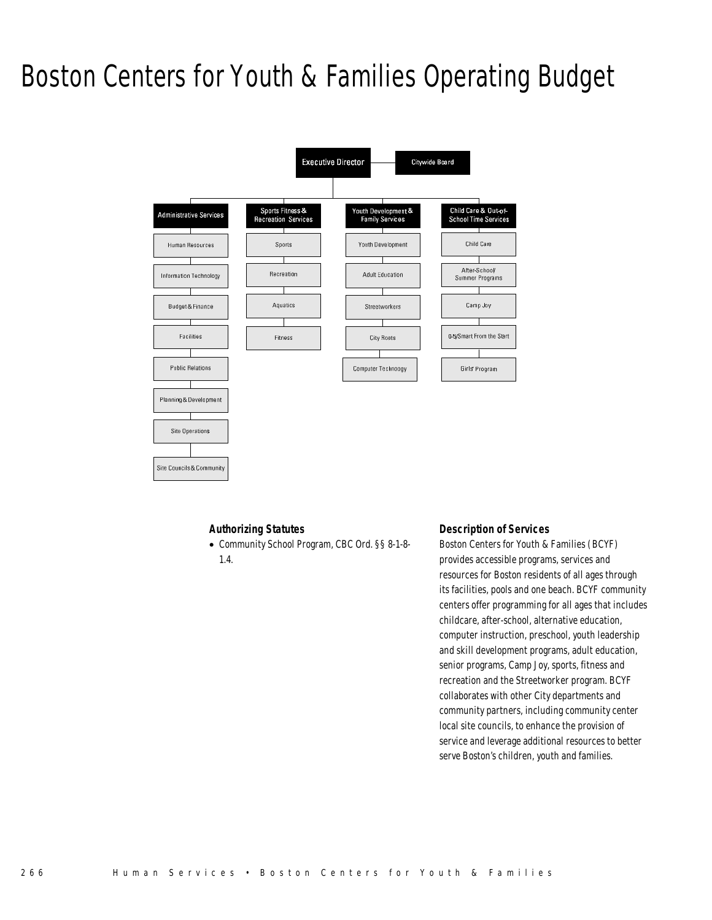### Boston Centers for Youth & Families Operating Budget



### *Authorizing Statutes*

• Community School Program, CBC Ord. §§ 8-1-8-

1.4.

Site Councils & Community

### *Description of Services*

Boston Centers for Youth & Families (BCYF) provides accessible programs, services and resources for Boston residents of all ages through its facilities, pools and one beach. BCYF community centers offer programming for all ages that includes childcare, after-school, alternative education, computer instruction, preschool, youth leadership and skill development programs, adult education, senior programs, Camp Joy, sports, fitness and recreation and the Streetworker program. BCYF collaborates with other City departments and community partners, including community center local site councils, to enhance the provision of service and leverage additional resources to better serve Boston's children, youth and families.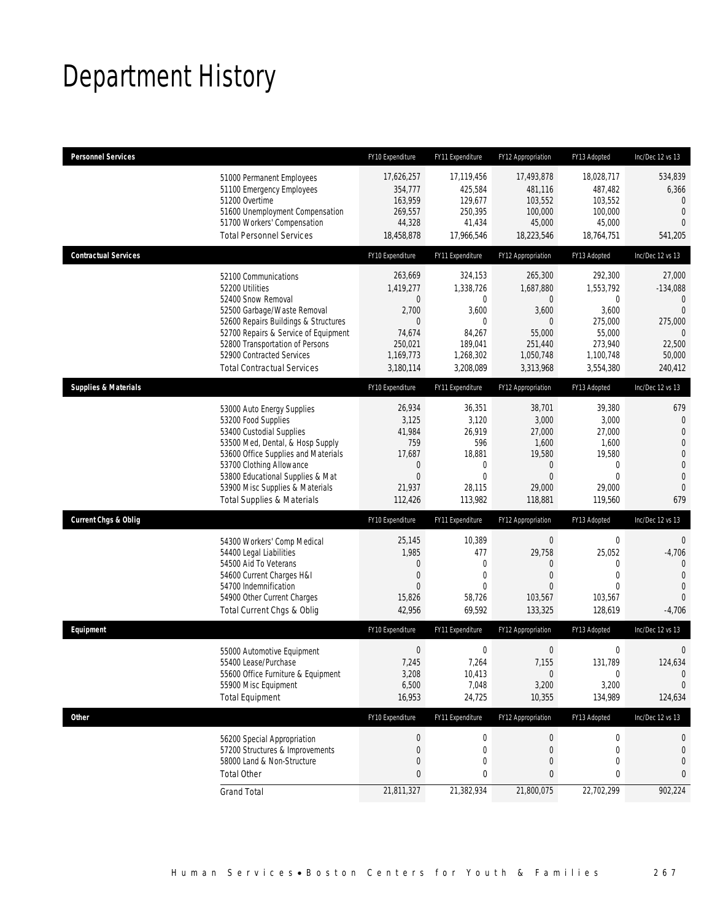# Department History

| <b>Personnel Services</b>                                                                                                                                                                                                                                                                            | FY10 Expenditure                                                                       | FY11 Expenditure                                                                                 | FY12 Appropriation                                                                                               | FY13 Adopted                                                                                           | Inc/Dec 12 vs 13                                                                                                                |
|------------------------------------------------------------------------------------------------------------------------------------------------------------------------------------------------------------------------------------------------------------------------------------------------------|----------------------------------------------------------------------------------------|--------------------------------------------------------------------------------------------------|------------------------------------------------------------------------------------------------------------------|--------------------------------------------------------------------------------------------------------|---------------------------------------------------------------------------------------------------------------------------------|
| 51000 Permanent Employees<br>51100 Emergency Employees<br>51200 Overtime<br>51600 Unemployment Compensation<br>51700 Workers' Compensation<br><b>Total Personnel Services</b>                                                                                                                        | 17,626,257<br>354,777<br>163,959<br>269,557<br>44,328<br>18,458,878                    | 17,119,456<br>425,584<br>129,677<br>250,395<br>41,434<br>17,966,546                              | 17,493,878<br>481,116<br>103,552<br>100,000<br>45,000<br>18,223,546                                              | 18,028,717<br>487,482<br>103,552<br>100,000<br>45,000<br>18,764,751                                    | 534,839<br>6,366<br>$\Omega$<br>$\overline{0}$<br>$\Omega$<br>541,205                                                           |
| <b>Contractual Services</b>                                                                                                                                                                                                                                                                          | FY10 Expenditure                                                                       | FY11 Expenditure                                                                                 | FY12 Appropriation                                                                                               | FY13 Adopted                                                                                           | Inc/Dec 12 vs 13                                                                                                                |
| 52100 Communications<br>52200 Utilities<br>52400 Snow Removal<br>52500 Garbage/Waste Removal<br>52600 Repairs Buildings & Structures<br>52700 Repairs & Service of Equipment<br>52800 Transportation of Persons<br>52900 Contracted Services<br><b>Total Contractual Services</b>                    | 263,669<br>1,419,277<br>0<br>2,700<br>0<br>74,674<br>250,021<br>1,169,773<br>3,180,114 | 324,153<br>1,338,726<br>0<br>3,600<br>0<br>84,267<br>189,041<br>1,268,302<br>3,208,089           | 265,300<br>1,687,880<br>$\overline{0}$<br>3,600<br>$\overline{0}$<br>55,000<br>251,440<br>1,050,748<br>3,313,968 | 292,300<br>1,553,792<br>$\mathbf 0$<br>3,600<br>275,000<br>55,000<br>273,940<br>1,100,748<br>3,554,380 | 27,000<br>$-134,088$<br>$\mathbf{0}$<br>$\Omega$<br>275,000<br>$\Omega$<br>22,500<br>50,000<br>240,412                          |
| <b>Supplies &amp; Materials</b>                                                                                                                                                                                                                                                                      | FY10 Expenditure                                                                       | FY11 Expenditure                                                                                 | FY12 Appropriation                                                                                               | FY13 Adopted                                                                                           | Inc/Dec 12 vs 13                                                                                                                |
| 53000 Auto Energy Supplies<br>53200 Food Supplies<br>53400 Custodial Supplies<br>53500 Med, Dental, & Hosp Supply<br>53600 Office Supplies and Materials<br>53700 Clothing Allowance<br>53800 Educational Supplies & Mat<br>53900 Misc Supplies & Materials<br><b>Total Supplies &amp; Materials</b> | 26,934<br>3,125<br>41,984<br>759<br>17,687<br>0<br>$\overline{0}$<br>21,937<br>112,426 | 36,351<br>3,120<br>26,919<br>596<br>18,881<br>$\mathbf 0$<br>$\overline{0}$<br>28,115<br>113,982 | 38,701<br>3,000<br>27,000<br>1,600<br>19,580<br>$\theta$<br>$\overline{0}$<br>29,000<br>118,881                  | 39,380<br>3,000<br>27,000<br>1,600<br>19,580<br>0<br>$\Omega$<br>29,000<br>119,560                     | 679<br>$\boldsymbol{0}$<br>$\mathbf{0}$<br>$\overline{0}$<br>$\mathbf 0$<br>$\mathbf{0}$<br>$\mathbf{0}$<br>$\mathbf{0}$<br>679 |
| <b>Current Chgs &amp; Oblig</b>                                                                                                                                                                                                                                                                      | FY10 Expenditure                                                                       | FY11 Expenditure                                                                                 | FY12 Appropriation                                                                                               | FY13 Adopted                                                                                           | Inc/Dec 12 vs 13                                                                                                                |
| 54300 Workers' Comp Medical<br>54400 Legal Liabilities<br>54500 Aid To Veterans<br>54600 Current Charges H&I<br>54700 Indemnification<br>54900 Other Current Charges<br>Total Current Chgs & Oblig                                                                                                   | 25,145<br>1,985<br>0<br>$\overline{0}$<br>$\Omega$<br>15,826<br>42,956                 | 10,389<br>477<br>0<br>$\overline{0}$<br>$\theta$<br>58,726<br>69,592                             | $\bf 0$<br>29,758<br>0<br>$\overline{0}$<br>$\Omega$<br>103,567<br>133,325                                       | $\boldsymbol{0}$<br>25,052<br>$\mathbf 0$<br>$\mathbf 0$<br>$\Omega$<br>103,567<br>128,619             | $\overline{0}$<br>$-4,706$<br>$\mathbf{0}$<br>$\overline{0}$<br>0<br>$\Omega$<br>$-4,706$                                       |
| Equipment                                                                                                                                                                                                                                                                                            | FY10 Expenditure                                                                       | FY11 Expenditure                                                                                 | FY12 Appropriation                                                                                               | FY13 Adopted                                                                                           | Inc/Dec 12 vs 13                                                                                                                |
| 55000 Automotive Equipment<br>55400 Lease/Purchase<br>55600 Office Furniture & Equipment<br>55900 Misc Equipment<br><b>Total Equipment</b>                                                                                                                                                           | $\boldsymbol{0}$<br>7,245<br>3,208<br>6,500<br>16,953                                  | $\mathbf 0$<br>7,264<br>10,413<br>7,048<br>24,725                                                | $\boldsymbol{0}$<br>7,155<br>$\theta$<br>3,200<br>10,355                                                         | $\boldsymbol{0}$<br>131,789<br>0<br>3,200<br>134,989                                                   | $\mathbf 0$<br>124,634<br>$\theta$<br>$\theta$<br>124,634                                                                       |
| <b>Other</b>                                                                                                                                                                                                                                                                                         | FY10 Expenditure                                                                       | FY11 Expenditure                                                                                 | FY12 Appropriation                                                                                               | FY13 Adopted                                                                                           | Inc/Dec 12 vs 13                                                                                                                |
| 56200 Special Appropriation<br>57200 Structures & Improvements<br>58000 Land & Non-Structure<br><b>Total Other</b>                                                                                                                                                                                   | $\boldsymbol{0}$<br>0<br>0<br>0                                                        | $\boldsymbol{0}$<br>$\mathbf 0$<br>0<br>0                                                        | $\theta$<br>$\theta$<br>$\mathbf 0$<br>$\bf{0}$                                                                  | 0<br>0<br>$\mathbf 0$<br>0                                                                             | 0<br>0<br>0<br>0                                                                                                                |
| <b>Grand Total</b>                                                                                                                                                                                                                                                                                   | 21,811,327                                                                             | 21,382,934                                                                                       | 21,800,075                                                                                                       | 22,702,299                                                                                             | 902,224                                                                                                                         |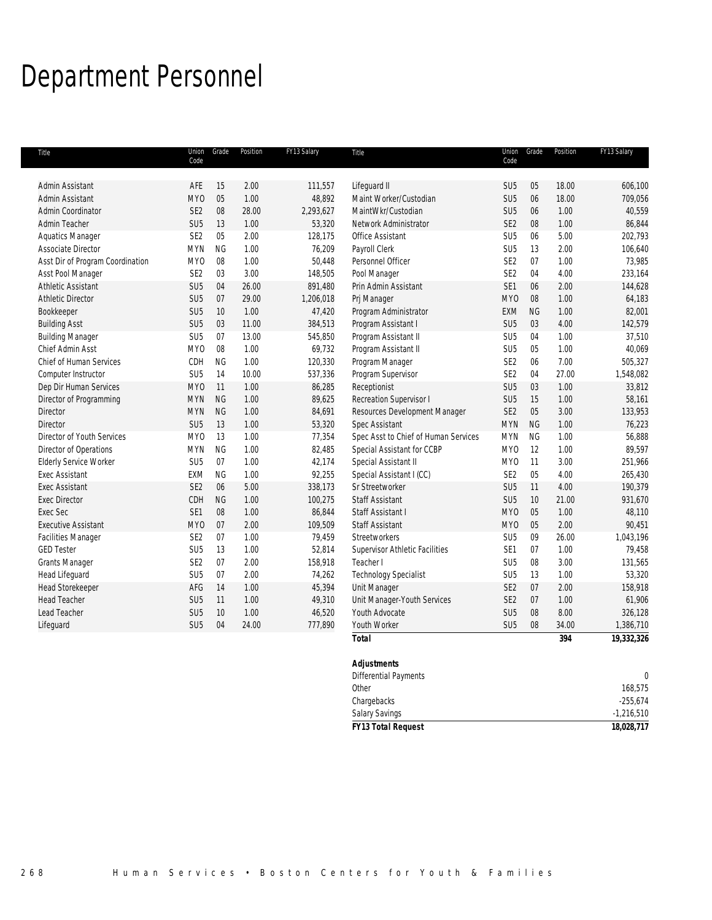# Department Personnel

| Title                            | Code            | Union Grade | Position | FY13 Salary | Title                                | Union<br>Code   | Grade     | Position | FY13 Salary  |
|----------------------------------|-----------------|-------------|----------|-------------|--------------------------------------|-----------------|-----------|----------|--------------|
|                                  |                 |             |          |             |                                      |                 |           |          |              |
| Admin Assistant                  | AFE             | 15          | 2.00     | 111,557     | Lifequard II                         | SU <sub>5</sub> | 05        | 18.00    | 606,100      |
| Admin Assistant                  | MY <sub>0</sub> | 05          | 1.00     | 48,892      | Maint Worker/Custodian               | SU <sub>5</sub> | 06        | 18.00    | 709,056      |
| Admin Coordinator                | SE <sub>2</sub> | 08          | 28.00    | 2,293,627   | MaintWkr/Custodian                   | SU <sub>5</sub> | 06        | 1.00     | 40,559       |
| Admin Teacher                    | SU <sub>5</sub> | 13          | 1.00     | 53,320      | Network Administrator                | SE <sub>2</sub> | 08        | 1.00     | 86,844       |
| <b>Aquatics Manager</b>          | SE <sub>2</sub> | 05          | 2.00     | 128,175     | <b>Office Assistant</b>              | SU <sub>5</sub> | 06        | 5.00     | 202,793      |
| Associate Director               | <b>MYN</b>      | <b>NG</b>   | 1.00     | 76,209      | Payroll Clerk                        | SU <sub>5</sub> | 13        | 2.00     | 106,640      |
| Asst Dir of Program Coordination | MY <sub>0</sub> | 08          | 1.00     | 50,448      | Personnel Officer                    | SE <sub>2</sub> | 07        | 1.00     | 73,985       |
| Asst Pool Manager                | SE <sub>2</sub> | 03          | 3.00     | 148,505     | Pool Manager                         | SE <sub>2</sub> | 04        | 4.00     | 233,164      |
| <b>Athletic Assistant</b>        | SU <sub>5</sub> | 04          | 26.00    | 891,480     | Prin Admin Assistant                 | SE <sub>1</sub> | 06        | 2.00     | 144,628      |
| <b>Athletic Director</b>         | SU <sub>5</sub> | 07          | 29.00    | 1,206,018   | Pri Manager                          | MY <sub>0</sub> | 08        | 1.00     | 64,183       |
| Bookkeeper                       | SU <sub>5</sub> | 10          | 1.00     | 47,420      | Program Administrator                | EXM             | <b>NG</b> | 1.00     | 82,001       |
| <b>Building Asst</b>             | SU <sub>5</sub> | 03          | 11.00    | 384,513     | Program Assistant I                  | SU <sub>5</sub> | 03        | 4.00     | 142,579      |
| <b>Building Manager</b>          | SU <sub>5</sub> | 07          | 13.00    | 545,850     | Program Assistant II                 | SU <sub>5</sub> | 04        | 1.00     | 37,510       |
| <b>Chief Admin Asst</b>          | MY <sub>0</sub> | 08          | 1.00     | 69,732      | Program Assistant II                 | SU <sub>5</sub> | 05        | 1.00     | 40,069       |
| <b>Chief of Human Services</b>   | CDH             | <b>NG</b>   | 1.00     | 120,330     | Program Manager                      | SE <sub>2</sub> | 06        | 7.00     | 505,327      |
| Computer Instructor              | SU <sub>5</sub> | 14          | 10.00    | 537,336     | Program Supervisor                   | SE <sub>2</sub> | 04        | 27.00    | 1,548,082    |
| Dep Dir Human Services           | <b>MYO</b>      | 11          | 1.00     | 86,285      | Receptionist                         | SU <sub>5</sub> | 03        | 1.00     | 33,812       |
| Director of Programming          | <b>MYN</b>      | <b>NG</b>   | 1.00     | 89,625      | Recreation Supervisor I              | SU <sub>5</sub> | 15        | 1.00     | 58,161       |
| Director                         | <b>MYN</b>      | <b>NG</b>   | 1.00     | 84,691      | Resources Development Manager        | SE <sub>2</sub> | 05        | 3.00     | 133,953      |
| <b>Director</b>                  | SU <sub>5</sub> | 13          | 1.00     | 53,320      | Spec Assistant                       | <b>MYN</b>      | <b>NG</b> | 1.00     | 76,223       |
| Director of Youth Services       | MY <sub>0</sub> | 13          | 1.00     | 77,354      | Spec Asst to Chief of Human Services | <b>MYN</b>      | <b>NG</b> | 1.00     | 56,888       |
| Director of Operations           | <b>MYN</b>      | <b>NG</b>   | 1.00     | 82,485      | Special Assistant for CCBP           | MY <sub>0</sub> | 12        | 1.00     | 89,597       |
| <b>Elderly Service Worker</b>    | SU <sub>5</sub> | 07          | 1.00     | 42,174      | Special Assistant II                 | MY <sub>0</sub> | 11        | 3.00     | 251,966      |
| <b>Exec Assistant</b>            | <b>EXM</b>      | <b>NG</b>   | 1.00     | 92,255      | Special Assistant I (CC)             | SE <sub>2</sub> | 05        | 4.00     | 265,430      |
| <b>Exec Assistant</b>            | SE <sub>2</sub> | 06          | 5.00     | 338,173     | Sr Streetworker                      | SU <sub>5</sub> | 11        | 4.00     | 190,379      |
| <b>Exec Director</b>             | CDH             | NG          | 1.00     | 100,275     | Staff Assistant                      | SU <sub>5</sub> | 10        | 21.00    | 931,670      |
| <b>Exec Sec</b>                  | SE1             | 08          | 1.00     | 86,844      | Staff Assistant I                    | <b>MYO</b>      | 05        | 1.00     | 48,110       |
| <b>Executive Assistant</b>       | <b>MYO</b>      | 07          | 2.00     | 109,509     | <b>Staff Assistant</b>               | MY <sub>0</sub> | 05        | 2.00     | 90,451       |
| <b>Facilities Manager</b>        | SE <sub>2</sub> | 07          | 1.00     | 79,459      | Streetworkers                        | SU <sub>5</sub> | 09        | 26.00    | 1,043,196    |
| <b>GED Tester</b>                | SU <sub>5</sub> | 13          | 1.00     | 52,814      | Supervisor Athletic Facilities       | SE <sub>1</sub> | 07        | 1.00     | 79,458       |
| <b>Grants Manager</b>            | SE <sub>2</sub> | 07          | 2.00     | 158,918     | Teacher I                            | SU <sub>5</sub> | 08        | 3.00     | 131,565      |
| Head Lifeguard                   | SU <sub>5</sub> | 07          | 2.00     | 74,262      | <b>Technology Specialist</b>         | SU <sub>5</sub> | 13        | 1.00     | 53,320       |
| <b>Head Storekeeper</b>          | AFG             | 14          | 1.00     | 45,394      | Unit Manager                         | SE <sub>2</sub> | 07        | 2.00     | 158,918      |
| <b>Head Teacher</b>              | SU <sub>5</sub> | 11          | 1.00     | 49,310      | Unit Manager-Youth Services          | SE <sub>2</sub> | 07        | 1.00     | 61,906       |
| Lead Teacher                     | SU <sub>5</sub> | 10          | 1.00     | 46,520      | Youth Advocate                       | SU <sub>5</sub> | $08\,$    | 8.00     | 326,128      |
| Lifeguard                        | SU <sub>5</sub> | 04          | 24.00    | 777,890     | Youth Worker                         | SU <sub>5</sub> | 08        | 34.00    | 1,386,710    |
|                                  |                 |             |          |             | <b>Total</b>                         |                 |           | 394      | 19,332,326   |
|                                  |                 |             |          |             | <b>Adjustments</b>                   |                 |           |          |              |
|                                  |                 |             |          |             | <b>Differential Payments</b>         |                 |           |          | $\mathbf{0}$ |

| <b>FY13 Total Request</b> | 18,028,717 |
|---------------------------|------------|
| Salary Savings            | 1,216,510  |
| Chargebacks               | $-255,674$ |
| Other                     | 168,575    |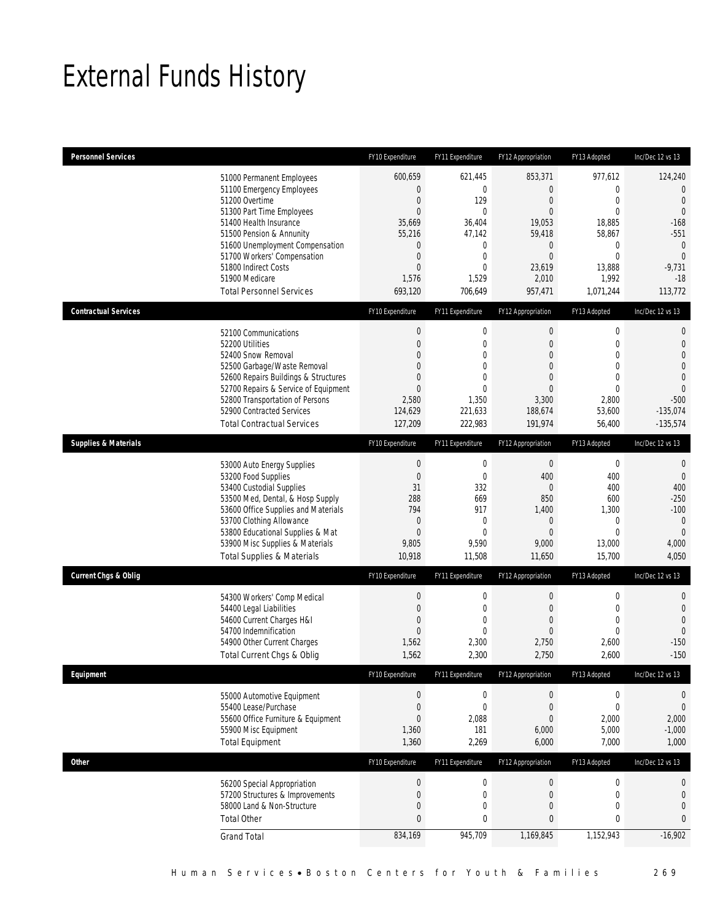# External Funds History

| <b>Personnel Services</b>       |                                                                                                                                                                                                                                                                                                            | FY10 Expenditure                                                                                                                                               | FY11 Expenditure                                                                                                            | FY12 Appropriation                                                                                                                               | FY13 Adopted                                                                                                                    | Inc/Dec 12 vs 13                                                                                                                           |
|---------------------------------|------------------------------------------------------------------------------------------------------------------------------------------------------------------------------------------------------------------------------------------------------------------------------------------------------------|----------------------------------------------------------------------------------------------------------------------------------------------------------------|-----------------------------------------------------------------------------------------------------------------------------|--------------------------------------------------------------------------------------------------------------------------------------------------|---------------------------------------------------------------------------------------------------------------------------------|--------------------------------------------------------------------------------------------------------------------------------------------|
|                                 | 51000 Permanent Employees<br>51100 Emergency Employees<br>51200 Overtime<br>51300 Part Time Employees<br>51400 Health Insurance<br>51500 Pension & Annunity<br>51600 Unemployment Compensation<br>51700 Workers' Compensation<br>51800 Indirect Costs<br>51900 Medicare<br><b>Total Personnel Services</b> | 600,659<br>$\boldsymbol{0}$<br>$\boldsymbol{0}$<br>$\mathbf{0}$<br>35,669<br>55,216<br>$\mathbf 0$<br>$\boldsymbol{0}$<br>$\boldsymbol{0}$<br>1,576<br>693,120 | 621,445<br>$\mathbf 0$<br>129<br>$\mathbf{0}$<br>36,404<br>47,142<br>0<br>$\mathbf 0$<br>$\overline{0}$<br>1,529<br>706,649 | 853,371<br>$\boldsymbol{0}$<br>$\mathbf{0}$<br>$\mathbf{0}$<br>19,053<br>59,418<br>$\mathbf 0$<br>$\boldsymbol{0}$<br>23,619<br>2,010<br>957,471 | 977,612<br>$\mathbf 0$<br>$\mathbf 0$<br>$\overline{0}$<br>18,885<br>58,867<br>0<br>$\mathbf 0$<br>13,888<br>1,992<br>1,071,244 | 124,240<br>$\overline{0}$<br>$\mathbf 0$<br>$\mathbf{0}$<br>$-168$<br>$-551$<br>$\theta$<br>$\overline{0}$<br>$-9,731$<br>$-18$<br>113,772 |
| <b>Contractual Services</b>     |                                                                                                                                                                                                                                                                                                            | FY10 Expenditure                                                                                                                                               | FY11 Expenditure                                                                                                            | FY12 Appropriation                                                                                                                               | FY13 Adopted                                                                                                                    | Inc/Dec 12 vs 13                                                                                                                           |
|                                 | 52100 Communications<br>52200 Utilities<br>52400 Snow Removal<br>52500 Garbage/Waste Removal<br>52600 Repairs Buildings & Structures<br>52700 Repairs & Service of Equipment<br>52800 Transportation of Persons<br>52900 Contracted Services<br><b>Total Contractual Services</b>                          | $\boldsymbol{0}$<br>$\boldsymbol{0}$<br>$\overline{0}$<br>$\overline{0}$<br>0<br>$\overline{0}$<br>2,580<br>124,629<br>127,209                                 | $\mathbf 0$<br>$\mathbf 0$<br>0<br>$\mathbf 0$<br>$\overline{0}$<br>$\mathbf{0}$<br>1,350<br>221,633<br>222,983             | $\boldsymbol{0}$<br>$\mathbf{0}$<br>$\overline{0}$<br>$\overline{0}$<br>$\mathbf{0}$<br>$\overline{0}$<br>3,300<br>188,674<br>191,974            | $\boldsymbol{0}$<br>$\mathbf 0$<br>$\mathbf{0}$<br>$\mathbf 0$<br>$\mathbf{0}$<br>$\mathbf{0}$<br>2,800<br>53,600<br>56,400     | $\mathbf 0$<br>$\mathbf{0}$<br>$\overline{0}$<br>$\overline{0}$<br>$\theta$<br>$\overline{0}$<br>$-500$<br>$-135,074$<br>$-135,574$        |
| <b>Supplies &amp; Materials</b> |                                                                                                                                                                                                                                                                                                            | FY10 Expenditure                                                                                                                                               | FY11 Expenditure                                                                                                            | FY12 Appropriation                                                                                                                               | FY13 Adopted                                                                                                                    | Inc/Dec 12 vs 13                                                                                                                           |
|                                 | 53000 Auto Energy Supplies<br>53200 Food Supplies<br>53400 Custodial Supplies<br>53500 Med, Dental, & Hosp Supply<br>53600 Office Supplies and Materials<br>53700 Clothing Allowance<br>53800 Educational Supplies & Mat<br>53900 Misc Supplies & Materials<br><b>Total Supplies &amp; Materials</b>       | $\boldsymbol{0}$<br>$\boldsymbol{0}$<br>31<br>288<br>794<br>$\theta$<br>$\boldsymbol{0}$<br>9,805<br>10,918                                                    | $\boldsymbol{0}$<br>$\mathbf 0$<br>332<br>669<br>917<br>$\mathbf 0$<br>$\overline{0}$<br>9,590<br>11,508                    | $\boldsymbol{0}$<br>400<br>$\mathbf{0}$<br>850<br>1,400<br>$\mathbf 0$<br>$\overline{0}$<br>9,000<br>11,650                                      | $\boldsymbol{0}$<br>400<br>400<br>600<br>1,300<br>$\mathbf 0$<br>$\mathbf{0}$<br>13,000<br>15,700                               | $\mathbf{0}$<br>$\mathbf{0}$<br>400<br>$-250$<br>$-100$<br>$\mathbf 0$<br>$\mathbf{0}$<br>4,000<br>4,050                                   |
| <b>Current Chgs &amp; Oblig</b> |                                                                                                                                                                                                                                                                                                            | FY10 Expenditure                                                                                                                                               | FY11 Expenditure                                                                                                            | FY12 Appropriation                                                                                                                               | FY13 Adopted                                                                                                                    | Inc/Dec 12 vs 13                                                                                                                           |
|                                 | 54300 Workers' Comp Medical<br>54400 Legal Liabilities<br>54600 Current Charges H&I<br>54700 Indemnification<br>54900 Other Current Charges<br>Total Current Chgs & Oblig                                                                                                                                  | $\boldsymbol{0}$<br>$\boldsymbol{0}$<br>0<br>$\mathbf{0}$<br>1,562<br>1,562                                                                                    | $\mathbf 0$<br>$\mathbf 0$<br>0<br>0<br>2,300<br>2,300                                                                      | $\boldsymbol{0}$<br>$\mathbf{0}$<br>$\mathbf{0}$<br>$\mathbf 0$<br>2,750<br>2,750                                                                | $\boldsymbol{0}$<br>$\mathbf 0$<br>$\mathbf{0}$<br>$\mathbf{0}$<br>2,600<br>2,600                                               | $\mathbf 0$<br>$\mathbf{0}$<br>$\overline{0}$<br>$\mathbf{0}$<br>$-150$<br>$-150$                                                          |
| Equipment                       |                                                                                                                                                                                                                                                                                                            | FY10 Expenditure                                                                                                                                               | FY11 Expenditure                                                                                                            | FY12 Appropriation                                                                                                                               | FY13 Adopted                                                                                                                    | Inc/Dec 12 vs 13                                                                                                                           |
|                                 | 55000 Automotive Equipment<br>55400 Lease/Purchase<br>55600 Office Furniture & Equipment<br>55900 Misc Equipment<br><b>Total Equipment</b>                                                                                                                                                                 | $\boldsymbol{0}$<br>$\boldsymbol{0}$<br>$\boldsymbol{0}$<br>1,360<br>1,360                                                                                     | $\boldsymbol{0}$<br>$\mathbf 0$<br>2,088<br>181<br>2,269                                                                    | $\boldsymbol{0}$<br>$\boldsymbol{0}$<br>$\boldsymbol{0}$<br>6,000<br>6,000                                                                       | $\boldsymbol{0}$<br>$\mathbf 0$<br>2,000<br>5,000<br>7,000                                                                      | $\boldsymbol{0}$<br>$\theta$<br>2,000<br>$-1,000$<br>1,000                                                                                 |
| Other                           |                                                                                                                                                                                                                                                                                                            | FY10 Expenditure                                                                                                                                               | FY11 Expenditure                                                                                                            | FY12 Appropriation                                                                                                                               | FY13 Adopted                                                                                                                    | Inc/Dec 12 vs 13                                                                                                                           |
|                                 | 56200 Special Appropriation<br>57200 Structures & Improvements<br>58000 Land & Non-Structure<br><b>Total Other</b>                                                                                                                                                                                         | $\boldsymbol{0}$<br>$\boldsymbol{0}$<br>$\boldsymbol{0}$<br>$\mathbf{0}$                                                                                       | $\boldsymbol{0}$<br>$\mathbf 0$<br>0<br>$\bf{0}$                                                                            | $\boldsymbol{0}$<br>$\boldsymbol{0}$<br>0<br>$\bf{0}$                                                                                            | $\boldsymbol{0}$<br>$\mathbf 0$<br>$\mathbf 0$<br>$\mathbf 0$                                                                   | 0<br>$\mathbf 0$<br>$\mathbf 0$<br>0                                                                                                       |
|                                 | <b>Grand Total</b>                                                                                                                                                                                                                                                                                         | 834,169                                                                                                                                                        | 945,709                                                                                                                     | 1,169,845                                                                                                                                        | 1,152,943                                                                                                                       | $-16,902$                                                                                                                                  |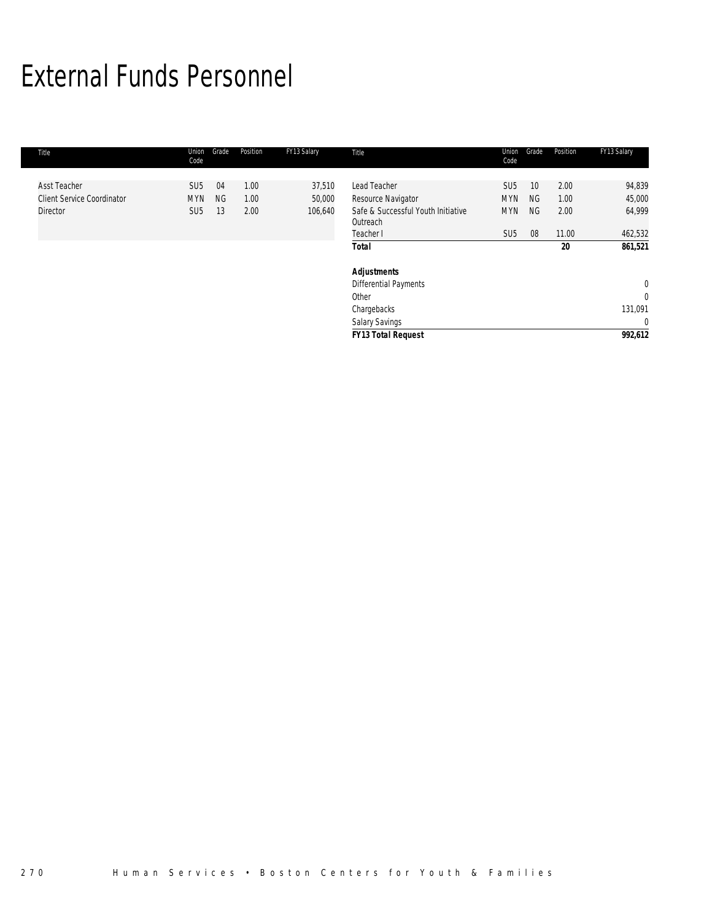# External Funds Personnel

| Title                             | Union<br>Code   | Grade     | Position | FY13 Salary | Title                              | Union<br>Code   | Grade           | Position | FY13 Salary  |
|-----------------------------------|-----------------|-----------|----------|-------------|------------------------------------|-----------------|-----------------|----------|--------------|
| <b>Asst Teacher</b>               | SU <sub>5</sub> | 04        | 1.00     | 37,510      | Lead Teacher                       | SU <sub>5</sub> | 10 <sup>°</sup> | 2.00     | 94,839       |
|                                   |                 |           |          |             |                                    |                 |                 |          |              |
| <b>Client Service Coordinator</b> | <b>MYN</b>      | <b>NG</b> | 1.00     | 50,000      | Resource Navigator                 | <b>MYN</b>      | <b>NG</b>       | 1.00     | 45,000       |
| <b>Director</b>                   | SU <sub>5</sub> | 13        | 2.00     | 106,640     | Safe & Successful Youth Initiative | <b>MYN</b>      | <b>NG</b>       | 2.00     | 64,999       |
|                                   |                 |           |          |             | Outreach                           |                 |                 |          |              |
|                                   |                 |           |          |             | Teacher I                          | SU <sub>5</sub> | 08              | 11.00    | 462,532      |
|                                   |                 |           |          |             | <b>Total</b>                       |                 |                 | 20       | 861,521      |
|                                   |                 |           |          |             | <b>Adjustments</b>                 |                 |                 |          |              |
|                                   |                 |           |          |             | Differential Payments              |                 |                 |          | $\mathbf 0$  |
|                                   |                 |           |          |             | Other                              |                 |                 |          | $\mathbf 0$  |
|                                   |                 |           |          |             | Chargebacks                        |                 |                 |          | 131,091      |
|                                   |                 |           |          |             | Salary Savings                     |                 |                 |          | $\mathbf{0}$ |
|                                   |                 |           |          |             | <b>FY13 Total Request</b>          |                 |                 |          | 992,612      |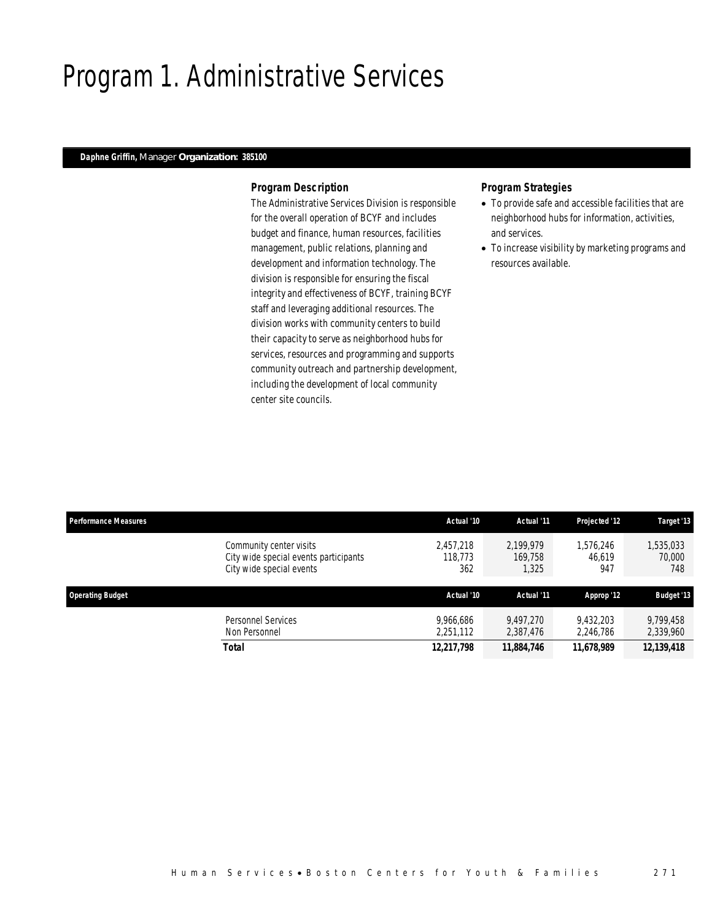### Program 1. Administrative Services

### *Daphne Griffin, Manager Organization: 385100*

### *Program Description*

The Administrative Services Division is responsible for the overall operation of BCYF and includes budget and finance, human resources, facilities management, public relations, planning and development and information technology. The division is responsible for ensuring the fiscal integrity and effectiveness of BCYF, training BCYF staff and leveraging additional resources. The division works with community centers to build their capacity to serve as neighborhood hubs for services, resources and programming and supports community outreach and partnership development, including the development of local community center site councils.

- To provide safe and accessible facilities that are neighborhood hubs for information, activities, and services.
- To increase visibility by marketing programs and resources available.

| <b>Performance Measures</b> |                                                                                              | Actual '10                  | Actual '11                    | <b>Projected '12</b>       | Target '13                 |
|-----------------------------|----------------------------------------------------------------------------------------------|-----------------------------|-------------------------------|----------------------------|----------------------------|
|                             | Community center visits<br>City wide special events participants<br>City wide special events | 2.457.218<br>118,773<br>362 | 2.199.979<br>169.758<br>1,325 | 1.576.246<br>46.619<br>947 | 1,535,033<br>70,000<br>748 |
| <b>Operating Budget</b>     |                                                                                              | Actual '10                  | Actual '11                    |                            |                            |
|                             |                                                                                              |                             |                               | Approp '12                 | <b>Budget '13</b>          |
|                             | Personnel Services<br>Non Personnel                                                          | 9.966.686<br>2,251,112      | 9.497.270<br>2,387,476        | 9.432.203<br>2,246,786     | 9,799,458<br>2,339,960     |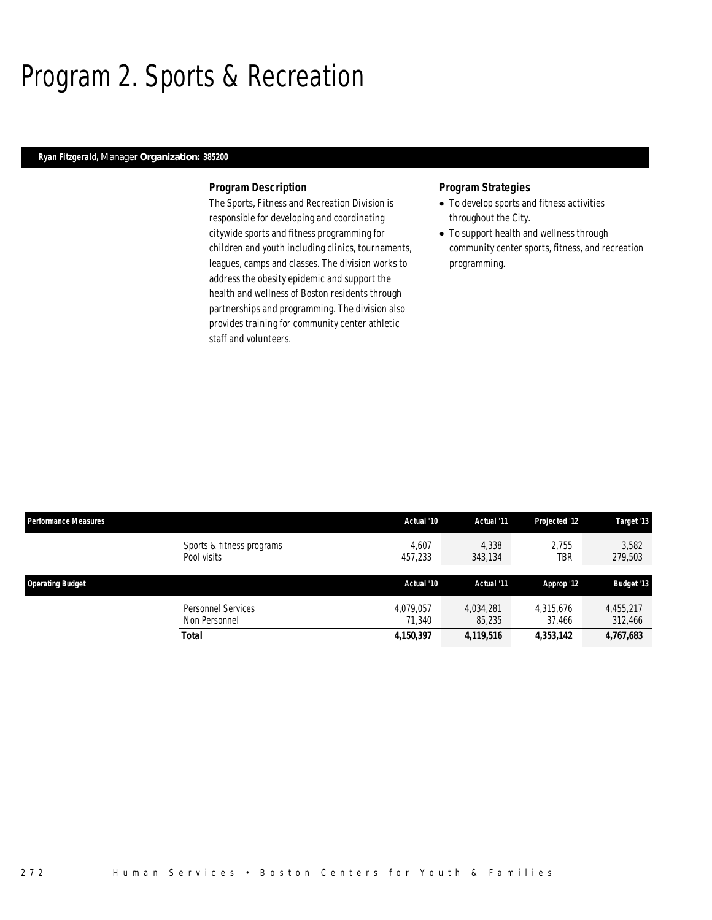### Program 2. Sports & Recreation

### *Ryan Fitzgerald, Manager Organization: 385200*

### *Program Description*

The Sports, Fitness and Recreation Division is responsible for developing and coordinating citywide sports and fitness programming for children and youth including clinics, tournaments, leagues, camps and classes. The division works to address the obesity epidemic and support the health and wellness of Boston residents through partnerships and programming. The division also provides training for community center athletic staff and volunteers.

- To develop sports and fitness activities throughout the City.
- To support health and wellness through community center sports, fitness, and recreation programming.

| <b>Performance Measures</b>              | Actual '10          | Actual '11          | Projected '12       | Target '13           |
|------------------------------------------|---------------------|---------------------|---------------------|----------------------|
| Sports & fitness programs<br>Pool visits | 4.607<br>457,233    | 4,338<br>343,134    | 2.755<br>TBR        | 3,582<br>279,503     |
| <b>Operating Budget</b>                  | Actual '10          | Actual '11          | Approp '12          | <b>Budget '13</b>    |
| Personnel Services<br>Non Personnel      | 4.079.057<br>71.340 | 4.034.281<br>85,235 | 4,315,676<br>37,466 | 4.455.217<br>312,466 |
| <b>Total</b>                             | 4,150,397           | 4,119,516           | 4,353,142           | 4,767,683            |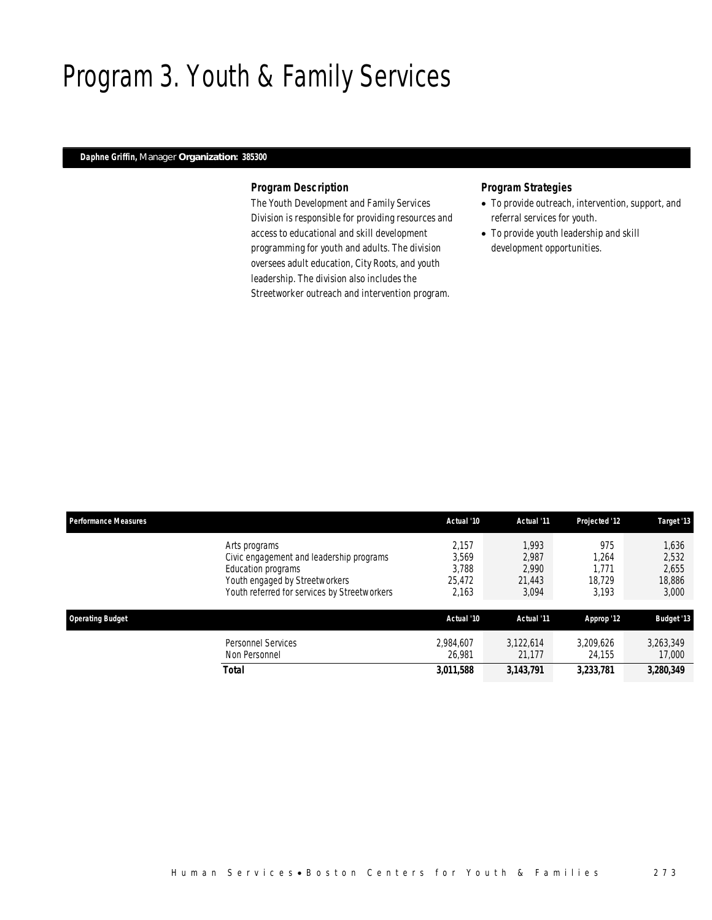### Program 3. Youth & Family Services

### *Daphne Griffin, Manager Organization: 385300*

### *Program Description*

The Youth Development and Family Services Division is responsible for providing resources and access to educational and skill development programming for youth and adults. The division oversees adult education, City Roots, and youth leadership. The division also includes the Streetworker outreach and intervention program.

- To provide outreach, intervention, support, and referral services for youth.
- To provide youth leadership and skill development opportunities.

| <b>Performance Measures</b> |                                                                                                                                                                   | Actual '10                                 | Actual '11                                 | Projected '12                            | Target '13                                 |
|-----------------------------|-------------------------------------------------------------------------------------------------------------------------------------------------------------------|--------------------------------------------|--------------------------------------------|------------------------------------------|--------------------------------------------|
|                             | Arts programs<br>Civic engagement and leadership programs<br>Education programs<br>Youth engaged by Streetworkers<br>Youth referred for services by Streetworkers | 2.157<br>3,569<br>3.788<br>25,472<br>2,163 | 1.993<br>2,987<br>2.990<br>21,443<br>3,094 | 975<br>1,264<br>1.771<br>18.729<br>3.193 | 1,636<br>2,532<br>2,655<br>18,886<br>3,000 |
| <b>Operating Budget</b>     |                                                                                                                                                                   | Actual '10                                 | Actual '11                                 | Approp '12                               | <b>Budget '13</b>                          |
|                             | <b>Personnel Services</b><br>Non Personnel                                                                                                                        | 2,984,607<br>26.981                        | 3,122,614<br>21.177                        | 3,209,626<br>24.155                      | 3,263,349<br>17,000                        |
|                             | Total                                                                                                                                                             | 3,011,588                                  | 3,143,791                                  | 3,233,781                                | 3,280,349                                  |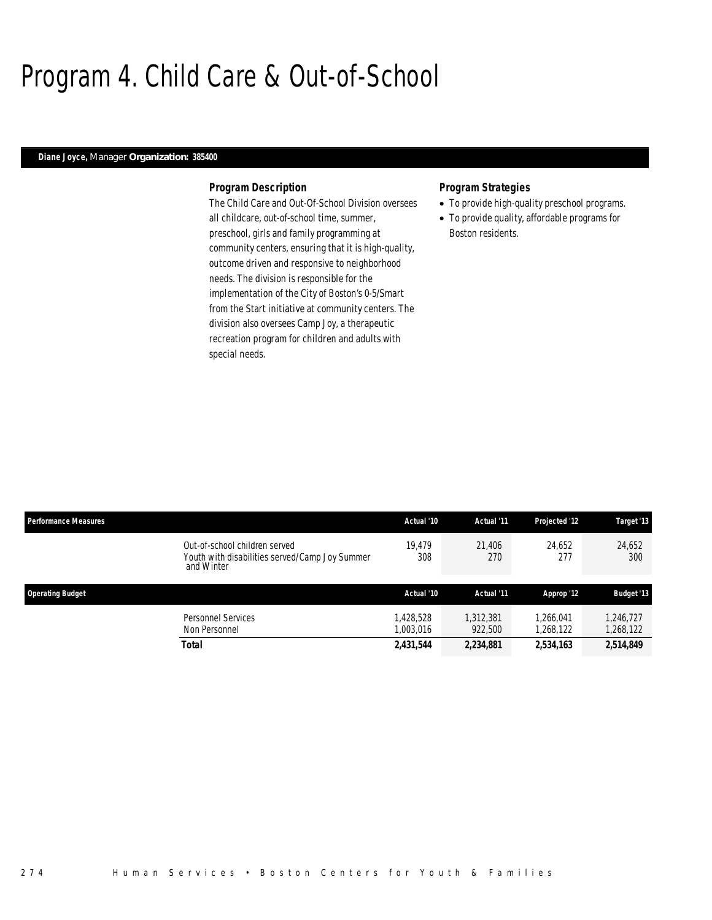### Program 4. Child Care & Out-of-School

### *Diane Joyce, Manager Organization: 385400*

### *Program Description*

The Child Care and Out-Of-School Division oversees all childcare, out-of-school time, summer, preschool, girls and family programming at community centers, ensuring that it is high-quality, outcome driven and responsive to neighborhood needs. The division is responsible for the implementation of the City of Boston's 0-5/Smart from the Start initiative at community centers. The division also oversees Camp Joy, a therapeutic recreation program for children and adults with special needs.

- To provide high-quality preschool programs.
- To provide quality, affordable programs for Boston residents.

| <b>Performance Measures</b> |                                                                                               | Actual '10            | Actual '11           | Projected '12          | Target '13             |
|-----------------------------|-----------------------------------------------------------------------------------------------|-----------------------|----------------------|------------------------|------------------------|
|                             | Out-of-school children served<br>Youth with disabilities served/Camp Joy Summer<br>and Winter | 19.479<br>308         | 21.406<br>270        | 24.652<br>277          | 24,652<br>300          |
| <b>Operating Budget</b>     |                                                                                               | Actual '10            | Actual '11           | Approp '12             | <b>Budget '13</b>      |
|                             | <b>Personnel Services</b><br>Non Personnel                                                    | .428.528<br>1,003,016 | 1,312,381<br>922,500 | 1.266.041<br>1,268,122 | 1,246,727<br>1,268,122 |
|                             | <b>Total</b>                                                                                  | 2,431,544             | 2,234,881            | 2,534,163              | 2,514,849              |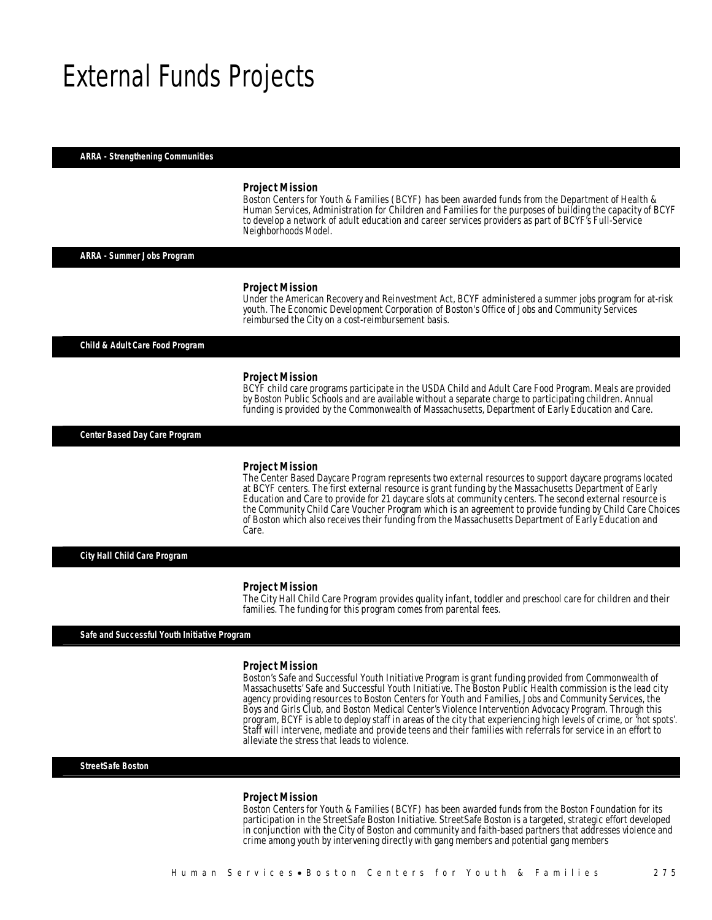### External Funds Projects

*ARRA - Strengthening Communities* 

#### *Project Mission*

Boston Centers for Youth & Families (BCYF) has been awarded funds from the Department of Health & Human Services, Administration for Children and Families for the purposes of building the capacity of BCYF to develop a network of adult education and career services providers as part of BCYF's Full-Service Neighborhoods Model.

*ARRA - Summer Jobs Program* 

#### *Project Mission*

Under the American Recovery and Reinvestment Act, BCYF administered a summer jobs program for at-risk youth. The Economic Development Corporation of Boston's Office of Jobs and Community Services reimbursed the City on a cost-reimbursement basis.

*Child & Adult Care Food Program* 

#### *Project Mission*

BCYF child care programs participate in the USDA Child and Adult Care Food Program. Meals are provided by Boston Public Schools and are available without a separate charge to participating children. Annual funding is provided by the Commonwealth of Massachusetts, Department of Early Education and Care. 

*Center Based Day Care Program* 

#### *Project Mission*

The Center Based Daycare Program represents two external resources to support daycare programs located at BCYF centers. The first external resource is grant funding by the Massachusetts Department of Early Education and Care to provide for 21 daycare slots at community centers. The second external resource is the Community Child Care Voucher Program which is an agreement to provide funding by Child Care Choices of Boston which also receives their funding from the Massachusetts Department of Early Education and Care.

*City Hall Child Care Program* 

#### *Project Mission*

The City Hall Child Care Program provides quality infant, toddler and preschool care for children and their families. The funding for this program comes from parental fees.

*Safe and Successful Youth Initiative Program* 

#### *Project Mission*

Boston's Safe and Successful Youth Initiative Program is grant funding provided from Commonwealth of Massachusetts' Safe and Successful Youth Initiative. The Boston Public Health commission is the lead city agency providing resources to Boston Centers for Youth and Families, Jobs and Community Services, the Boys and Girls Club, and Boston Medical Center's Violence Intervention Advocacy Program. Through this program, BCYF is able to deploy staff in areas of the city that experiencing high levels of crime, or 'hot spots'. Staff will intervene, mediate and provide teens and their families with referrals for service in an effort to alleviate the stress that leads to violence.

*StreetSafe Boston* 

#### *Project Mission*

Boston Centers for Youth & Families (BCYF) has been awarded funds from the Boston Foundation for its participation in the StreetSafe Boston Initiative. StreetSafe Boston is a targeted, strategic effort developed in conjunction with the City of Boston and community and faith-based partners that addresses violence and crime among youth by intervening directly with gang members and potential gang members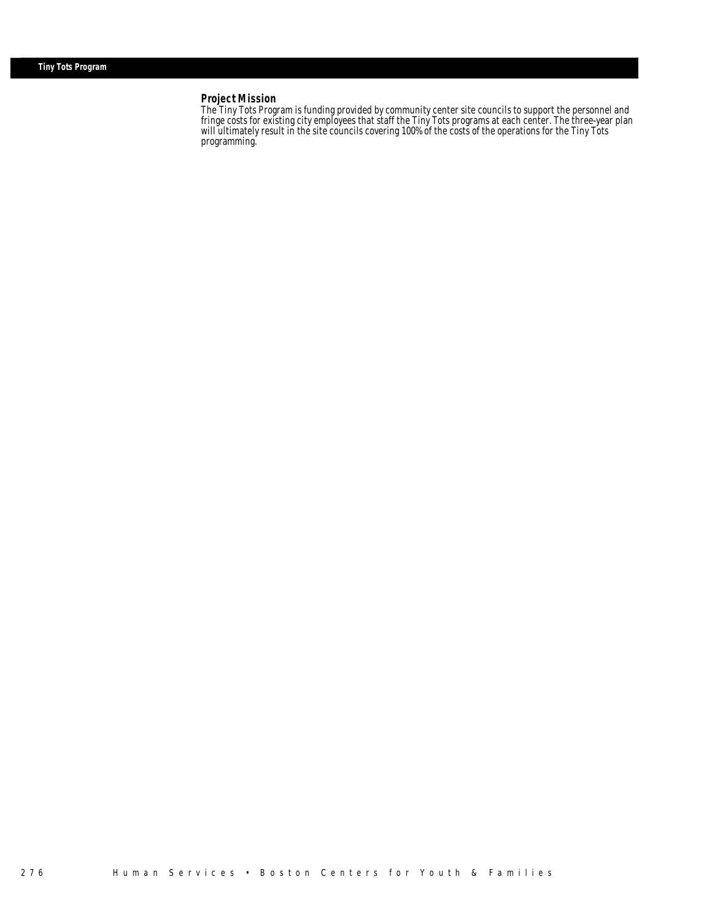#### *Project Mission*

Î

The Tiny Tots Program is funding provided by community center site councils to support the personnel and fringe costs for existing city employees that staff the Tiny Tots programs at each center. The three-year plan will ultimately result in the site councils covering 100% of the costs of the operations for the Tiny Tots programming.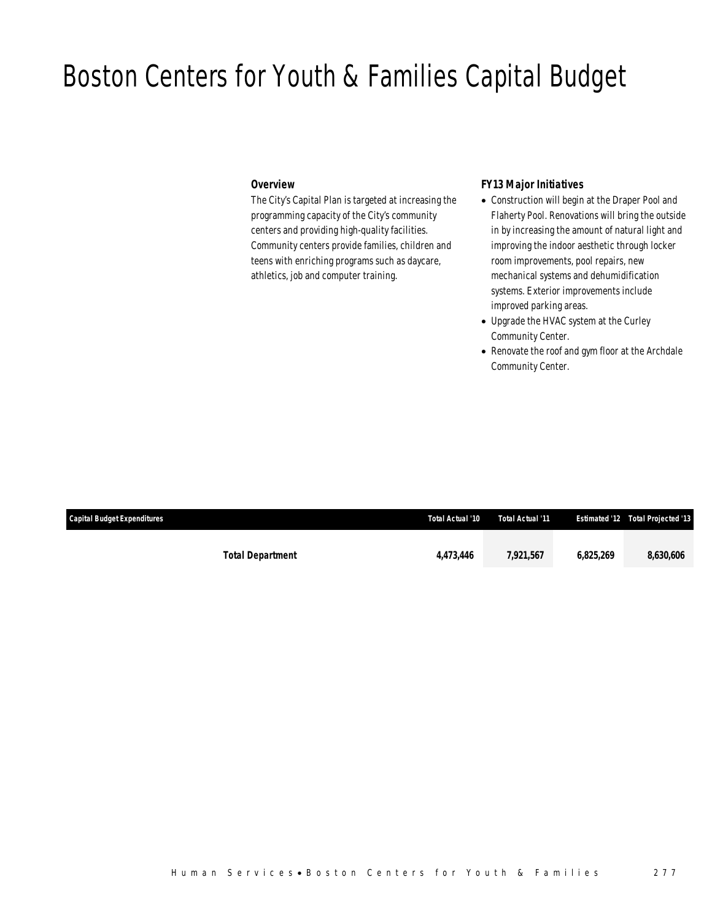### Boston Centers for Youth & Families Capital Budget

### *Overview*

The City's Capital Plan is targeted at increasing the programming capacity of the City's community centers and providing high-quality facilities. Community centers provide families, children and teens with enriching programs such as daycare, athletics, job and computer training.

### *FY13 Major Initiatives*

- Construction will begin at the Draper Pool and Flaherty Pool. Renovations will bring the outside in by increasing the amount of natural light and improving the indoor aesthetic through locker room improvements, pool repairs, new mechanical systems and dehumidification systems. Exterior improvements include improved parking areas.
- Upgrade the HVAC system at the Curley Community Center.
- Renovate the roof and gym floor at the Archdale Community Center.

| Capital Budget Expenditures | Total Actual '10 | Total Actual '11 |           | <b>Estimated '12 Total Projected '13</b> |
|-----------------------------|------------------|------------------|-----------|------------------------------------------|
| <b>Total Department</b>     | 4.473.446        | 7,921,567        | 6.825.269 | 8,630,606                                |
|                             |                  |                  |           |                                          |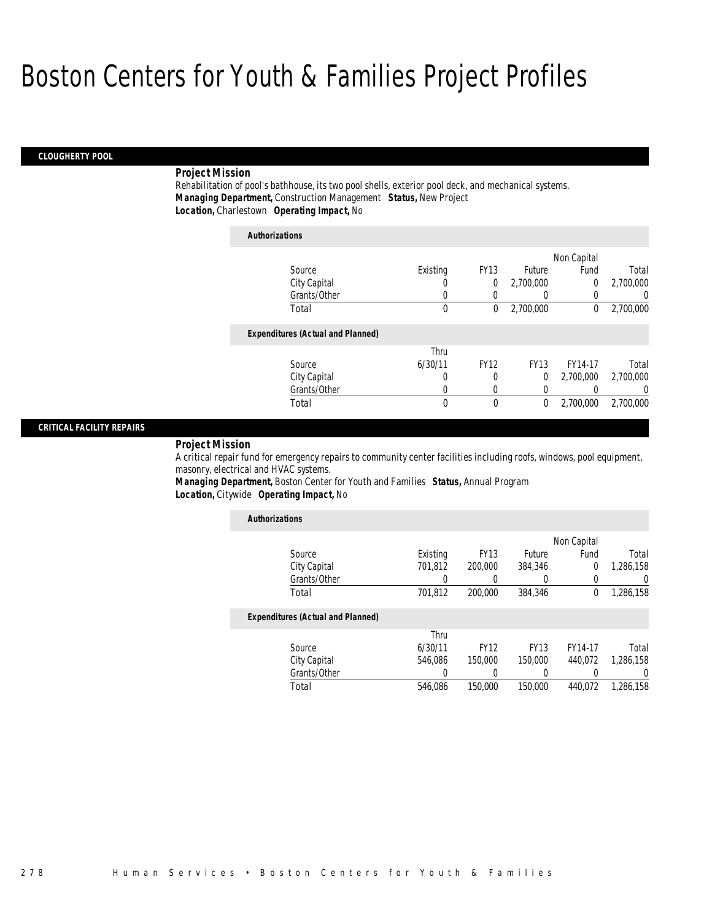#### *CLOUGHERTY POOL*

### *Project Mission*

Rehabilitation of pool's bathhouse, its two pool shells, exterior pool deck, and mechanical systems. *Managing Department,* Construction Management *Status,* New Project*Location,* Charlestown *Operating Impact,* No

| <b>Authorizations</b>                    |          |             |             |             |           |
|------------------------------------------|----------|-------------|-------------|-------------|-----------|
|                                          |          |             |             | Non Capital |           |
| Source                                   | Existing | <b>FY13</b> | Future      | Fund        | Total     |
| City Capital                             | 0        | 0           | 2,700,000   | 0           | 2,700,000 |
| Grants/Other                             | 0        | 0           | 0           | 0           | 0         |
| Total                                    | 0        | 0           | 2,700,000   | $\theta$    | 2,700,000 |
| <b>Expenditures (Actual and Planned)</b> |          |             |             |             |           |
|                                          | Thru     |             |             |             |           |
| Source                                   | 6/30/11  | <b>FY12</b> | <b>FY13</b> | FY14-17     | Total     |
| City Capital                             | 0        | 0           | 0           | 2,700,000   | 2,700,000 |
| Grants/Other                             | 0        | 0           | 0           |             | 0         |
| Total                                    | 0        | 0           | 0           | 2,700,000   | 2,700,000 |

### *CRITICAL FACILITY REPAIRS*

#### *Project Mission*

A critical repair fund for emergency repairs to community center facilities including roofs, windows, pool equipment, masonry, electrical and HVAC systems.

*Managing Department,* Boston Center for Youth and Families *Status,* Annual Program*Location,* Citywide *Operating Impact,* No

| <b>Authorizations</b>                    |          |             |             |                |                  |
|------------------------------------------|----------|-------------|-------------|----------------|------------------|
|                                          |          |             |             | Non Capital    |                  |
| Source                                   | Existing | <b>FY13</b> | Future      | Fund           | Total            |
| City Capital                             | 701,812  | 200,000     | 384,346     | $\overline{0}$ | 1,286,158        |
| Grants/Other                             | 0        |             |             | 0              | 0                |
| Total                                    | 701,812  | 200,000     | 384,346     | 0              | 1,286,158        |
| <b>Expenditures (Actual and Planned)</b> |          |             |             |                |                  |
|                                          | Thru     |             |             |                |                  |
| Source                                   | 6/30/11  | <b>FY12</b> | <b>FY13</b> | FY14-17        | Total            |
| City Capital                             | 546.086  | 150,000     | 150,000     | 440.072        | 1,286,158        |
| Grants/Other                             | 0        |             | $\left($    | 0              | $\left( \right)$ |
| Total                                    | 546.086  | 150,000     | 150,000     | 440.072        | 1.286.158        |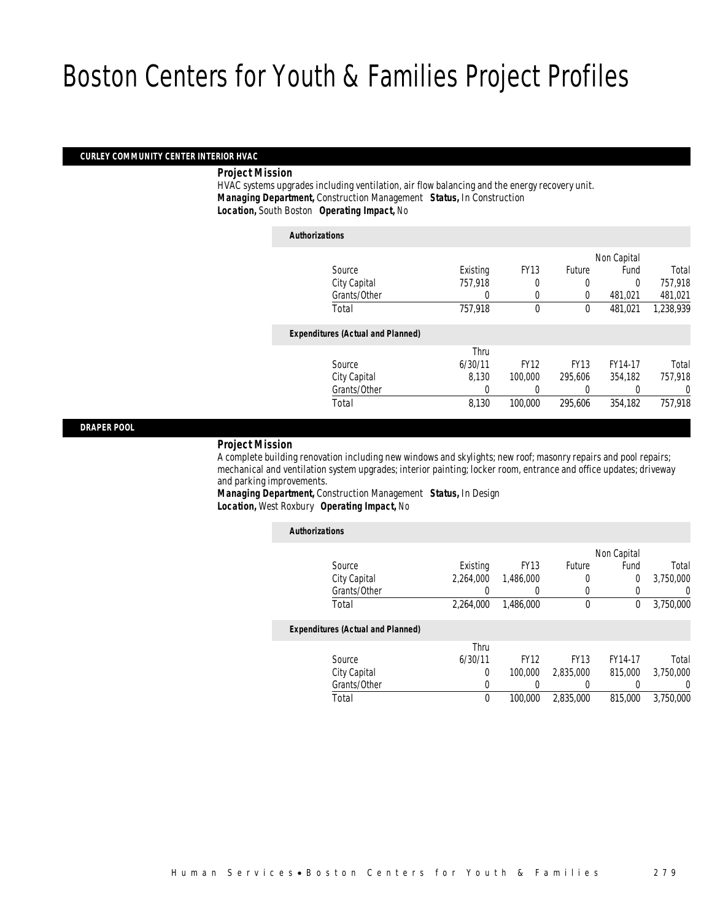### *CURLEY COMMUNITY CENTER INTERIOR HVAC*

### *Project Mission*

 HVAC systems upgrades including ventilation, air flow balancing and the energy recovery unit. *Managing Department,* Construction Management *Status,* In Construction*Location,* South Boston *Operating Impact,* No

| <b>Authorizations</b>                    |          |             |             |             |           |
|------------------------------------------|----------|-------------|-------------|-------------|-----------|
|                                          |          |             |             | Non Capital |           |
| Source                                   | Existing | <b>FY13</b> | Future      | Fund        | Total     |
| City Capital                             | 757.918  | 0           | $\Omega$    | $\Omega$    | 757.918   |
| Grants/Other                             | 0        | 0           | 0           | 481.021     | 481,021   |
| Total                                    | 757,918  | $\Omega$    | $\theta$    | 481,021     | 1,238,939 |
| <b>Expenditures (Actual and Planned)</b> |          |             |             |             |           |
|                                          | Thru     |             |             |             |           |
| Source                                   | 6/30/11  | <b>FY12</b> | <b>FY13</b> | FY14-17     | Total     |
| City Capital                             | 8.130    | 100,000     | 295.606     | 354.182     | 757,918   |
| Grants/Other                             |          | 0           | 0           | 0           | 0         |
| Total                                    | 8,130    | 100,000     | 295.606     | 354.182     | 757.918   |

*DRAPER POOL* 

### *Project Mission*

 A complete building renovation including new windows and skylights; new roof; masonry repairs and pool repairs; mechanical and ventilation system upgrades; interior painting; locker room, entrance and office updates; driveway and parking improvements.

*Managing Department,* Construction Management *Status,* In Design*Location,* West Roxbury *Operating Impact,* No

| <b>Authorizations</b>                    |           |             |             |             |                  |
|------------------------------------------|-----------|-------------|-------------|-------------|------------------|
|                                          |           |             |             | Non Capital |                  |
| Source                                   | Existing  | <b>FY13</b> | Future      | Fund        | Total            |
| City Capital                             | 2.264.000 | 1.486.000   | 0           | 0           | 3.750.000        |
| Grants/Other                             |           | 0           | $\Omega$    | 0           | $\left( \right)$ |
| Total                                    | 2,264,000 | 1,486,000   | $\theta$    | 0           | 3,750,000        |
| <b>Expenditures (Actual and Planned)</b> |           |             |             |             |                  |
|                                          | Thru      |             |             |             |                  |
| Source                                   | 6/30/11   | <b>FY12</b> | <b>FY13</b> | FY14-17     | Total            |
| City Capital                             | 0         | 100,000     | 2,835,000   | 815,000     | 3,750,000        |
| Grants/Other                             | 0         |             |             |             | 0                |
| Total                                    | 0         | 100,000     | 2.835.000   | 815,000     | 3.750.000        |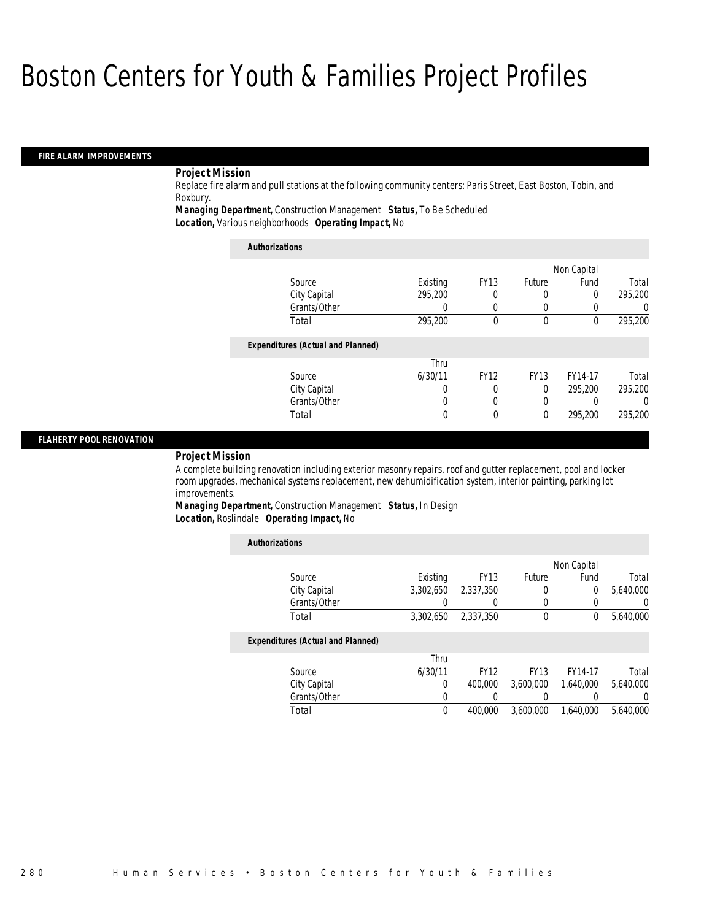### *FIRE ALARM IMPROVEMENTS*

### *Project Mission*

Replace fire alarm and pull stations at the following community centers: Paris Street, East Boston, Tobin, and Roxbury.

*Managing Department,* Construction Management *Status,* To Be Scheduled

*Location,* Various neighborhoods *Operating Impact,* No

| <b>Authorizations</b>                    |          |             |             |             |         |
|------------------------------------------|----------|-------------|-------------|-------------|---------|
|                                          |          |             |             | Non Capital |         |
| Source                                   | Existing | <b>FY13</b> | Future      | Fund        | Total   |
| City Capital                             | 295,200  | 0           | 0           | 0           | 295,200 |
| Grants/Other                             |          | 0           | 0           | 0           |         |
| Total                                    | 295,200  | 0           | $\theta$    | 0           | 295,200 |
| <b>Expenditures (Actual and Planned)</b> |          |             |             |             |         |
|                                          | Thru     |             |             |             |         |
| Source                                   | 6/30/11  | <b>FY12</b> | <b>FY13</b> | FY14-17     | Total   |
| City Capital                             |          | 0           | $\Omega$    | 295,200     | 295.200 |
| Grants/Other                             |          | 0           | 0           | 0           |         |
| Total                                    | $\theta$ | 0           | 0           | 295,200     | 295.200 |

### *FLAHERTY POOL RENOVATION*

#### *Project Mission*

A complete building renovation including exterior masonry repairs, roof and gutter replacement, pool and locker room upgrades, mechanical systems replacement, new dehumidification system, interior painting, parking lot improvements.

*Managing Department,* Construction Management *Status,* In Design*Location,* Roslindale *Operating Impact,* No

| <b>Authorizations</b>                    |           |             |             |             |           |
|------------------------------------------|-----------|-------------|-------------|-------------|-----------|
|                                          |           |             |             | Non Capital |           |
| Source                                   | Existing  | <b>FY13</b> | Future      | Fund        | Total     |
| City Capital                             | 3,302,650 | 2.337.350   | 0           | 0           | 5,640,000 |
| Grants/Other                             |           |             | 0           |             | U         |
| Total                                    | 3.302.650 | 2.337.350   | 0           | 0           | 5,640,000 |
| <b>Expenditures (Actual and Planned)</b> |           |             |             |             |           |
|                                          | Thru      |             |             |             |           |
| Source                                   | 6/30/11   | <b>FY12</b> | <b>FY13</b> | FY14-17     | Total     |
| City Capital                             | 0         | 400,000     | 3.600.000   | 1.640.000   | 5.640.000 |
| Grants/Other                             | 0         |             |             |             | $\Omega$  |
| Total                                    | 0         | 400,000     | 3.600.000   | 1.640.000   | 5.640.000 |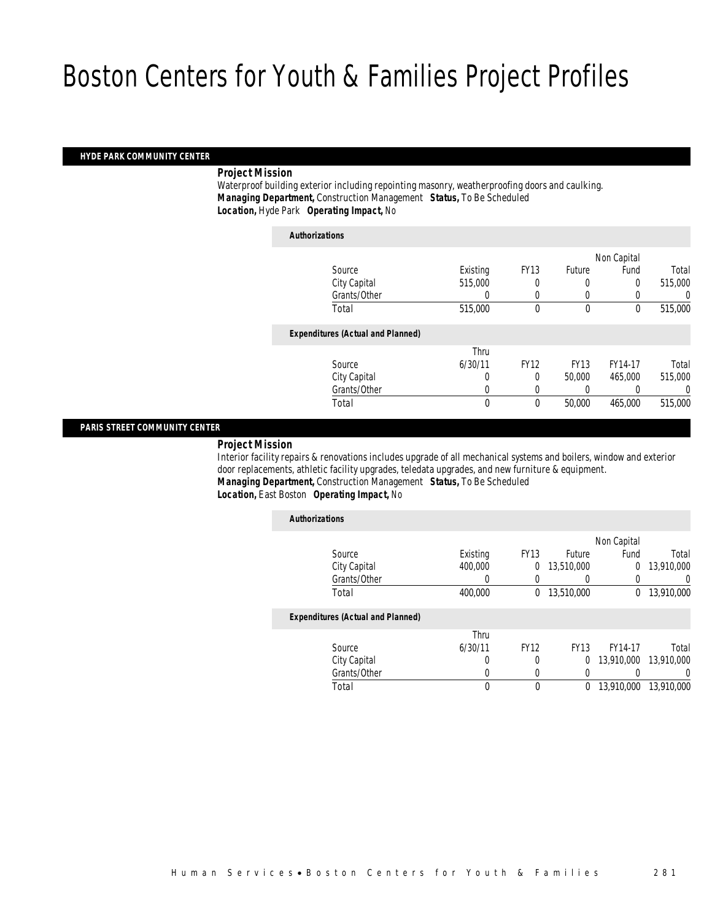### *HYDE PARK COMMUNITY CENTER*

### *Project Mission*

 Waterproof building exterior including repointing masonry, weatherproofing doors and caulking. *Managing Department,* Construction Management *Status,* To Be Scheduled*Location,* Hyde Park *Operating Impact,* No

| <b>Authorizations</b>                    |                  |             |             |             |         |
|------------------------------------------|------------------|-------------|-------------|-------------|---------|
|                                          |                  |             |             | Non Capital |         |
| Source                                   | Existing         | <b>FY13</b> | Future      | Fund        | Total   |
| City Capital                             | 515,000          |             | 0           | 0           | 515,000 |
| Grants/Other                             | $\left( \right)$ | 0           | 0           |             | 0       |
| Total                                    | 515,000          | 0           | $\mathbf 0$ | 0           | 515,000 |
| <b>Expenditures (Actual and Planned)</b> |                  |             |             |             |         |
|                                          | Thru             |             |             |             |         |
| Source                                   | 6/30/11          | <b>FY12</b> | <b>FY13</b> | FY14-17     | Total   |
| City Capital                             | 0                | 0           | 50,000      | 465,000     | 515,000 |
| Grants/Other                             | 0                | 0           |             |             | 0       |
| Total                                    | 0                | 0           | 50,000      | 465,000     | 515,000 |
|                                          |                  |             |             |             |         |

### *PARIS STREET COMMUNITY CENTER*

### *Project Mission*

 Interior facility repairs & renovations includes upgrade of all mechanical systems and boilers, window and exterior door replacements, athletic facility upgrades, teledata upgrades, and new furniture & equipment. *Managing Department,* Construction Management *Status,* To Be Scheduled

### *Location,* East Boston *Operating Impact,* No

|          |             |             | Non Capital  |            |
|----------|-------------|-------------|--------------|------------|
| Existing | <b>FY13</b> | Future      | Fund         | Total      |
| 400,000  | $\Omega$    | 13,510,000  | $\Omega$     | 13,910,000 |
|          |             |             |              | 0          |
| 400,000  | 0           | 13,510,000  | $\mathbf{0}$ | 13,910,000 |
|          |             |             |              |            |
| Thru     |             |             |              |            |
| 6/30/11  | <b>FY12</b> | <b>FY13</b> | FY14-17      | Total      |
| 0        |             | 0           | 13,910,000   | 13,910,000 |
|          |             |             |              | $\left($   |
| $\theta$ | $\theta$    | $\theta$    | 13,910,000   | 13,910,000 |
|          |             |             |              |            |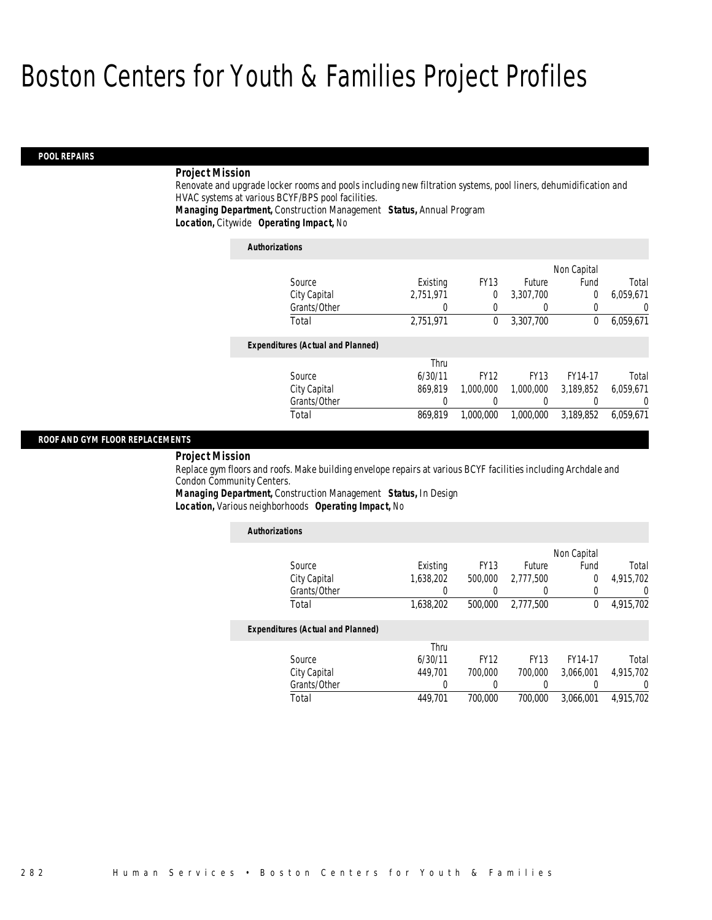### *POOL REPAIRS*

### *Project Mission*

Renovate and upgrade locker rooms and pools including new filtration systems, pool liners, dehumidification and HVAC systems at various BCYF/BPS pool facilities.

*Managing Department,* Construction Management *Status,* Annual Program*Location,* Citywide *Operating Impact,* No

| <b>Authorizations</b>                    |           |             |             |             |           |
|------------------------------------------|-----------|-------------|-------------|-------------|-----------|
|                                          |           |             |             | Non Capital |           |
| Source                                   | Existing  | <b>FY13</b> | Future      | Fund        | Total     |
| City Capital                             | 2,751,971 | $\Omega$    | 3,307,700   | 0           | 6,059,671 |
| Grants/Other                             | 0         | 0           | $\left($    | 0           | 0         |
| Total                                    | 2.751.971 | $\bf{0}$    | 3.307.700   | 0           | 6,059,671 |
| <b>Expenditures (Actual and Planned)</b> |           |             |             |             |           |
|                                          | Thru      |             |             |             |           |
| Source                                   | 6/30/11   | <b>FY12</b> | <b>FY13</b> | FY14-17     | Total     |
| City Capital                             | 869,819   | 1,000,000   | 1.000.000   | 3,189,852   | 6,059,671 |
| Grants/Other                             | 0         |             |             | 0           | 0         |
| Total                                    | 869.819   | 1.000.000   | 1.000.000   | 3.189.852   | 6.059.671 |

### *ROOF AND GYM FLOOR REPLACEMENTS*

#### *Project Mission*

Replace gym floors and roofs. Make building envelope repairs at various BCYF facilities including Archdale and Condon Community Centers.

*Managing Department,* Construction Management *Status,* In Design*Location,* Various neighborhoods *Operating Impact,* No

| <b>Authorizations</b>                    |           |             |             |             |                  |
|------------------------------------------|-----------|-------------|-------------|-------------|------------------|
|                                          |           |             |             | Non Capital |                  |
| Source                                   | Existing  | <b>FY13</b> | Future      | Fund        | Total            |
| City Capital                             | 1.638.202 | 500,000     | 2.777.500   | 0           | 4,915,702        |
| Grants/Other                             |           |             |             | 0           | $\left( \right)$ |
| Total                                    | 1,638,202 | 500,000     | 2,777,500   | 0           | 4,915,702        |
| <b>Expenditures (Actual and Planned)</b> |           |             |             |             |                  |
|                                          | Thru      |             |             |             |                  |
| Source                                   | 6/30/11   | <b>FY12</b> | <b>FY13</b> | FY14-17     | Total            |
| City Capital                             | 449.701   | 700,000     | 700,000     | 3.066.001   | 4,915,702        |
| Grants/Other                             | 0         |             |             |             | 0                |
| Total                                    | 449.701   | 700,000     | 700.000     | 3.066.001   | 4.915.702        |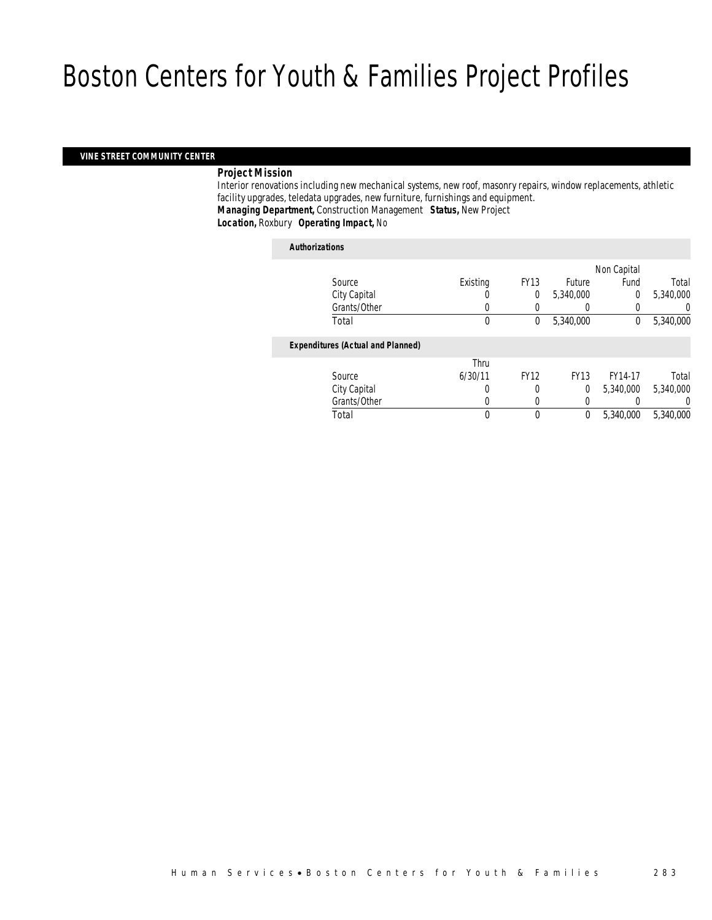### *VINE STREET COMMUNITY CENTER*

### *Project Mission*

 Interior renovations including new mechanical systems, new roof, masonry repairs, window replacements, athletic facility upgrades, teledata upgrades, new furniture, furnishings and equipment. *Managing Department,* Construction Management *Status,* New Project*Location,* Roxbury *Operating Impact,* No

### *Authorizations*

|                                          |          |             |                  | Non Capital |           |
|------------------------------------------|----------|-------------|------------------|-------------|-----------|
| Source                                   | Existing | <b>FY13</b> | <b>Future</b>    | Fund        | Total     |
| City Capital                             |          | 0           | 5,340,000        | $\Omega$    | 5,340,000 |
| Grants/Other                             | 0        |             | $\left( \right)$ |             | 0         |
| Total                                    | 0        | 0           | 5,340,000        | 0           | 5,340,000 |
|                                          |          |             |                  |             |           |
| <b>Expenditures (Actual and Planned)</b> |          |             |                  |             |           |
|                                          | Thru     |             |                  |             |           |
| Source                                   | 6/30/11  | <b>FY12</b> | <b>FY13</b>      | FY14-17     | Total     |
| City Capital                             | 0        | 0           | $\Omega$         | 5,340,000   | 5,340,000 |
| Grants/Other                             | 0        |             |                  |             | 0         |
| Total                                    | 0        | 0           | 0                | 5,340,000   | 5,340,000 |
|                                          |          |             |                  |             |           |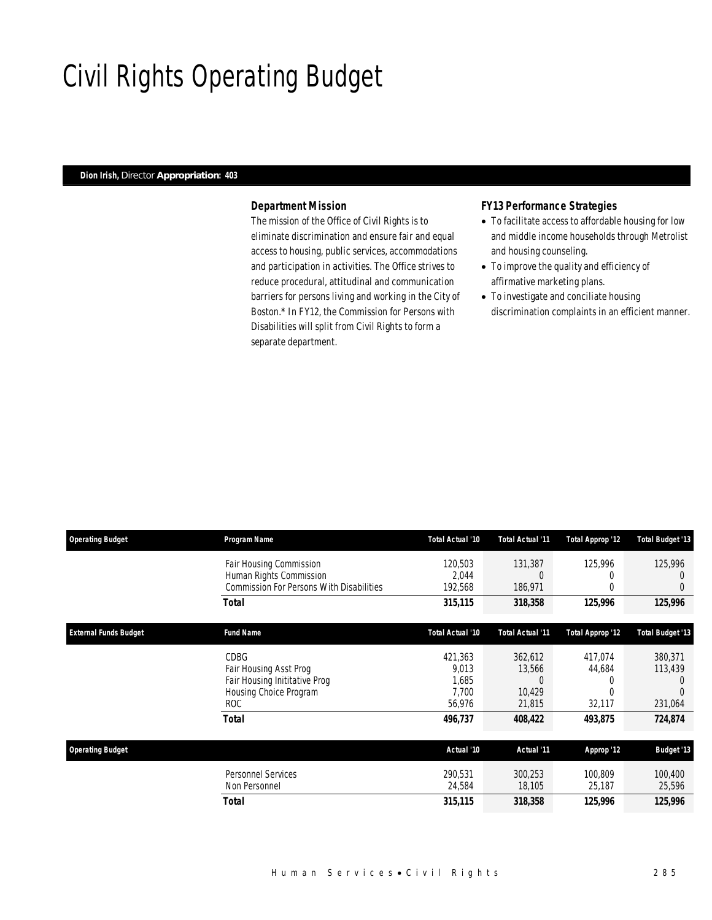# Civil Rights Operating Budget

### *Dion Irish, Director Appropriation: 403*

### *Department Mission*

The mission of the Office of Civil Rights is to eliminate discrimination and ensure fair and equal access to housing, public services, accommodations and participation in activities. The Office strives to reduce procedural, attitudinal and communication barriers for persons living and working in the City of Boston.\* In FY12, the Commission for Persons with Disabilities will split from Civil Rights to form a separate department.

### *FY13 Performance Strategies*

- To facilitate access to affordable housing for low and middle income households through Metrolist and housing counseling.
- To improve the quality and efficiency of affirmative marketing plans.
- To investigate and conciliate housing discrimination complaints in an efficient manner.

| <b>Operating Budget</b>      | Program Name                                                                                          | Total Actual '10                             | <b>Total Actual '11</b>                           | Total Approp '12                 | <b>Total Budget '13</b>       |
|------------------------------|-------------------------------------------------------------------------------------------------------|----------------------------------------------|---------------------------------------------------|----------------------------------|-------------------------------|
|                              | Fair Housing Commission<br>Human Rights Commission<br><b>Commission For Persons With Disabilities</b> | 120,503<br>2,044<br>192,568                  | 131,387<br>$\left($<br>186,971                    | 125,996<br>0<br>0                | 125,996<br>$\theta$           |
|                              | <b>Total</b>                                                                                          | 315,115                                      | 318,358                                           | 125,996                          | 125,996                       |
| <b>External Funds Budget</b> | <b>Fund Name</b>                                                                                      | Total Actual '10                             | Total Actual '11                                  | Total Approp '12                 | <b>Total Budget '13</b>       |
|                              | CDBG<br>Fair Housing Asst Prog<br>Fair Housing Inititative Prog<br>Housing Choice Program<br>ROC      | 421,363<br>9,013<br>1,685<br>7.700<br>56,976 | 362,612<br>13,566<br>$\left($<br>10.429<br>21,815 | 417,074<br>44,684<br>0<br>32,117 | 380,371<br>113,439<br>231,064 |
|                              | <b>Total</b>                                                                                          | 496,737                                      | 408,422                                           | 493,875                          | 724,874                       |
| <b>Operating Budget</b>      |                                                                                                       | Actual '10                                   | Actual '11                                        | Approp '12                       | <b>Budget '13</b>             |
|                              | <b>Personnel Services</b><br>Non Personnel                                                            | 290,531<br>24,584                            | 300,253<br>18,105                                 | 100,809<br>25,187                | 100,400<br>25,596             |
|                              | <b>Total</b>                                                                                          | 315,115                                      | 318,358                                           | 125,996                          | 125,996                       |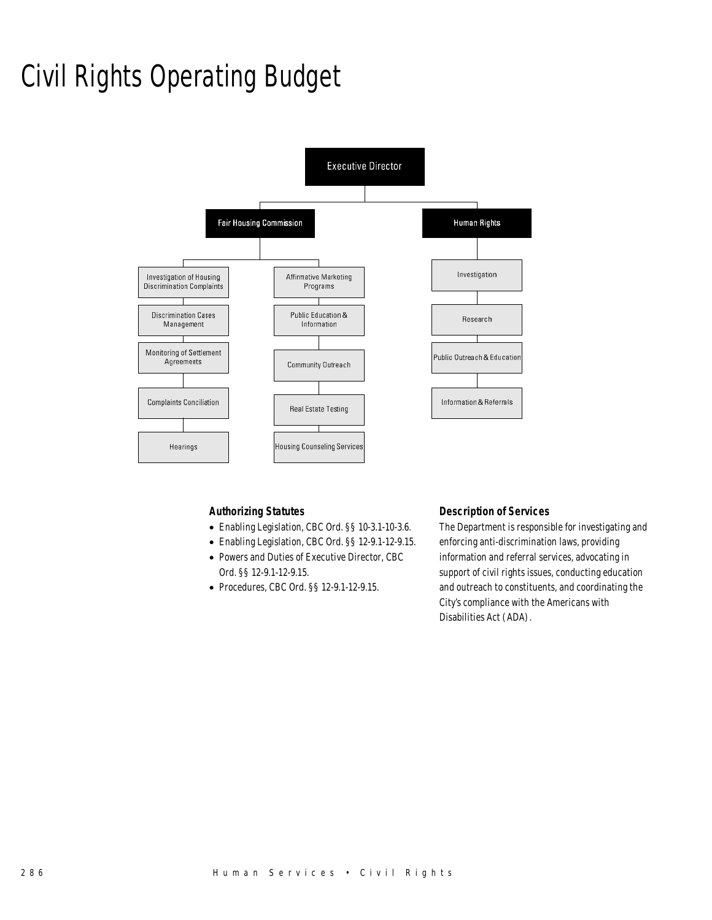# Civil Rights Operating Budget



### *Authorizing Statutes*

- Enabling Legislation, CBC Ord. §§ 10-3.1-10-3.6.
- Enabling Legislation, CBC Ord. §§ 12-9.1-12-9.15.
- Powers and Duties of Executive Director, CBC Ord. §§ 12-9.1-12-9.15.
- Procedures, CBC Ord. §§ 12-9.1-12-9.15.

### *Description of Services*

The Department is responsible for investigating and enforcing anti-discrimination laws, providing information and referral services, advocating in support of civil rights issues, conducting education and outreach to constituents, and coordinating the City's compliance with the Americans with Disabilities Act (ADA).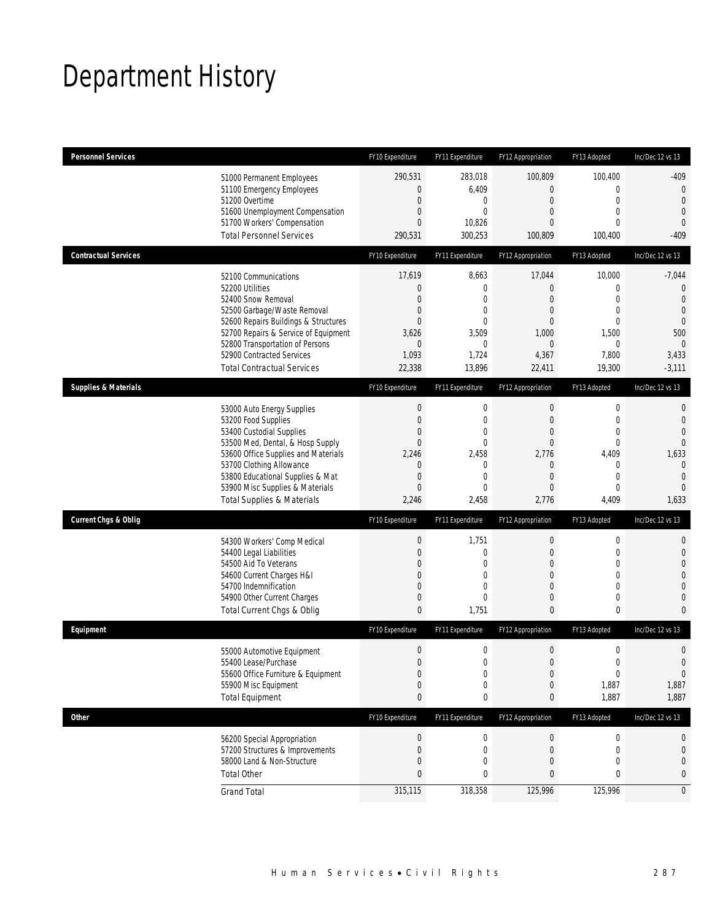# Department History

| <b>Personnel Services</b>                                                                              |                                                                                                                                                                                                                       | FY10 Expenditure                                                                        | FY11 Expenditure                                                                                      | FY12 Appropriation                                                                    | FY13 Adopted                                                                                                               | Inc/Dec 12 vs 13                                                                                                        |
|--------------------------------------------------------------------------------------------------------|-----------------------------------------------------------------------------------------------------------------------------------------------------------------------------------------------------------------------|-----------------------------------------------------------------------------------------|-------------------------------------------------------------------------------------------------------|---------------------------------------------------------------------------------------|----------------------------------------------------------------------------------------------------------------------------|-------------------------------------------------------------------------------------------------------------------------|
| 51200 Overtime<br><b>Total Personnel Services</b>                                                      | 51000 Permanent Employees<br>51100 Emergency Employees<br>51600 Unemployment Compensation<br>51700 Workers' Compensation                                                                                              | 290,531<br>0<br>$\mathbf 0$<br>0<br>$\overline{0}$<br>290,531                           | 283,018<br>6,409<br>0<br>$\mathbf 0$<br>10,826<br>300,253                                             | 100,809<br>$\overline{0}$<br>$\mathbf 0$<br>0<br>0<br>100,809                         | 100,400<br>$\mathbf{0}$<br>$\mathbf 0$<br>$\mathbf{0}$<br>$\mathbf{0}$<br>100,400                                          | $-409$<br>$\mathbf 0$<br>$\overline{0}$<br>$\mathbf{0}$<br>$\theta$<br>$-409$                                           |
| <b>Contractual Services</b>                                                                            |                                                                                                                                                                                                                       | FY10 Expenditure                                                                        | FY11 Expenditure                                                                                      | FY12 Appropriation                                                                    | FY13 Adopted                                                                                                               | Inc/Dec 12 vs 13                                                                                                        |
| 52100 Communications<br>52200 Utilities<br>52400 Snow Removal<br>52900 Contracted Services             | 52500 Garbage/Waste Removal<br>52600 Repairs Buildings & Structures<br>52700 Repairs & Service of Equipment<br>52800 Transportation of Persons<br><b>Total Contractual Services</b>                                   | 17,619<br>0<br>0<br>0<br>0<br>3,626<br>0<br>1,093<br>22,338                             | 8,663<br>$\mathbf 0$<br>0<br>$\mathbf 0$<br>0<br>3,509<br>0<br>1,724<br>13,896                        | 17,044<br>$\mathbf 0$<br>0<br>0<br>0<br>1,000<br>$\mathbf 0$<br>4,367<br>22,411       | 10,000<br>$\mathbf 0$<br>$\mathbf{0}$<br>$\mathbf 0$<br>$\mathbf 0$<br>1,500<br>$\mathbf 0$<br>7,800<br>19,300             | $-7,044$<br>$\mathbf 0$<br>$\overline{0}$<br>$\overline{0}$<br>$\theta$<br>500<br>$\theta$<br>3,433<br>$-3,111$         |
| <b>Supplies &amp; Materials</b>                                                                        |                                                                                                                                                                                                                       | FY10 Expenditure                                                                        | FY11 Expenditure                                                                                      | FY12 Appropriation                                                                    | FY13 Adopted                                                                                                               | Inc/Dec 12 vs 13                                                                                                        |
| 53200 Food Supplies<br>53400 Custodial Supplies<br>53700 Clothing Allowance                            | 53000 Auto Energy Supplies<br>53500 Med, Dental, & Hosp Supply<br>53600 Office Supplies and Materials<br>53800 Educational Supplies & Mat<br>53900 Misc Supplies & Materials<br><b>Total Supplies &amp; Materials</b> | $\boldsymbol{0}$<br>$\mathbf 0$<br>0<br>$\overline{0}$<br>2,246<br>0<br>0<br>0<br>2,246 | $\boldsymbol{0}$<br>$\mathbf 0$<br>0<br>$\mathbf 0$<br>2,458<br>$\mathbf 0$<br>0<br>$\Omega$<br>2,458 | 0<br>$\mathbf 0$<br>0<br>$\overline{0}$<br>2,776<br>0<br>$\overline{0}$<br>0<br>2,776 | $\mathbf 0$<br>$\mathbf 0$<br>$\mathbf 0$<br>$\mathbf{0}$<br>4,409<br>$\mathbf 0$<br>$\mathbf{0}$<br>$\mathbf{0}$<br>4,409 | $\mathbf{0}$<br>$\mathbf 0$<br>$\overline{0}$<br>$\Omega$<br>1,633<br>$\mathbf{0}$<br>$\mathbf{0}$<br>$\Omega$<br>1,633 |
| <b>Current Chgs &amp; Oblig</b>                                                                        |                                                                                                                                                                                                                       | FY10 Expenditure                                                                        | FY11 Expenditure                                                                                      | FY12 Appropriation                                                                    | FY13 Adopted                                                                                                               | Inc/Dec 12 vs 13                                                                                                        |
| 54400 Legal Liabilities<br>54500 Aid To Veterans<br>54600 Current Charges H&I<br>54700 Indemnification | 54300 Workers' Comp Medical<br>54900 Other Current Charges<br>Total Current Chgs & Oblig                                                                                                                              | $\boldsymbol{0}$<br>$\mathbf 0$<br>0<br>0<br>0<br>0<br>$\mathbf{0}$                     | 1,751<br>$\mathbf 0$<br>0<br>$\overline{0}$<br>$\overline{0}$<br>0<br>1,751                           | 0<br>$\mathbf 0$<br>0<br>$\overline{0}$<br>0<br>0<br>$\overline{0}$                   | $\boldsymbol{0}$<br>$\mathbf 0$<br>$\mathbf{0}$<br>$\mathbf 0$<br>$\mathbf{0}$<br>$\mathbf 0$<br>$\mathbf 0$               | $\mathbf{0}$<br>$\mathbf 0$<br>$\overline{0}$<br>$\overline{0}$<br>$\mathbf 0$<br>$\mathbf{0}$<br>$\overline{0}$        |
| Equipment                                                                                              |                                                                                                                                                                                                                       | FY10 Expenditure                                                                        | FY11 Expenditure                                                                                      | FY12 Appropriation                                                                    | FY13 Adopted                                                                                                               | Inc/Dec 12 vs 13                                                                                                        |
| 55400 Lease/Purchase<br>55900 Misc Equipment<br><b>Total Equipment</b>                                 | 55000 Automotive Equipment<br>55600 Office Furniture & Equipment                                                                                                                                                      | $\mathbf 0$<br>$\overline{0}$<br>$\boldsymbol{0}$<br>$\mathbf 0$<br>0                   | $\mathbf 0$<br>$\Omega$<br>0<br>$\mathbf 0$<br>0                                                      | $\mathbf 0$<br>0<br>$\boldsymbol{0}$<br>$\mathbf 0$<br>0                              | $\mathbf 0$<br>$\mathbf{0}$<br>$\boldsymbol{0}$<br>1,887<br>1,887                                                          | $\mathbf 0$<br>$\overline{0}$<br>0<br>1,887<br>1,887                                                                    |
| <b>Other</b>                                                                                           |                                                                                                                                                                                                                       | FY10 Expenditure                                                                        | FY11 Expenditure                                                                                      | FY12 Appropriation                                                                    | FY13 Adopted                                                                                                               | Inc/Dec 12 vs 13                                                                                                        |
| <b>Total Other</b>                                                                                     | 56200 Special Appropriation<br>57200 Structures & Improvements<br>58000 Land & Non-Structure                                                                                                                          | $\boldsymbol{0}$<br>0<br>$\mathbf 0$<br>0                                               | 0<br>0<br>$\mathbf 0$<br>0                                                                            | $\boldsymbol{0}$<br>0<br>0<br>0                                                       | $\boldsymbol{0}$<br>$\mathbf 0$<br>$\mathbf{0}$<br>0                                                                       | 0<br>$\mathbf 0$<br>$\mathbf 0$<br>0                                                                                    |
| <b>Grand Total</b>                                                                                     |                                                                                                                                                                                                                       | 315,115                                                                                 | 318,358                                                                                               | 125,996                                                                               | 125,996                                                                                                                    | $\mathbf 0$                                                                                                             |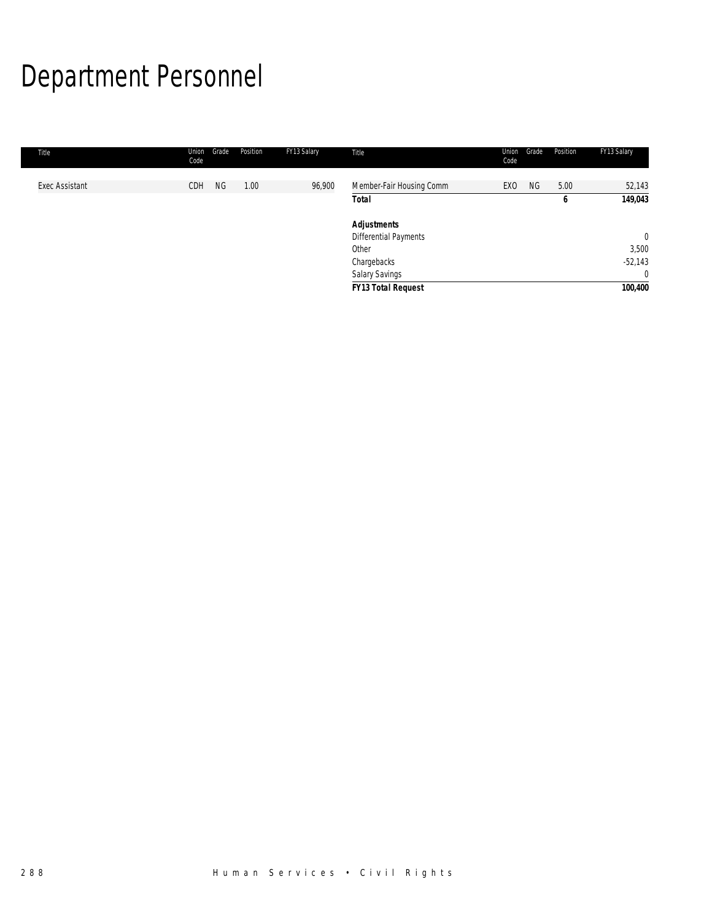# Department Personnel

| Title                 | Union<br>Code | Position<br>Grade | FY13 Salary | Title                     | Union<br>Code   | Grade | Position | FY13 Salary  |
|-----------------------|---------------|-------------------|-------------|---------------------------|-----------------|-------|----------|--------------|
| <b>Exec Assistant</b> | CDH           | <b>NG</b><br>1.00 | 96,900      | Member-Fair Housing Comm  | EX <sub>0</sub> | NG.   | 5.00     | 52,143       |
|                       |               |                   |             | <b>Total</b>              |                 |       | 6        | 149,043      |
|                       |               |                   |             | <b>Adjustments</b>        |                 |       |          |              |
|                       |               |                   |             | Differential Payments     |                 |       |          | $\mathbf{0}$ |
|                       |               |                   |             | Other                     |                 |       |          | 3,500        |
|                       |               |                   |             | Chargebacks               |                 |       |          | $-52,143$    |
|                       |               |                   |             | <b>Salary Savings</b>     |                 |       |          | $\mathbf{0}$ |
|                       |               |                   |             | <b>FY13 Total Request</b> |                 |       |          | 100,400      |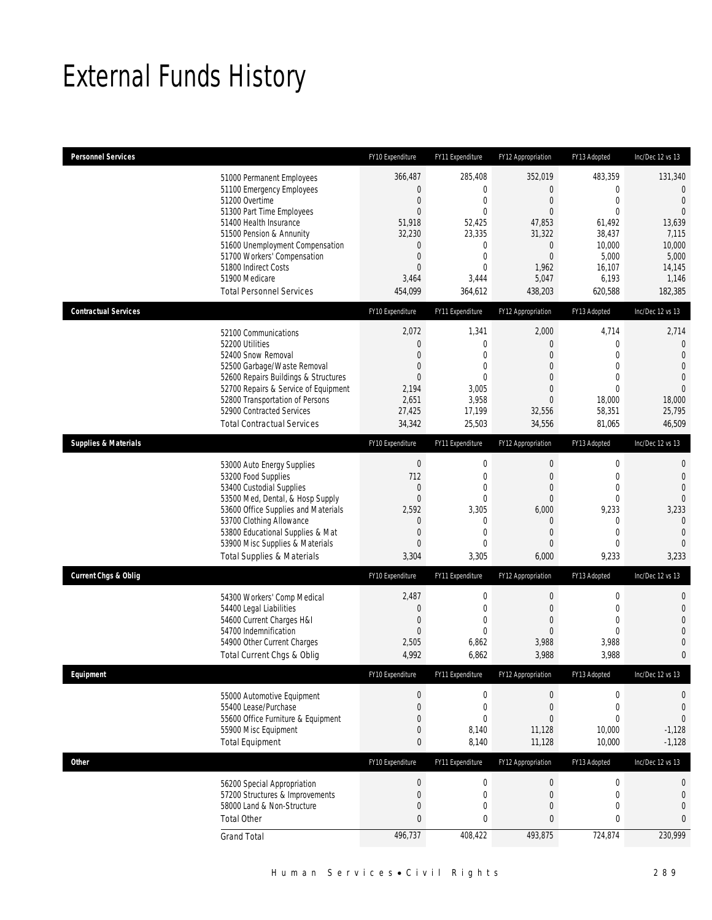# External Funds History

| <b>Personnel Services</b>       |                                                                                                                                                                                                                                                                                                            | FY10 Expenditure                                                                           | FY11 Expenditure                                                                                                                                | FY12 Appropriation                                                                                                           | FY13 Adopted                                                                                                                | Inc/Dec 12 vs 13                                                                                                                |
|---------------------------------|------------------------------------------------------------------------------------------------------------------------------------------------------------------------------------------------------------------------------------------------------------------------------------------------------------|--------------------------------------------------------------------------------------------|-------------------------------------------------------------------------------------------------------------------------------------------------|------------------------------------------------------------------------------------------------------------------------------|-----------------------------------------------------------------------------------------------------------------------------|---------------------------------------------------------------------------------------------------------------------------------|
|                                 | 51000 Permanent Employees<br>51100 Emergency Employees<br>51200 Overtime<br>51300 Part Time Employees<br>51400 Health Insurance<br>51500 Pension & Annunity<br>51600 Unemployment Compensation<br>51700 Workers' Compensation<br>51800 Indirect Costs<br>51900 Medicare<br><b>Total Personnel Services</b> | 366,487<br>0<br>0<br>$\overline{0}$<br>51,918<br>32,230<br>0<br>0<br>0<br>3,464<br>454,099 | 285,408<br>$\boldsymbol{0}$<br>$\boldsymbol{0}$<br>$\mathbf 0$<br>52,425<br>23,335<br>0<br>$\boldsymbol{0}$<br>$\mathbf{0}$<br>3,444<br>364,612 | 352,019<br>$\mathbf 0$<br>0<br>$\overline{0}$<br>47,853<br>31,322<br>$\mathbf 0$<br>$\mathbf 0$<br>1,962<br>5,047<br>438,203 | 483,359<br>$\mathbf{0}$<br>$\mathbf 0$<br>$\mathbf{0}$<br>61,492<br>38,437<br>10,000<br>5,000<br>16,107<br>6,193<br>620,588 | 131,340<br>$\overline{0}$<br>$\mathbf{0}$<br>$\overline{0}$<br>13,639<br>7,115<br>10,000<br>5,000<br>14,145<br>1,146<br>182,385 |
| <b>Contractual Services</b>     |                                                                                                                                                                                                                                                                                                            | FY10 Expenditure                                                                           | FY11 Expenditure                                                                                                                                | FY12 Appropriation                                                                                                           | FY13 Adopted                                                                                                                | Inc/Dec 12 vs 13                                                                                                                |
|                                 | 52100 Communications<br>52200 Utilities<br>52400 Snow Removal<br>52500 Garbage/Waste Removal<br>52600 Repairs Buildings & Structures<br>52700 Repairs & Service of Equipment<br>52800 Transportation of Persons<br>52900 Contracted Services<br><b>Total Contractual Services</b>                          | 2,072<br>0<br>0<br>0<br>0<br>2,194<br>2,651<br>27,425<br>34,342                            | 1,341<br>$\boldsymbol{0}$<br>$\boldsymbol{0}$<br>0<br>$\mathbf{0}$<br>3,005<br>3,958<br>17,199<br>25,503                                        | 2,000<br>0<br>$\overline{0}$<br>0<br>0<br>$\mathbf 0$<br>$\overline{0}$<br>32,556<br>34,556                                  | 4,714<br>$\mathbf{0}$<br>$\mathbf{0}$<br>$\mathbf 0$<br>$\mathbf{0}$<br>$\mathbf{0}$<br>18,000<br>58,351<br>81,065          | 2,714<br>$\overline{0}$<br>$\overline{0}$<br>$\overline{0}$<br>$\theta$<br>$\Omega$<br>18,000<br>25,795<br>46,509               |
| <b>Supplies &amp; Materials</b> |                                                                                                                                                                                                                                                                                                            | FY10 Expenditure                                                                           | FY11 Expenditure                                                                                                                                | FY12 Appropriation                                                                                                           | FY13 Adopted                                                                                                                | Inc/Dec 12 vs 13                                                                                                                |
|                                 | 53000 Auto Energy Supplies<br>53200 Food Supplies<br>53400 Custodial Supplies<br>53500 Med, Dental, & Hosp Supply<br>53600 Office Supplies and Materials<br>53700 Clothing Allowance<br>53800 Educational Supplies & Mat<br>53900 Misc Supplies & Materials<br><b>Total Supplies &amp; Materials</b>       | $\boldsymbol{0}$<br>712<br>0<br>$\overline{0}$<br>2,592<br>0<br>0<br>0<br>3,304            | 0<br>$\boldsymbol{0}$<br>$\boldsymbol{0}$<br>$\mathbf 0$<br>3,305<br>0<br>$\mathbf 0$<br>$\mathbf{0}$<br>3,305                                  | $\boldsymbol{0}$<br>$\mathbf 0$<br>$\overline{0}$<br>$\mathbf 0$<br>6,000<br>0<br>0<br>0<br>6,000                            | $\mathbf 0$<br>$\mathbf{0}$<br>$\mathbf 0$<br>$\mathbf 0$<br>9,233<br>0<br>$\mathbf{0}$<br>$\mathbf 0$<br>9,233             | $\mathbf 0$<br>$\mathbf{0}$<br>$\overline{0}$<br>$\Omega$<br>3,233<br>$\mathbf 0$<br>$\mathbf 0$<br>$\overline{0}$<br>3,233     |
| <b>Current Chgs &amp; Oblig</b> |                                                                                                                                                                                                                                                                                                            | FY10 Expenditure                                                                           | FY11 Expenditure                                                                                                                                | FY12 Appropriation                                                                                                           | FY13 Adopted                                                                                                                | Inc/Dec 12 vs 13                                                                                                                |
|                                 | 54300 Workers' Comp Medical<br>54400 Legal Liabilities<br>54600 Current Charges H&I<br>54700 Indemnification<br>54900 Other Current Charges<br>Total Current Chgs & Oblig                                                                                                                                  | 2,487<br>0<br>0<br>0<br>2,505<br>4,992                                                     | $\boldsymbol{0}$<br>$\boldsymbol{0}$<br>$\boldsymbol{0}$<br>$\mathbf 0$<br>6,862<br>6,862                                                       | $\boldsymbol{0}$<br>0<br>$\overline{0}$<br>$\mathbf 0$<br>3,988<br>3,988                                                     | $\mathbf 0$<br>$\mathbf{0}$<br>$\mathbf{0}$<br>$\overline{0}$<br>3,988<br>3,988                                             | $\mathbf 0$<br>$\mathbf{0}$<br>$\overline{0}$<br>$\overline{0}$<br>$\mathbf 0$<br>$\mathbf{0}$                                  |
| Equipment                       |                                                                                                                                                                                                                                                                                                            | FY10 Expenditure                                                                           | FY11 Expenditure                                                                                                                                | FY12 Appropriation                                                                                                           | FY13 Adopted                                                                                                                | Inc/Dec 12 vs 13                                                                                                                |
|                                 | 55000 Automotive Equipment<br>55400 Lease/Purchase<br>55600 Office Furniture & Equipment<br>55900 Misc Equipment<br><b>Total Equipment</b>                                                                                                                                                                 | $\boldsymbol{0}$<br>0<br>0<br>0<br>0                                                       | 0<br>$\boldsymbol{0}$<br>0<br>8,140<br>8,140                                                                                                    | $\boldsymbol{0}$<br>$\mathbf 0$<br>$\overline{0}$<br>11,128<br>11,128                                                        | $\boldsymbol{0}$<br>$\boldsymbol{0}$<br>$\mathbf{0}$<br>10,000<br>10,000                                                    | $\boldsymbol{0}$<br>$\mathbf 0$<br>$\mathbf 0$<br>$-1,128$<br>$-1,128$                                                          |
| <b>Other</b>                    |                                                                                                                                                                                                                                                                                                            | FY10 Expenditure                                                                           | FY11 Expenditure                                                                                                                                | FY12 Appropriation                                                                                                           | FY13 Adopted                                                                                                                | Inc/Dec 12 vs 13                                                                                                                |
|                                 | 56200 Special Appropriation<br>57200 Structures & Improvements<br>58000 Land & Non-Structure<br><b>Total Other</b>                                                                                                                                                                                         | $\boldsymbol{0}$<br>0<br>0<br>0                                                            | $\boldsymbol{0}$<br>$\boldsymbol{0}$<br>0<br>$\pmb{0}$                                                                                          | $\boldsymbol{0}$<br>$\mathbf 0$<br>0<br>0                                                                                    | $\boldsymbol{0}$<br>$\boldsymbol{0}$<br>$\mathbf 0$<br>0                                                                    | $\boldsymbol{0}$<br>$\mathbf 0$<br>$\overline{0}$<br>$\mathbf{0}$                                                               |
|                                 | <b>Grand Total</b>                                                                                                                                                                                                                                                                                         | 496,737                                                                                    | 408,422                                                                                                                                         | 493,875                                                                                                                      | 724,874                                                                                                                     | 230,999                                                                                                                         |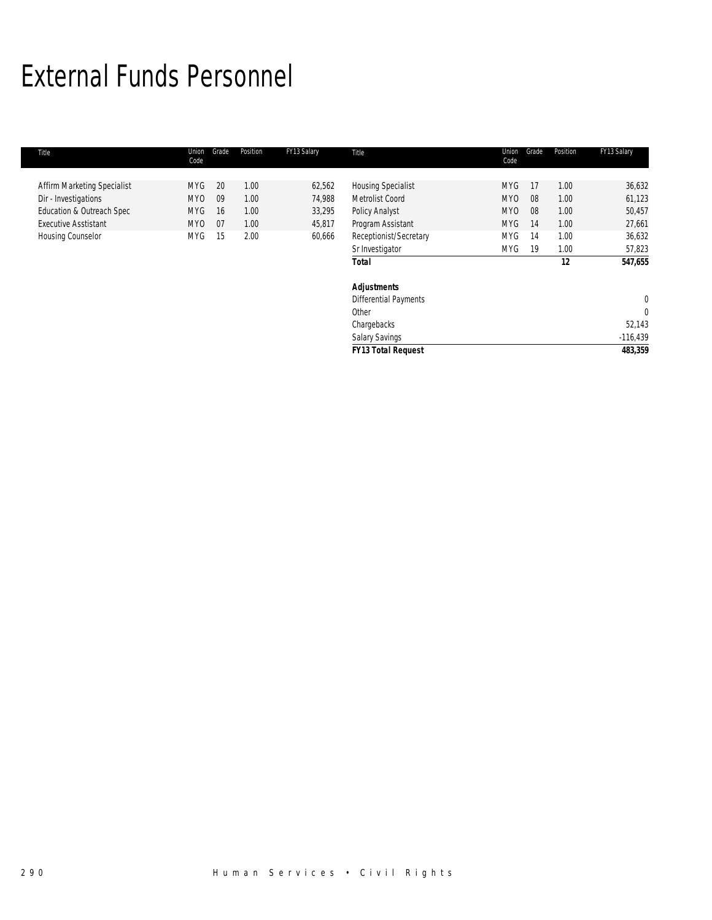### External Funds Personnel

| Title                                                    | Union<br>Code                 | Grade    | Position     | FY13 Salary      | Title                                              | Union<br>Code                 | Grade    | Position     | FY13 Salary          |
|----------------------------------------------------------|-------------------------------|----------|--------------|------------------|----------------------------------------------------|-------------------------------|----------|--------------|----------------------|
| Affirm Marketing Specialist<br>Dir - Investigations      | <b>MYG</b><br>MY <sub>0</sub> | 20<br>09 | 1.00<br>1.00 | 62,562<br>74,988 | <b>Housing Specialist</b><br>Metrolist Coord       | <b>MYG</b><br>MY <sub>0</sub> | 17<br>08 | 1.00<br>1.00 | 36,632<br>61,123     |
| Education & Outreach Spec<br><b>Executive Asstistant</b> | MYG<br>MY0                    | 16<br>07 | 1.00<br>1.00 | 33,295<br>45,817 | <b>Policy Analyst</b><br>Program Assistant         | MY <sub>0</sub><br><b>MYG</b> | 08<br>14 | 1.00<br>1.00 | 50,457<br>27,661     |
| Housing Counselor                                        | MYG                           | 15       | 2.00         | 60,666           | Receptionist/Secretary<br>Sr Investigator          | <b>MYG</b><br><b>MYG</b>      | 14<br>19 | 1.00<br>1.00 | 36,632<br>57,823     |
|                                                          |                               |          |              |                  | <b>Total</b>                                       |                               |          | 12           | 547,655              |
|                                                          |                               |          |              |                  | <b>Adjustments</b><br><b>Differential Payments</b> |                               |          |              | 0                    |
|                                                          |                               |          |              |                  | Other                                              |                               |          |              | $\mathbf 0$          |
|                                                          |                               |          |              |                  | Chargebacks<br><b>Salary Savings</b>               |                               |          |              | 52,143<br>$-116,439$ |
|                                                          |                               |          |              |                  | <b>FY13 Total Request</b>                          |                               |          |              | 483,359              |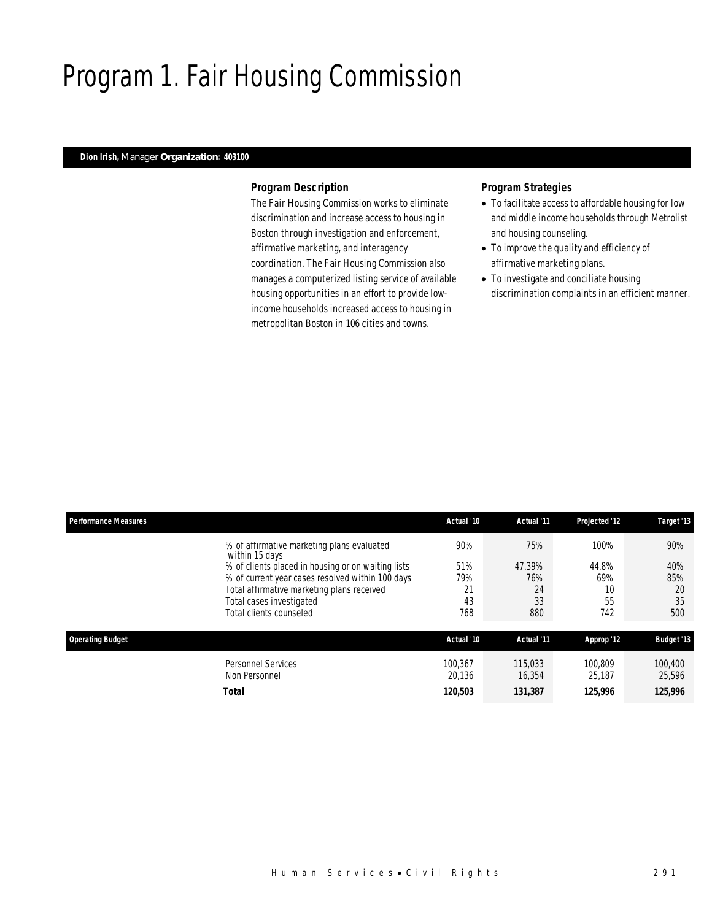# Program 1. Fair Housing Commission

### *Dion Irish, Manager Organization: 403100*

### *Program Description*

The Fair Housing Commission works to eliminate discrimination and increase access to housing in Boston through investigation and enforcement, affirmative marketing, and interagency coordination. The Fair Housing Commission also manages a computerized listing service of available housing opportunities in an effort to provide lowincome households increased access to housing in metropolitan Boston in 106 cities and towns.

- To facilitate access to affordable housing for low and middle income households through Metrolist and housing counseling.
- To improve the quality and efficiency of affirmative marketing plans.
- To investigate and conciliate housing discrimination complaints in an efficient manner.

| <b>Performance Measures</b> |                                                                                                                                                                                                                                                                             | Actual '10                           | Actual '11                              | Projected '12                           | Target '13                           |
|-----------------------------|-----------------------------------------------------------------------------------------------------------------------------------------------------------------------------------------------------------------------------------------------------------------------------|--------------------------------------|-----------------------------------------|-----------------------------------------|--------------------------------------|
|                             | % of affirmative marketing plans evaluated<br>within 15 days<br>% of clients placed in housing or on waiting lists<br>% of current year cases resolved within 100 days<br>Total affirmative marketing plans received<br>Total cases investigated<br>Total clients counseled | 90%<br>51%<br>79%<br>21<br>43<br>768 | 75%<br>47.39%<br>76%<br>24<br>33<br>880 | 100%<br>44.8%<br>69%<br>10<br>55<br>742 | 90%<br>40%<br>85%<br>20<br>35<br>500 |
| <b>Operating Budget</b>     |                                                                                                                                                                                                                                                                             | Actual '10                           | Actual '11                              | Approp '12                              | <b>Budget '13</b>                    |
|                             | Personnel Services<br>Non Personnel<br><b>Total</b>                                                                                                                                                                                                                         | 100.367<br>20,136<br>120,503         | 115,033<br>16,354<br>131,387            | 100.809<br>25,187<br>125,996            | 100,400<br>25,596<br>125,996         |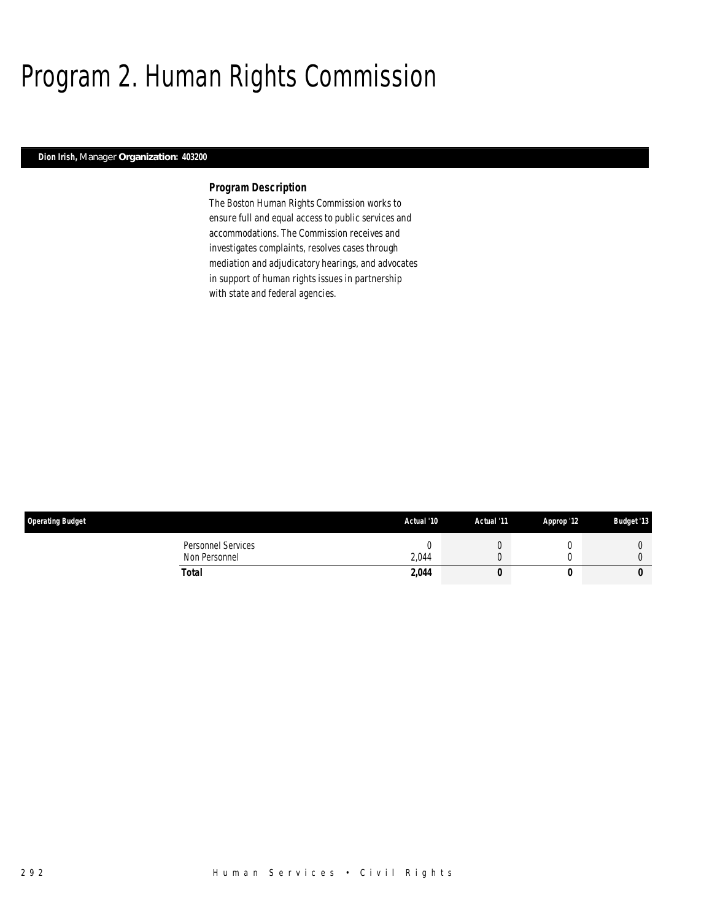# Program 2. Human Rights Commission

### *Dion Irish, Manager Organization: 403200*

### *Program Description*

The Boston Human Rights Commission works to ensure full and equal access to public services and accommodations. The Commission receives and investigates complaints, resolves cases through mediation and adjudicatory hearings, and advocates in support of human rights issues in partnership with state and federal agencies.

| <b>Operating Budget</b>             | Actual '10 | Actual '11 | Approp '12 | <b>Budget '13</b> |
|-------------------------------------|------------|------------|------------|-------------------|
| Personnel Services<br>Non Personnel | 2,044      |            |            |                   |
| Total                               | 2,044      |            |            | 0                 |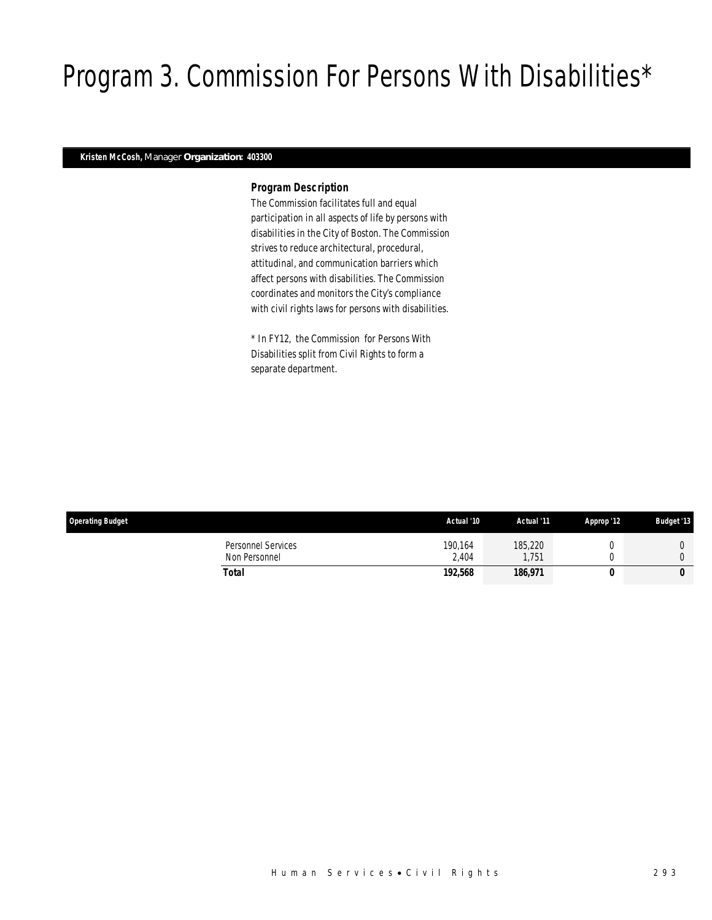# Program 3. Commission For Persons With Disabilities\*

### *Kristen McCosh, Manager Organization: 403300*

### *Program Description*

The Commission facilitates full and equal participation in all aspects of life by persons with disabilities in the City of Boston. The Commission strives to reduce architectural, procedural, attitudinal, and communication barriers which affect persons with disabilities. The Commission coordinates and monitors the City's compliance with civil rights laws for persons with disabilities.

\* In FY12, the Commission for Persons With Disabilities split from Civil Rights to form a separate department.

| <b>Operating Budget</b>             | Actual '10       | Actual '11      | Approp '12 | <b>Budget '13</b> |
|-------------------------------------|------------------|-----------------|------------|-------------------|
| Personnel Services<br>Non Personnel | 190.164<br>2.404 | 185,220<br>.751 |            |                   |
| Total                               | 192.568          | 186,971         |            | υ                 |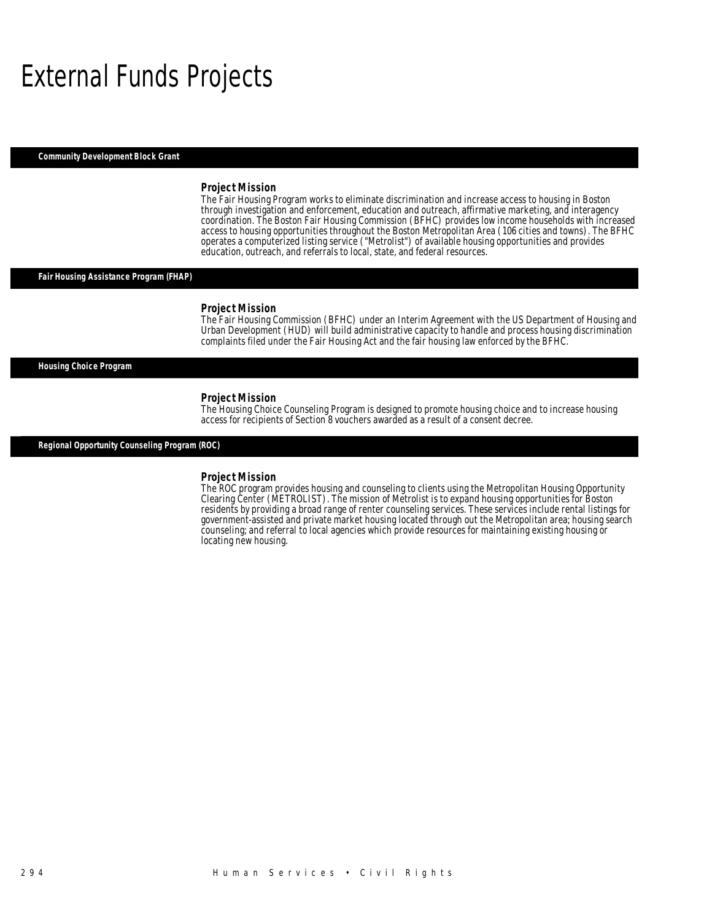### External Funds Projects

*Community Development Block Grant* 

#### *Project Mission*

The Fair Housing Program works to eliminate discrimination and increase access to housing in Boston through investigation and enforcement, education and outreach, affirmative marketing, and interagency coordination. The Boston Fair Housing Commission (BFHC) provides low income households with increased access to housing opportunities throughout the Boston Metropolitan Area (106 cities and towns). The BFHC operates a computerized listing service ("Metrolist") of available housing opportunities and provides education, outreach, and referrals to local, state, and federal resources.

### *Fair Housing Assistance Program (FHAP)*

#### *Project Mission*

The Fair Housing Commission (BFHC) under an Interim Agreement with the US Department of Housing and Urban Development (HUD) will build administrative capacity to handle and process housing discrimination complaints filed under the Fair Housing Act and the fair housing law enforced by the BFHC.

### *Housing Choice Program*

*Project Mission*<br>The Housing Choice Counseling Program is designed to promote housing choice and to increase housing access for recipients of Section 8 vouchers awarded as a result of a consent decree.

*Regional Opportunity Counseling Program (ROC)* 

#### *Project Mission*

The ROC program provides housing and counseling to clients using the Metropolitan Housing Opportunity Clearing Center (METROLIST). The mission of Metrolist is to expand housing opportunities for Boston residents by providing a broad range of renter counseling services. These services include rental listings for government-assisted and private market housing located through out the Metropolitan area; housing search counseling; and referral to local agencies which provide resources for maintaining existing housing or locating new housing.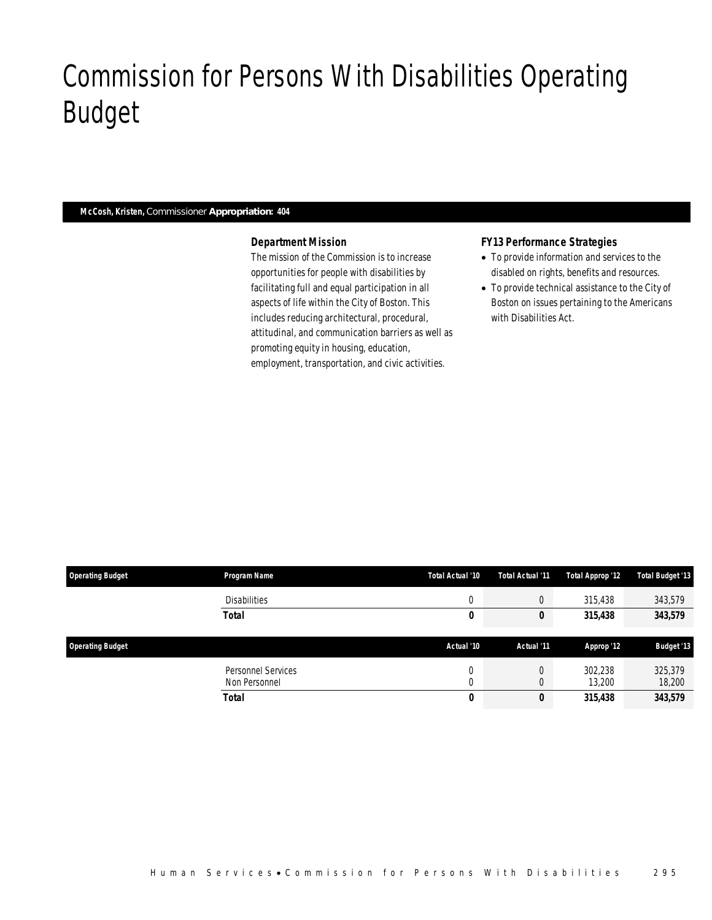# Commission for Persons With Disabilities Operating Budget

### *McCosh, Kristen, Commissioner Appropriation: 404*

Commission for Persons With Disabilities

### *Department Mission*

The mission of the Commission is to increase opportunities for people with disabilities by facilitating full and equal participation in all aspects of life within the City of Boston. This includes reducing architectural, procedural, attitudinal, and communication barriers as well as promoting equity in housing, education, employment, transportation, and civic activities.

### *FY13 Performance Strategies*

- To provide information and services to the disabled on rights, benefits and resources.
- To provide technical assistance to the City of Boston on issues pertaining to the Americans with Disabilities Act.

| <b>Operating Budget</b> | <b>Program Name</b> | Total Actual '10 | Total Actual '11 | Total Approp '12 | <b>Total Budget '13</b> |
|-------------------------|---------------------|------------------|------------------|------------------|-------------------------|
|                         | <b>Disabilities</b> | $\Omega$         | $\mathbf 0$      | 315,438          | 343,579                 |
|                         | Total               | 0                | U                | 315,438          | 343,579                 |
|                         |                     |                  |                  |                  |                         |
|                         |                     |                  |                  |                  |                         |
| <b>Operating Budget</b> |                     | Actual '10       | Actual '11       | Approp '12       | <b>Budget '13</b>       |
|                         | Personnel Services  |                  |                  | 302,238          | 325,379                 |
|                         | Non Personnel       |                  |                  | 13,200           | 18,200                  |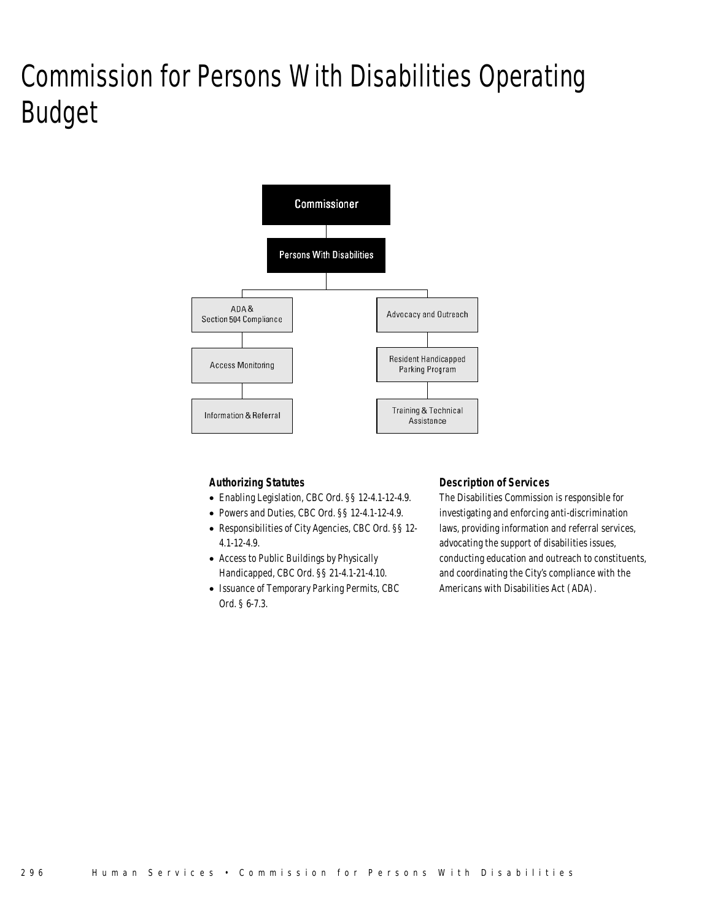# Commission for Persons With Disabilities Operating Budget



### *Authorizing Statutes*

- Enabling Legislation, CBC Ord. §§ 12-4.1-12-4.9.
- Powers and Duties, CBC Ord. §§ 12-4.1-12-4.9.
- Responsibilities of City Agencies, CBC Ord. §§ 12- 4.1-12-4.9.
- Access to Public Buildings by Physically Handicapped, CBC Ord. §§ 21-4.1-21-4.10.
- Issuance of Temporary Parking Permits, CBC Ord. § 6-7.3.

### *Description of Services*

The Disabilities Commission is responsible for investigating and enforcing anti-discrimination laws, providing information and referral services, advocating the support of disabilities issues, conducting education and outreach to constituents, and coordinating the City's compliance with the Americans with Disabilities Act (ADA).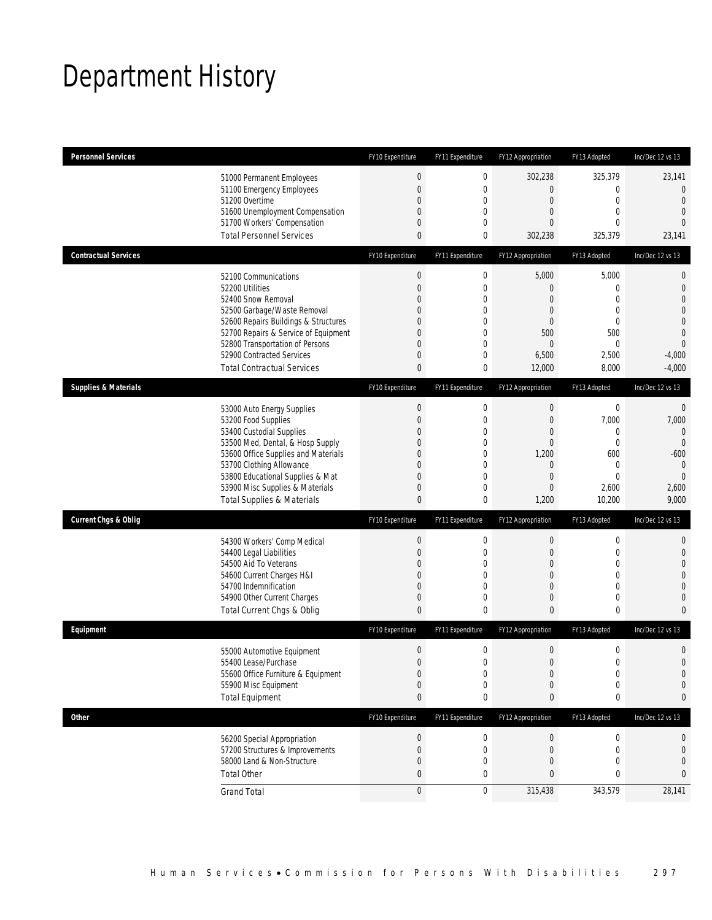# Department History

| <b>Personnel Services</b>       |                                                                     | FY10 Expenditure | FY11 Expenditure | FY12 Appropriation | FY13 Adopted                | Inc/Dec 12 vs 13                 |
|---------------------------------|---------------------------------------------------------------------|------------------|------------------|--------------------|-----------------------------|----------------------------------|
|                                 | 51000 Permanent Employees                                           | $\boldsymbol{0}$ | 0                | 302,238            | 325,379                     | 23,141                           |
|                                 | 51100 Emergency Employees                                           | $\boldsymbol{0}$ | 0                | 0                  | 0                           | $\overline{0}$                   |
|                                 | 51200 Overtime                                                      | 0                | 0                | $\mathbf 0$        | $\mathbf 0$                 | $\mathbf{0}$                     |
|                                 | 51600 Unemployment Compensation                                     | 0                | 0                | 0                  | $\mathbf{0}$                | $\overline{0}$                   |
|                                 | 51700 Workers' Compensation<br><b>Total Personnel Services</b>      | $\mathbf 0$<br>0 | 0<br>0           | $\overline{0}$     | $\mathbf{0}$<br>325,379     | $\Omega$<br>23,141               |
|                                 |                                                                     |                  |                  | 302,238            |                             |                                  |
| <b>Contractual Services</b>     |                                                                     | FY10 Expenditure | FY11 Expenditure | FY12 Appropriation | FY13 Adopted                | Inc/Dec 12 vs 13                 |
|                                 | 52100 Communications                                                | $\boldsymbol{0}$ | $\boldsymbol{0}$ | 5,000              | 5,000                       | $\mathbf 0$                      |
|                                 | 52200 Utilities                                                     | $\overline{0}$   | 0                | 0                  | $\mathbf{0}$                | $\mathbf 0$                      |
|                                 | 52400 Snow Removal                                                  | 0<br>0           | 0                | $\overline{0}$     | $\mathbf{0}$                | $\overline{0}$<br>$\overline{0}$ |
|                                 | 52500 Garbage/Waste Removal<br>52600 Repairs Buildings & Structures | 0                | 0<br>0           | 0<br>0             | $\mathbf 0$<br>$\mathbf{0}$ | $\mathbf 0$                      |
|                                 | 52700 Repairs & Service of Equipment                                | 0                | 0                | 500                | 500                         | $\overline{0}$                   |
|                                 | 52800 Transportation of Persons                                     | 0                | 0                | 0                  | $\mathbf 0$                 | $\overline{0}$                   |
|                                 | 52900 Contracted Services                                           | $\mathbf 0$      | 0                | 6,500              | 2,500                       | $-4,000$                         |
|                                 | <b>Total Contractual Services</b>                                   | 0                | 0                | 12,000             | 8,000                       | $-4,000$                         |
| <b>Supplies &amp; Materials</b> |                                                                     | FY10 Expenditure | FY11 Expenditure | FY12 Appropriation | FY13 Adopted                | Inc/Dec 12 vs 13                 |
|                                 |                                                                     | $\boldsymbol{0}$ | 0                | $\mathbf 0$        | $\boldsymbol{0}$            | $\mathbf 0$                      |
|                                 | 53000 Auto Energy Supplies<br>53200 Food Supplies                   | $\mathbf 0$      | 0                | 0                  | 7,000                       | 7,000                            |
|                                 | 53400 Custodial Supplies                                            | 0                | 0                | 0                  | $\mathbf{0}$                | $\mathbf{0}$                     |
|                                 | 53500 Med, Dental, & Hosp Supply                                    | 0                | 0                | $\mathbf 0$        | $\mathbf 0$                 | $\overline{0}$                   |
|                                 | 53600 Office Supplies and Materials                                 | 0                | 0                | 1,200              | 600                         | $-600$                           |
|                                 | 53700 Clothing Allowance                                            | $\overline{0}$   | 0                | $\theta$           | 0                           | $\mathbf{0}$                     |
|                                 | 53800 Educational Supplies & Mat                                    | 0                | 0                | 0                  | $\mathbf{0}$                | $\mathbf{0}$                     |
|                                 | 53900 Misc Supplies & Materials                                     | $\mathbf 0$      | $\overline{0}$   | 0                  | 2,600                       | 2,600                            |
|                                 | <b>Total Supplies &amp; Materials</b>                               | $\mathbf{0}$     | 0                | 1,200              | 10,200                      | 9,000                            |
| <b>Current Chgs &amp; Oblig</b> |                                                                     | FY10 Expenditure | FY11 Expenditure | FY12 Appropriation | FY13 Adopted                | Inc/Dec 12 vs 13                 |
|                                 | 54300 Workers' Comp Medical                                         | $\boldsymbol{0}$ | 0                | 0                  | $\boldsymbol{0}$            | 0                                |
|                                 | 54400 Legal Liabilities                                             | $\boldsymbol{0}$ | 0                | $\mathbf 0$        | $\mathbf 0$                 | $\mathbf 0$                      |
|                                 | 54500 Aid To Veterans                                               | 0                | $\mathbf{0}$     | 0                  | $\mathbf{0}$                | $\overline{0}$                   |
|                                 | 54600 Current Charges H&I                                           | $\mathbf 0$      | 0                | 0                  | $\mathbf 0$                 | $\overline{0}$                   |
|                                 | 54700 Indemnification                                               | 0                | 0                | 0                  | $\mathbf{0}$                | $\mathbf 0$                      |
|                                 | 54900 Other Current Charges                                         | $\boldsymbol{0}$ | 0                | 0                  | $\mathbf 0$                 | $\mathbf{0}$                     |
|                                 | Total Current Chgs & Oblig                                          | $\mathbf{0}$     | 0                | 0                  | $\bf{0}$                    | $\mathbf{0}$                     |
| Equipment                       |                                                                     | FY10 Expenditure | FY11 Expenditure | FY12 Appropriation | FY13 Adopted                | Inc/Dec 12 vs 13                 |
|                                 | 55000 Automotive Equipment                                          | $\theta$         | 0                | 0                  | $\boldsymbol{0}$            | $\mathbf 0$                      |
|                                 | 55400 Lease/Purchase                                                | $\Omega$         | $\Omega$         | $\Omega$           | $\theta$                    | $\Omega$                         |
|                                 | 55600 Office Furniture & Equipment                                  | $\boldsymbol{0}$ | 0                | $\boldsymbol{0}$   | $\boldsymbol{0}$            | $\mathbf 0$                      |
|                                 | 55900 Misc Equipment                                                | $\boldsymbol{0}$ | 0                | 0                  | $\mathbf 0$                 | $\mathbf 0$                      |
|                                 | <b>Total Equipment</b>                                              | 0                | 0                | 0                  | 0                           | 0                                |
| Other                           |                                                                     | FY10 Expenditure | FY11 Expenditure | FY12 Appropriation | FY13 Adopted                | Inc/Dec 12 vs 13                 |
|                                 | 56200 Special Appropriation                                         | $\boldsymbol{0}$ | 0                | $\overline{0}$     | 0                           | 0                                |
|                                 | 57200 Structures & Improvements                                     | $\boldsymbol{0}$ | 0                | $\boldsymbol{0}$   | $\mathbf 0$                 | $\mathbf 0$                      |
|                                 | 58000 Land & Non-Structure                                          | $\mathbf 0$      | 0                | 0                  | $\overline{0}$              | $\mathbf 0$                      |
|                                 | <b>Total Other</b>                                                  | 0                | 0                | 0                  | 0                           | 0                                |
|                                 | <b>Grand Total</b>                                                  | $\boldsymbol{0}$ | $\mathbf 0$      | 315,438            | 343,579                     | 28,141                           |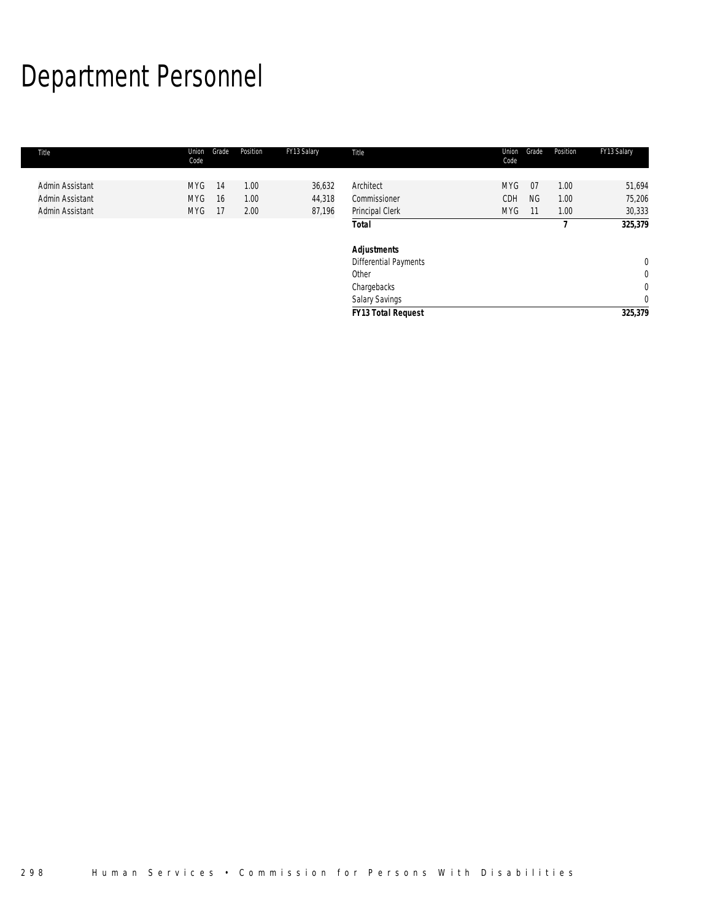# Department Personnel

| Title           | Union<br>Code | Position<br>Grade | FY13 Salary | Title                     | Union<br>Grade<br>Code  | Position | FY13 Salary    |
|-----------------|---------------|-------------------|-------------|---------------------------|-------------------------|----------|----------------|
|                 |               |                   |             |                           |                         |          |                |
| Admin Assistant | <b>MYG</b>    | 1.00<br>-14       | 36,632      | Architect                 | <b>MYG</b><br>07        | 1.00     | 51,694         |
| Admin Assistant | <b>MYG</b>    | 1.00<br>16        | 44,318      | Commissioner              | <b>CDH</b><br><b>NG</b> | 1.00     | 75,206         |
| Admin Assistant | <b>MYG</b>    | 2.00<br>- 17      | 87,196      | Principal Clerk           | <b>MYG</b><br>11        | 1.00     | 30,333         |
|                 |               |                   |             | <b>Total</b>              |                         |          | 325,379        |
|                 |               |                   |             | Adjustments               |                         |          |                |
|                 |               |                   |             | Differential Payments     |                         |          | $\overline{0}$ |
|                 |               |                   |             | Other                     |                         |          | $\mathbf 0$    |
|                 |               |                   |             | Chargebacks               |                         |          | $\mathbf 0$    |
|                 |               |                   |             | Salary Savings            |                         |          | $\mathbf 0$    |
|                 |               |                   |             | <b>FY13 Total Request</b> |                         |          | 325,379        |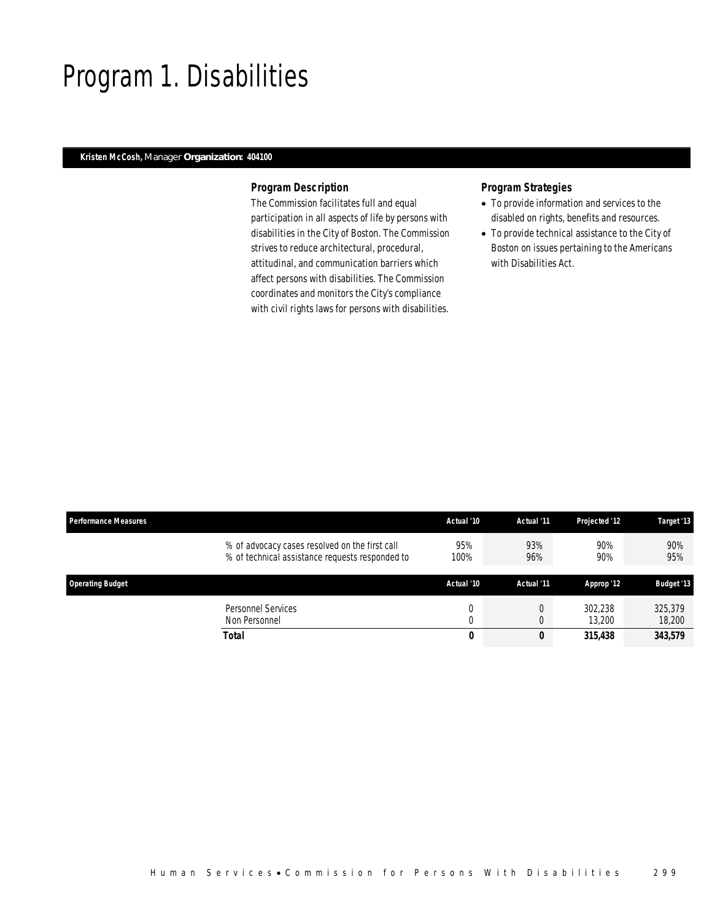### Program 1. Disabilities

### *Kristen McCosh, Manager Organization: 404100*

### *Program Description*

The Commission facilitates full and equal participation in all aspects of life by persons with disabilities in the City of Boston. The Commission strives to reduce architectural, procedural, attitudinal, and communication barriers which affect persons with disabilities. The Commission coordinates and monitors the City's compliance with civil rights laws for persons with disabilities.

- To provide information and services to the disabled on rights, benefits and resources.
- To provide technical assistance to the City of Boston on issues pertaining to the Americans with Disabilities Act.

| <b>Performance Measures</b> |                                                                                                   | Actual '10    | Actual '11 | Projected '12     | Target '13        |
|-----------------------------|---------------------------------------------------------------------------------------------------|---------------|------------|-------------------|-------------------|
|                             | % of advocacy cases resolved on the first call<br>% of technical assistance requests responded to | 95%<br>100%   | 93%<br>96% | 90%<br>90%        | 90%<br>95%        |
| <b>Operating Budget</b>     |                                                                                                   | Actual '10    | Actual '11 | Approp '12        | <b>Budget '13</b> |
|                             | Personnel Services<br>Non Personnel                                                               | $\Omega$<br>0 |            | 302.238<br>13,200 | 325,379<br>18,200 |
| Total                       |                                                                                                   | 0             | 0          | 315,438           | 343,579           |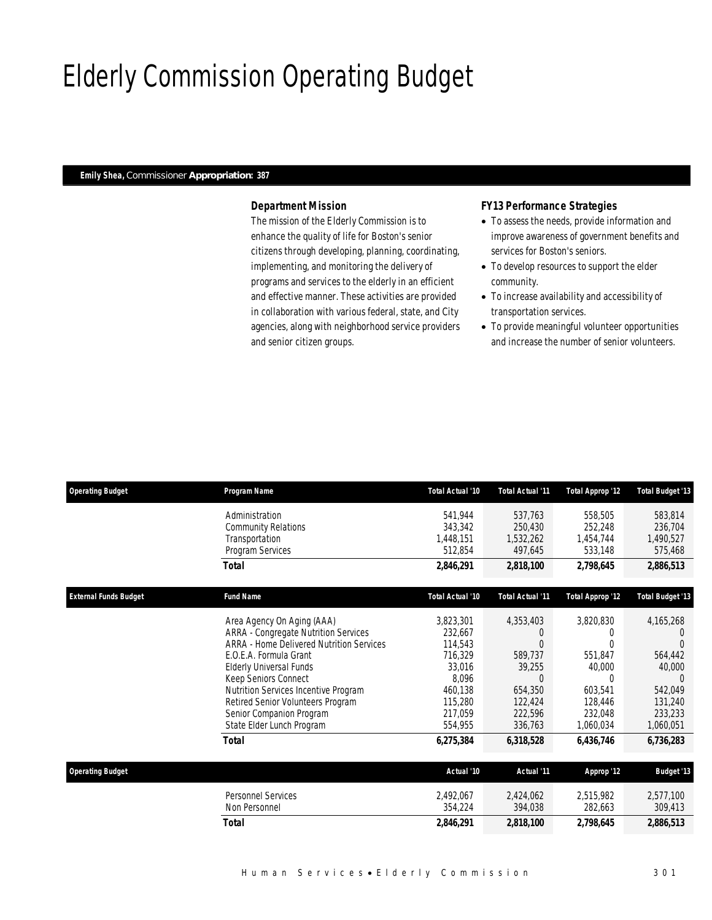# Elderly Commission Operating Budget

### *Emily Shea, Commissioner Appropriation: 387*

### *Department Mission*

The mission of the Elderly Commission is to enhance the quality of life for Boston's senior citizens through developing, planning, coordinating, implementing, and monitoring the delivery of programs and services to the elderly in an efficient and effective manner. These activities are provided in collaboration with various federal, state, and City agencies, along with neighborhood service providers and senior citizen groups.

### *FY13 Performance Strategies*

- To assess the needs, provide information and improve awareness of government benefits and services for Boston's seniors.
- To develop resources to support the elder community.
- To increase availability and accessibility of transportation services.
- To provide meaningful volunteer opportunities and increase the number of senior volunteers.

| <b>Operating Budget</b>      | Program Name                             | Total Actual '10 | <b>Total Actual '11</b> | <b>Total Approp '12</b> | <b>Total Budget '13</b> |
|------------------------------|------------------------------------------|------------------|-------------------------|-------------------------|-------------------------|
|                              | Administration                           | 541.944          | 537,763                 | 558,505                 | 583,814                 |
|                              | <b>Community Relations</b>               | 343,342          | 250,430                 | 252,248                 | 236,704                 |
|                              | Transportation                           | 1,448,151        | 1,532,262               | 1,454,744               | 1,490,527               |
|                              | Program Services                         | 512,854          | 497,645                 | 533,148                 | 575,468                 |
|                              | <b>Total</b>                             | 2,846,291        | 2,818,100               | 2,798,645               | 2,886,513               |
| <b>External Funds Budget</b> | <b>Fund Name</b>                         | Total Actual '10 | <b>Total Actual '11</b> | <b>Total Approp '12</b> | <b>Total Budget '13</b> |
|                              | Area Agency On Aging (AAA)               | 3,823,301        | 4,353,403               | 3,820,830               | 4,165,268               |
|                              | ARRA - Congregate Nutrition Services     | 232,667          | $\left($                | 0                       | $\left( \right)$        |
|                              | ARRA - Home Delivered Nutrition Services | 114,543          | $\Omega$                | U                       | $\Omega$                |
|                              | E.O.E.A. Formula Grant                   | 716,329          | 589,737                 | 551,847                 | 564,442                 |
|                              | Elderly Universal Funds                  | 33,016           | 39,255                  | 40,000                  | 40,000                  |
|                              | Keep Seniors Connect                     | 8,096            | $\Omega$                | $\Omega$                | $\Omega$                |
|                              | Nutrition Services Incentive Program     | 460,138          | 654,350                 | 603.541                 | 542.049                 |
|                              | Retired Senior Volunteers Program        | 115,280          | 122,424                 | 128,446                 | 131,240                 |
|                              | Senior Companion Program                 | 217,059          | 222,596                 | 232,048                 | 233.233                 |
|                              | State Elder Lunch Program                | 554,955          | 336,763                 | 1,060,034               | 1,060,051               |
|                              | <b>Total</b>                             | 6,275,384        | 6,318,528               | 6,436,746               | 6,736,283               |
| <b>Operating Budget</b>      |                                          | Actual '10       | Actual '11              | Approp '12              | <b>Budget '13</b>       |
|                              | Personnel Services                       | 2,492,067        | 2,424,062               | 2,515,982               | 2,577,100               |
|                              | Non Personnel                            | 354,224          | 394,038                 | 282,663                 | 309,413                 |
|                              | <b>Total</b>                             | 2,846,291        | 2,818,100               | 2,798,645               | 2,886,513               |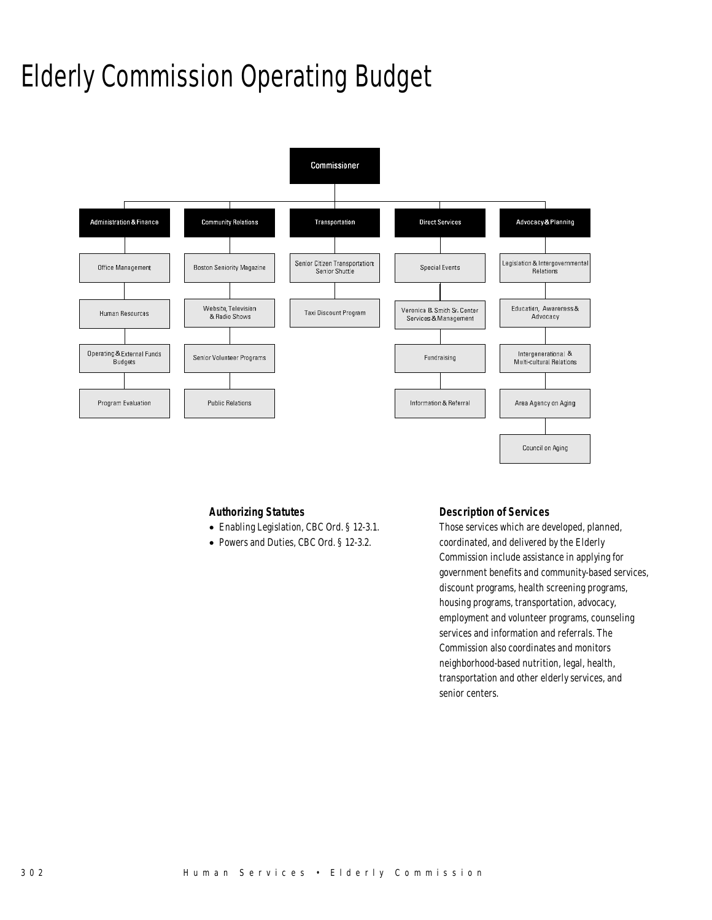# Elderly Commission Operating Budget



### *Authorizing Statutes*

- Enabling Legislation, CBC Ord. § 12-3.1.
- Powers and Duties, CBC Ord. § 12-3.2.

### *Description of Services*

Those services which are developed, planned, coordinated, and delivered by the Elderly Commission include assistance in applying for government benefits and community-based services, discount programs, health screening programs, housing programs, transportation, advocacy, employment and volunteer programs, counseling services and information and referrals. The Commission also coordinates and monitors neighborhood-based nutrition, legal, health, transportation and other elderly services, and senior centers.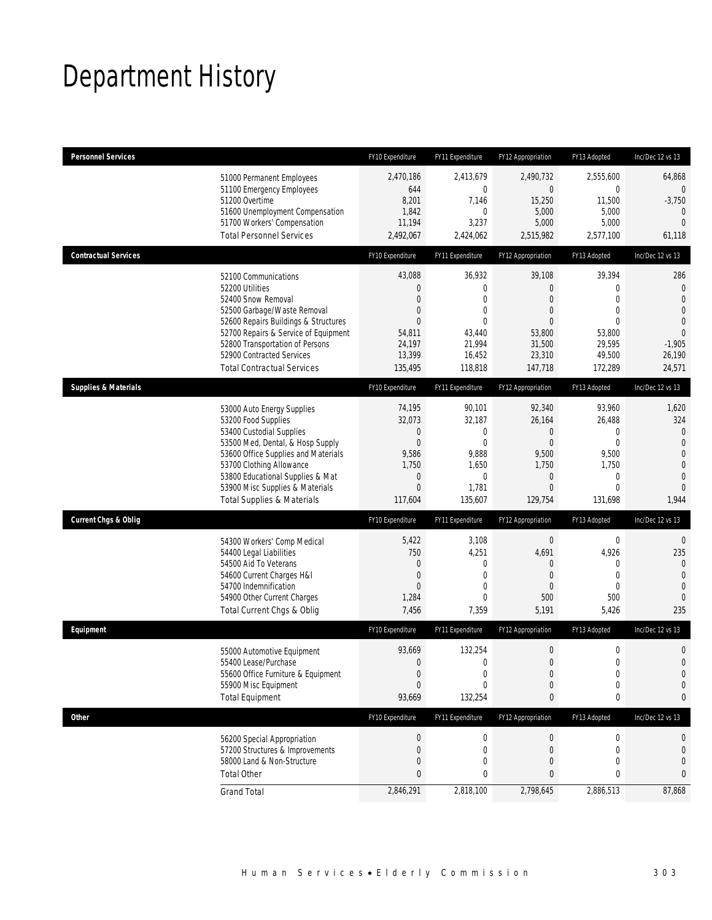# Department History

| <b>Personnel Services</b>                                                                                                                                                                                                                                     |                                                                              | FY10 Expenditure                                                                        | FY11 Expenditure                                                                                     | FY12 Appropriation                                                                                    | FY13 Adopted                                                                                                | Inc/Dec 12 vs 13                                                                                                  |
|---------------------------------------------------------------------------------------------------------------------------------------------------------------------------------------------------------------------------------------------------------------|------------------------------------------------------------------------------|-----------------------------------------------------------------------------------------|------------------------------------------------------------------------------------------------------|-------------------------------------------------------------------------------------------------------|-------------------------------------------------------------------------------------------------------------|-------------------------------------------------------------------------------------------------------------------|
| 51000 Permanent Employees<br>51100 Emergency Employees<br>51200 Overtime<br>51700 Workers' Compensation                                                                                                                                                       | 51600 Unemployment Compensation                                              | 2,470,186<br>644<br>8,201<br>1,842<br>11,194                                            | 2,413,679<br>0<br>7,146<br>0<br>3,237                                                                | 2.490.732<br>$\overline{0}$<br>15,250<br>5,000<br>5,000                                               | 2,555,600<br>$\mathbf 0$<br>11,500<br>5,000<br>5,000                                                        | 64,868<br>$\overline{0}$<br>$-3,750$<br>$\theta$<br>$\overline{0}$                                                |
| <b>Total Personnel Services</b>                                                                                                                                                                                                                               |                                                                              | 2,492,067                                                                               | 2,424,062                                                                                            | 2,515,982                                                                                             | 2,577,100                                                                                                   | 61,118                                                                                                            |
| <b>Contractual Services</b>                                                                                                                                                                                                                                   |                                                                              | FY10 Expenditure                                                                        | FY11 Expenditure                                                                                     | FY12 Appropriation                                                                                    | FY13 Adopted                                                                                                | Inc/Dec 12 vs 13                                                                                                  |
| 52100 Communications<br>52200 Utilities<br>52400 Snow Removal<br>52500 Garbage/Waste Removal<br>52800 Transportation of Persons<br>52900 Contracted Services<br><b>Total Contractual Services</b>                                                             | 52600 Repairs Buildings & Structures<br>52700 Repairs & Service of Equipment | 43,088<br>0<br>$\overline{0}$<br>0<br>$\Omega$<br>54,811<br>24,197<br>13,399<br>135,495 | 36,932<br>0<br>$\overline{0}$<br>$\overline{0}$<br>$\Omega$<br>43,440<br>21,994<br>16,452<br>118,818 | 39,108<br>$\mathbf{0}$<br>$\overline{0}$<br>$\mathbf 0$<br>0<br>53,800<br>31,500<br>23,310<br>147,718 | 39,394<br>$\mathbf{0}$<br>$\mathbf{0}$<br>$\mathbf{0}$<br>$\theta$<br>53,800<br>29,595<br>49,500<br>172,289 | 286<br>$\mathbf 0$<br>$\overline{0}$<br>$\overline{0}$<br>$\mathbf 0$<br>$\Omega$<br>$-1,905$<br>26,190<br>24,571 |
| <b>Supplies &amp; Materials</b>                                                                                                                                                                                                                               |                                                                              | FY10 Expenditure                                                                        | FY11 Expenditure                                                                                     | FY12 Appropriation                                                                                    | FY13 Adopted                                                                                                | Inc/Dec 12 vs 13                                                                                                  |
| 53000 Auto Energy Supplies<br>53200 Food Supplies<br>53400 Custodial Supplies<br>53500 Med, Dental, & Hosp Supply<br>53700 Clothing Allowance<br>53800 Educational Supplies & Mat<br>53900 Misc Supplies & Materials<br><b>Total Supplies &amp; Materials</b> | 53600 Office Supplies and Materials                                          | 74,195<br>32,073<br>0<br>$\boldsymbol{0}$<br>9,586<br>1,750<br>0<br>$\Omega$<br>117,604 | 90,101<br>32,187<br>0<br>$\mathbf 0$<br>9,888<br>1,650<br>0<br>1,781<br>135,607                      | 92,340<br>26,164<br>$\mathbf 0$<br>$\boldsymbol{0}$<br>9,500<br>1,750<br>$\mathbf{0}$<br>0<br>129,754 | 93,960<br>26,488<br>$\mathbf{0}$<br>$\mathbf 0$<br>9,500<br>1,750<br>0<br>$\mathbf{0}$<br>131,698           | 1,620<br>324<br>0<br>$\overline{0}$<br>$\mathbf 0$<br>$\overline{0}$<br>$\mathbf 0$<br>$\Omega$<br>1,944          |
| <b>Current Chgs &amp; Oblig</b>                                                                                                                                                                                                                               |                                                                              | FY10 Expenditure                                                                        | FY11 Expenditure                                                                                     | FY12 Appropriation                                                                                    | FY13 Adopted                                                                                                | Inc/Dec 12 vs 13                                                                                                  |
| 54300 Workers' Comp Medical<br>54400 Legal Liabilities<br>54500 Aid To Veterans<br>54600 Current Charges H&I<br>54700 Indemnification<br>54900 Other Current Charges<br>Total Current Chgs & Oblig                                                            |                                                                              | 5,422<br>750<br>$\overline{0}$<br>$\boldsymbol{0}$<br>$\overline{0}$<br>1,284<br>7,456  | 3,108<br>4,251<br>$\mathbf 0$<br>$\mathbf 0$<br>0<br>0<br>7,359                                      | $\boldsymbol{0}$<br>4,691<br>$\mathbf{0}$<br>$\mathbf{0}$<br>0<br>500<br>5,191                        | $\boldsymbol{0}$<br>4,926<br>$\mathbf{0}$<br>$\mathbf{0}$<br>$\mathbf{0}$<br>500<br>5,426                   | $\mathbf 0$<br>235<br>$\overline{0}$<br>$\overline{0}$<br>$\mathbf{0}$<br>$\mathbf{0}$<br>235                     |
| Equipment                                                                                                                                                                                                                                                     |                                                                              | FY10 Expenditure                                                                        | FY11 Expenditure                                                                                     | FY12 Appropriation                                                                                    | FY13 Adopted                                                                                                | Inc/Dec 12 vs 13                                                                                                  |
| 55000 Automotive Equipment<br>55400 Lease/Purchase<br>55600 Office Furniture & Equipment<br>55900 Misc Equipment<br><b>Total Equipment</b>                                                                                                                    |                                                                              | 93,669<br>$\mathbf{0}$<br>0<br>$\boldsymbol{0}$<br>93,669                               | 132,254<br>$\mathbf{0}$<br>0<br>$\mathbf 0$<br>132,254                                               | $\boldsymbol{0}$<br>$\overline{0}$<br>$\boldsymbol{0}$<br>$\mathbf 0$<br>0                            | $\boldsymbol{0}$<br>$\mathbf{0}$<br>$\boldsymbol{0}$<br>$\boldsymbol{0}$<br>0                               | $\mathbf 0$<br>$\overline{0}$<br>$\mathbf 0$<br>$\mathbf 0$<br>0                                                  |
| <b>Other</b>                                                                                                                                                                                                                                                  |                                                                              | FY10 Expenditure                                                                        | FY11 Expenditure                                                                                     | FY12 Appropriation                                                                                    | FY13 Adopted                                                                                                | Inc/Dec 12 vs 13                                                                                                  |
| 56200 Special Appropriation<br>57200 Structures & Improvements<br>58000 Land & Non-Structure<br><b>Total Other</b>                                                                                                                                            |                                                                              | 0<br>0<br>0<br>0                                                                        | 0<br>0<br>0<br>0                                                                                     | $\boldsymbol{0}$<br>$\mathbf 0$<br>0<br>0                                                             | 0<br>0<br>$\mathbf{0}$<br>0                                                                                 | 0<br>$\mathbf 0$<br>$\mathbf 0$<br>0                                                                              |
| <b>Grand Total</b>                                                                                                                                                                                                                                            |                                                                              | 2,846,291                                                                               | 2,818,100                                                                                            | 2,798,645                                                                                             | 2,886,513                                                                                                   | 87,868                                                                                                            |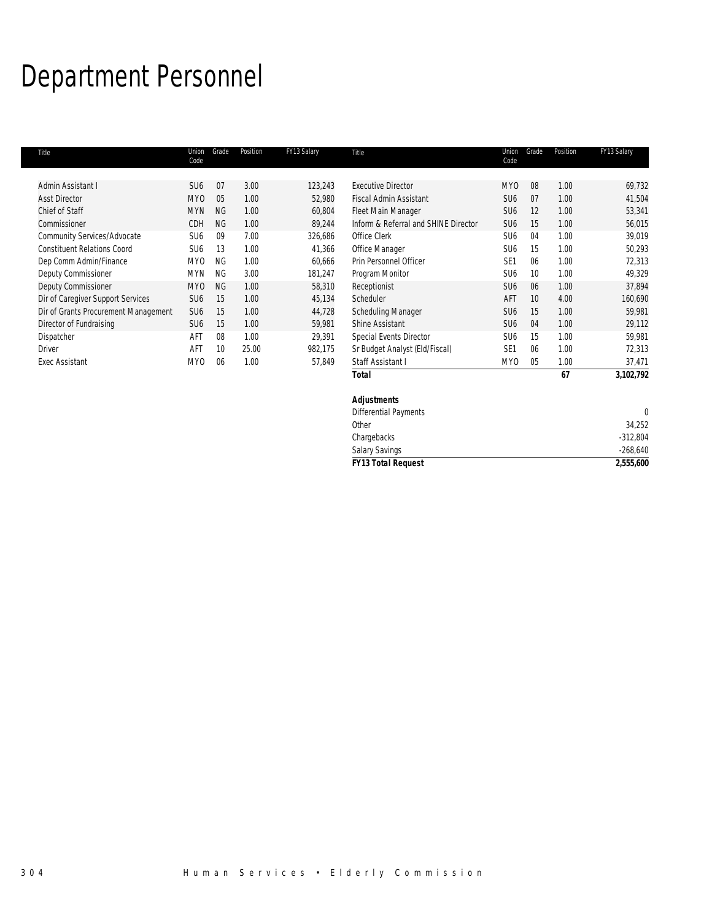# Department Personnel

| Title                                | Union<br>Code   | Grade     | Position | FY13 Salary | Title                                | Union<br>Code   | Grade          | Position | FY13 Salary |
|--------------------------------------|-----------------|-----------|----------|-------------|--------------------------------------|-----------------|----------------|----------|-------------|
| Admin Assistant I                    | SU <sub>6</sub> | 07        | 3.00     | 123,243     | <b>Executive Director</b>            | MY0             | 08             | 1.00     | 69,732      |
| <b>Asst Director</b>                 | MY <sub>0</sub> | 05        | 1.00     | 52,980      | Fiscal Admin Assistant               | SU <sub>6</sub> | 07             | 1.00     | 41,504      |
| Chief of Staff                       | <b>MYN</b>      | <b>NG</b> | 1.00     | 60,804      | Fleet Main Manager                   | SU <sub>6</sub> | 12             | 1.00     | 53,341      |
| Commissioner                         | CDH             | <b>NG</b> | 1.00     | 89,244      | Inform & Referral and SHINE Director | SU <sub>6</sub> | 15             | 1.00     | 56,015      |
| Community Services/Advocate          | SU <sub>6</sub> | 09        | 7.00     | 326,686     | Office Clerk                         | SU <sub>6</sub> | 04             | 1.00     | 39,019      |
| <b>Constituent Relations Coord</b>   | SU <sub>6</sub> | 13        | 1.00     | 41,366      | Office Manager                       | SU <sub>6</sub> | 15             | 1.00     | 50,293      |
| Dep Comm Admin/Finance               | MY <sub>0</sub> | <b>NG</b> | 1.00     | 60,666      | Prin Personnel Officer               | SE <sub>1</sub> | 06             | 1.00     | 72,313      |
| Deputy Commissioner                  | <b>MYN</b>      | <b>NG</b> | 3.00     | 181,247     | Program Monitor                      | SU <sub>6</sub> | 10             | 1.00     | 49,329      |
| Deputy Commissioner                  | MY <sub>0</sub> | <b>NG</b> | 1.00     | 58,310      | Receptionist                         | SU <sub>6</sub> | 06             | 1.00     | 37,894      |
| Dir of Caregiver Support Services    | SU <sub>6</sub> | 15        | 1.00     | 45,134      | Scheduler                            | AFT             | 10             | 4.00     | 160,690     |
| Dir of Grants Procurement Management | SU <sub>6</sub> | 15        | 1.00     | 44,728      | Scheduling Manager                   | SU <sub>6</sub> | 15             | 1.00     | 59,981      |
| Director of Fundraising              | SU <sub>6</sub> | 15        | 1.00     | 59,981      | Shine Assistant                      | SU <sub>6</sub> | 04             | 1.00     | 29,112      |
| Dispatcher                           | AFT             | 08        | 1.00     | 29,391      | Special Events Director              | SU <sub>6</sub> | 15             | 1.00     | 59,981      |
| <b>Driver</b>                        | AFT             | 10        | 25.00    | 982,175     | Sr Budget Analyst (Eld/Fiscal)       | SF <sub>1</sub> | 06             | 1.00     | 72,313      |
| <b>Exec Assistant</b>                | MY <sub>0</sub> | 06        | 1.00     | 57,849      | Staff Assistant I                    | MY <sub>0</sub> | 0 <sub>5</sub> | 1.00     | 37,471      |
|                                      |                 |           |          |             | <b>Total</b>                         |                 |                | 67       | 3,102,792   |

other 34,252 chargebacks and the contract of the contract of the contract of the contract of the contract of the contract of the contract of the contract of the contract of the contract of the contract of the contract of the contract o Salary Savings -268,640

Differential Payments 0

*FY13 Total Request 2,555,600*

| 304 |  |  |  |  | Human Services • Elderly Commission |
|-----|--|--|--|--|-------------------------------------|
|-----|--|--|--|--|-------------------------------------|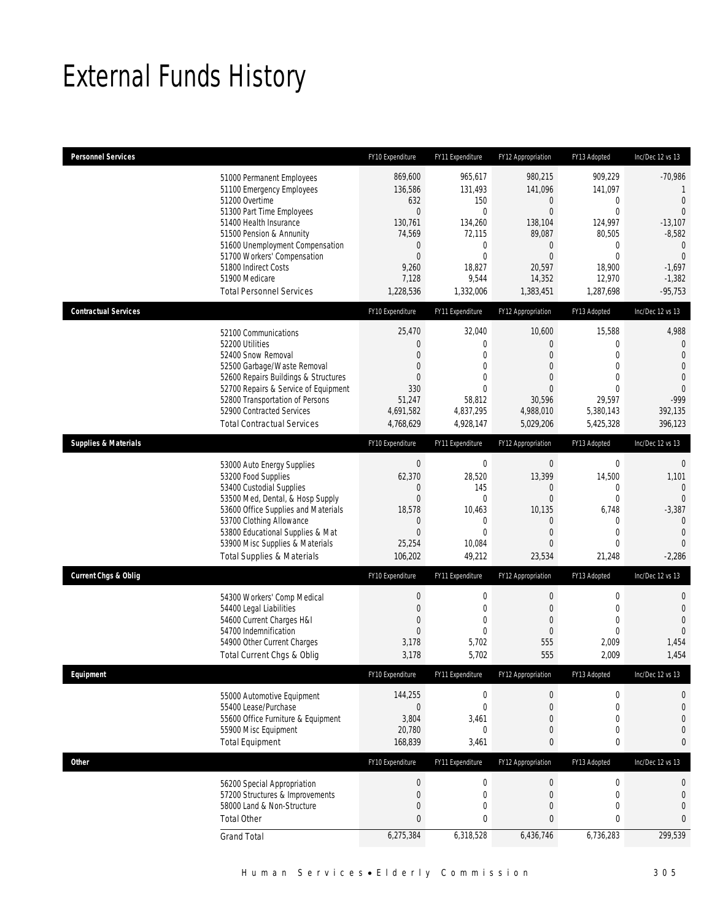# External Funds History

| <b>Personnel Services</b>       |                                                                                                                                                                                                                                                                                                            | FY10 Expenditure                                                                                                                      | FY11 Expenditure                                                                                                                  | FY12 Appropriation                                                                                                                | FY13 Adopted                                                                                                                          | Inc/Dec 12 vs 13                                                                                                                               |
|---------------------------------|------------------------------------------------------------------------------------------------------------------------------------------------------------------------------------------------------------------------------------------------------------------------------------------------------------|---------------------------------------------------------------------------------------------------------------------------------------|-----------------------------------------------------------------------------------------------------------------------------------|-----------------------------------------------------------------------------------------------------------------------------------|---------------------------------------------------------------------------------------------------------------------------------------|------------------------------------------------------------------------------------------------------------------------------------------------|
|                                 | 51000 Permanent Employees<br>51100 Emergency Employees<br>51200 Overtime<br>51300 Part Time Employees<br>51400 Health Insurance<br>51500 Pension & Annunity<br>51600 Unemployment Compensation<br>51700 Workers' Compensation<br>51800 Indirect Costs<br>51900 Medicare<br><b>Total Personnel Services</b> | 869,600<br>136,586<br>632<br>$\mathbf{0}$<br>130,761<br>74,569<br>$\boldsymbol{0}$<br>$\boldsymbol{0}$<br>9,260<br>7,128<br>1,228,536 | 965,617<br>131,493<br>150<br>$\overline{0}$<br>134,260<br>72,115<br>$\mathbf 0$<br>$\overline{0}$<br>18,827<br>9,544<br>1,332,006 | 980,215<br>141,096<br>0<br>$\mathbf{0}$<br>138,104<br>89,087<br>$\boldsymbol{0}$<br>$\mathbf{0}$<br>20,597<br>14,352<br>1,383,451 | 909,229<br>141,097<br>$\mathbf 0$<br>$\mathbf{0}$<br>124,997<br>80,505<br>$\mathbf 0$<br>$\mathbf 0$<br>18,900<br>12,970<br>1,287,698 | $-70,986$<br>1<br>$\overline{0}$<br>$\theta$<br>$-13,107$<br>$-8,582$<br>$\overline{0}$<br>$\overline{0}$<br>$-1,697$<br>$-1,382$<br>$-95,753$ |
| <b>Contractual Services</b>     |                                                                                                                                                                                                                                                                                                            | FY10 Expenditure                                                                                                                      | FY11 Expenditure                                                                                                                  | FY12 Appropriation                                                                                                                | FY13 Adopted                                                                                                                          | Inc/Dec 12 vs 13                                                                                                                               |
|                                 | 52100 Communications<br>52200 Utilities<br>52400 Snow Removal<br>52500 Garbage/Waste Removal<br>52600 Repairs Buildings & Structures<br>52700 Repairs & Service of Equipment<br>52800 Transportation of Persons<br>52900 Contracted Services<br><b>Total Contractual Services</b>                          | 25,470<br>$\boldsymbol{0}$<br>$\boldsymbol{0}$<br>$\overline{0}$<br>$\overline{0}$<br>330<br>51,247<br>4,691,582<br>4,768,629         | 32,040<br>$\overline{0}$<br>$\mathbf 0$<br>$\mathbf{0}$<br>0<br>$\overline{0}$<br>58.812<br>4,837,295<br>4,928,147                | 10,600<br>$\mathbf{0}$<br>$\mathbf{0}$<br>$\mathbf{0}$<br>$\mathbf{0}$<br>$\mathbf{0}$<br>30,596<br>4,988,010<br>5,029,206        | 15,588<br>$\mathbf{0}$<br>$\mathbf 0$<br>$\mathbf{0}$<br>$\Omega$<br>$\mathbf{0}$<br>29,597<br>5,380,143<br>5,425,328                 | 4,988<br>$\mathbf 0$<br>$\overline{0}$<br>$\overline{0}$<br>$\mathbf{0}$<br>$\Omega$<br>-999<br>392,135<br>396,123                             |
| <b>Supplies &amp; Materials</b> |                                                                                                                                                                                                                                                                                                            | FY10 Expenditure                                                                                                                      | FY11 Expenditure                                                                                                                  | FY12 Appropriation                                                                                                                | FY13 Adopted                                                                                                                          | Inc/Dec 12 vs 13                                                                                                                               |
|                                 | 53000 Auto Energy Supplies<br>53200 Food Supplies<br>53400 Custodial Supplies<br>53500 Med, Dental, & Hosp Supply<br>53600 Office Supplies and Materials<br>53700 Clothing Allowance<br>53800 Educational Supplies & Mat<br>53900 Misc Supplies & Materials<br><b>Total Supplies &amp; Materials</b>       | $\boldsymbol{0}$<br>62,370<br>$\mathbf 0$<br>$\boldsymbol{0}$<br>18,578<br>$\mathbf 0$<br>$\mathbf{0}$<br>25,254<br>106,202           | $\boldsymbol{0}$<br>28,520<br>145<br>0<br>10,463<br>0<br>$\mathbf{0}$<br>10,084<br>49,212                                         | $\boldsymbol{0}$<br>13,399<br>$\mathbf 0$<br>$\boldsymbol{0}$<br>10,135<br>0<br>$\mathbf{0}$<br>$\mathbf{0}$<br>23,534            | $\boldsymbol{0}$<br>14,500<br>$\mathbf 0$<br>$\boldsymbol{0}$<br>6,748<br>$\mathbf 0$<br>$\mathbf{0}$<br>$\mathbf{0}$<br>21,248       | $\mathbf 0$<br>1,101<br>$\mathbf{0}$<br>$\mathbf{0}$<br>$-3,387$<br>$\mathbf{0}$<br>$\overline{0}$<br>$\Omega$<br>$-2,286$                     |
| <b>Current Chgs &amp; Oblig</b> |                                                                                                                                                                                                                                                                                                            | FY10 Expenditure                                                                                                                      | FY11 Expenditure                                                                                                                  | FY12 Appropriation                                                                                                                | FY13 Adopted                                                                                                                          | Inc/Dec 12 vs 13                                                                                                                               |
|                                 | 54300 Workers' Comp Medical<br>54400 Legal Liabilities<br>54600 Current Charges H&I<br>54700 Indemnification<br>54900 Other Current Charges<br>Total Current Chgs & Oblig                                                                                                                                  | $\boldsymbol{0}$<br>$\boldsymbol{0}$<br>$\boldsymbol{0}$<br>$\boldsymbol{0}$<br>3,178<br>3,178                                        | $\mathbf 0$<br>$\mathbf{0}$<br>$\mathbf 0$<br>$\mathbf 0$<br>5,702<br>5,702                                                       | $\boldsymbol{0}$<br>$\mathbf{0}$<br>$\mathbf{0}$<br>$\mathbf{0}$<br>555<br>555                                                    | $\mathbf 0$<br>$\mathbf 0$<br>$\mathbf 0$<br>$\mathbf{0}$<br>2,009<br>2,009                                                           | $\mathbf 0$<br>$\mathbf 0$<br>$\overline{0}$<br>$\mathbf{0}$<br>1,454<br>1,454                                                                 |
| Equipment                       |                                                                                                                                                                                                                                                                                                            | FY10 Expenditure                                                                                                                      | FY11 Expenditure                                                                                                                  | FY12 Appropriation                                                                                                                | FY13 Adopted                                                                                                                          | Inc/Dec 12 vs 13                                                                                                                               |
|                                 | 55000 Automotive Equipment<br>55400 Lease/Purchase<br>55600 Office Furniture & Equipment<br>55900 Misc Equipment<br><b>Total Equipment</b>                                                                                                                                                                 | 144,255<br>$\boldsymbol{0}$<br>3,804<br>20,780<br>168,839                                                                             | $\boldsymbol{0}$<br>$\mathbf 0$<br>3,461<br>0<br>3,461                                                                            | $\boldsymbol{0}$<br>$\boldsymbol{0}$<br>0<br>0<br>0                                                                               | $\boldsymbol{0}$<br>$\mathbf 0$<br>$\mathbf{0}$<br>$\mathbf 0$<br>$\bf{0}$                                                            | 0<br>$\mathbf 0$<br>$\mathbf{0}$<br>$\mathbf{0}$<br>0                                                                                          |
| Other                           |                                                                                                                                                                                                                                                                                                            | FY10 Expenditure                                                                                                                      | FY11 Expenditure                                                                                                                  | FY12 Appropriation                                                                                                                | FY13 Adopted                                                                                                                          | Inc/Dec 12 vs 13                                                                                                                               |
|                                 | 56200 Special Appropriation<br>57200 Structures & Improvements<br>58000 Land & Non-Structure<br><b>Total Other</b>                                                                                                                                                                                         | $\boldsymbol{0}$<br>$\boldsymbol{0}$<br>$\boldsymbol{0}$<br>$\pmb{0}$                                                                 | $\boldsymbol{0}$<br>0<br>0<br>0                                                                                                   | $\boldsymbol{0}$<br>0<br>0<br>0                                                                                                   | $\boldsymbol{0}$<br>$\mathbf 0$<br>$\mathbf 0$<br>$\bf{0}$                                                                            | 0<br>$\mathbf 0$<br>$\mathbf 0$<br>0                                                                                                           |
|                                 | <b>Grand Total</b>                                                                                                                                                                                                                                                                                         | 6,275,384                                                                                                                             | 6,318,528                                                                                                                         | 6,436,746                                                                                                                         | 6,736,283                                                                                                                             | 299,539                                                                                                                                        |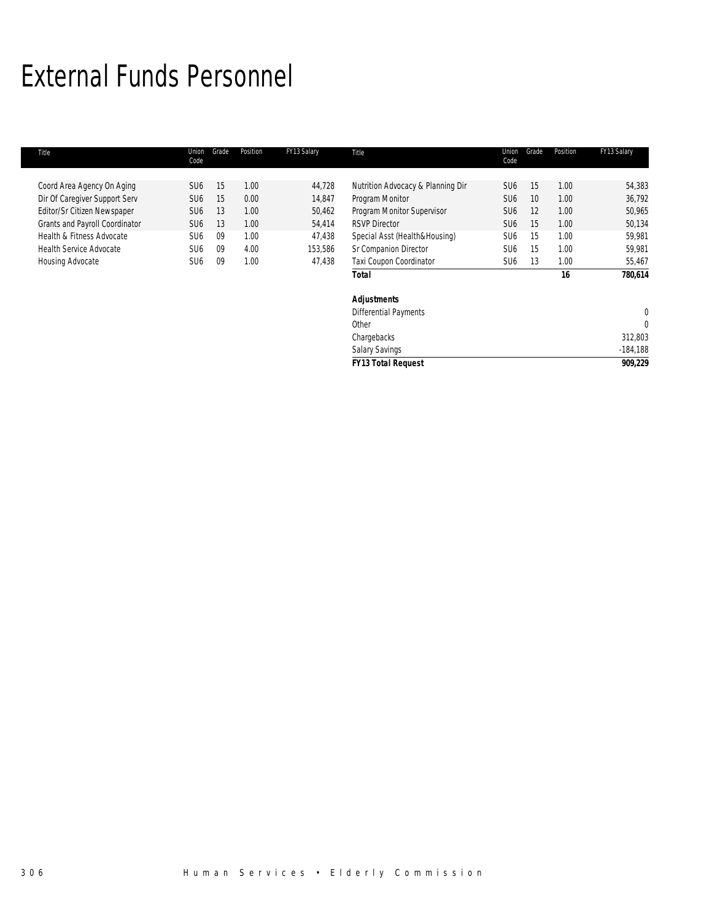### External Funds Personnel

| Title                          | Union<br>Code   | Grade | Position | FY13 Salary | Title                             | Union<br>Code   | Grade | Position | FY13 Salary |
|--------------------------------|-----------------|-------|----------|-------------|-----------------------------------|-----------------|-------|----------|-------------|
|                                |                 |       |          |             |                                   |                 |       |          |             |
| Coord Area Agency On Aging     | SU <sub>6</sub> | 15    | 1.00     | 44,728      | Nutrition Advocacy & Planning Dir | SU <sub>6</sub> | 15    | 1.00     | 54,383      |
| Dir Of Caregiver Support Serv  | SU <sub>6</sub> | 15    | 0.00     | 14,847      | Program Monitor                   | SU <sub>6</sub> | 10    | 1.00     | 36,792      |
| Editor/Sr Citizen Newspaper    | SU <sub>6</sub> | 13    | 1.00     | 50,462      | Program Monitor Supervisor        | SU <sub>6</sub> | 12    | 1.00     | 50,965      |
| Grants and Payroll Coordinator | SU <sub>6</sub> | 13    | 1.00     | 54,414      | <b>RSVP Director</b>              | SU <sub>6</sub> | 15    | 1.00     | 50,134      |
| Health & Fitness Advocate      | SU <sub>6</sub> | 09    | 1.00     | 47,438      | Special Asst (Health&Housing)     | SU <sub>6</sub> | 15    | 1.00     | 59,981      |
| <b>Health Service Advocate</b> | SU <sub>6</sub> | 09    | 4.00     | 153,586     | Sr Companion Director             | SU <sub>6</sub> | 15    | 1.00     | 59,981      |
| Housing Advocate               | SU <sub>6</sub> | 09    | 1.00     | 47,438      | Taxi Coupon Coordinator           | SU <sub>6</sub> | 13    | 1.00     | 55,467      |
|                                |                 |       |          |             | <b>Total</b>                      |                 |       | 16       | 780,614     |
|                                |                 |       |          |             | <b>Adjustments</b>                |                 |       |          |             |
|                                |                 |       |          |             | <b>Differential Payments</b>      |                 |       |          | $\theta$    |
|                                |                 |       |          |             | Other                             |                 |       |          | $\Omega$    |
|                                |                 |       |          |             | Chargebacks                       |                 |       |          | 312,803     |
|                                |                 |       |          |             | <b>Salary Savings</b>             |                 |       |          | $-184,188$  |
|                                |                 |       |          |             | <b>FY13 Total Request</b>         |                 |       |          | 909.229     |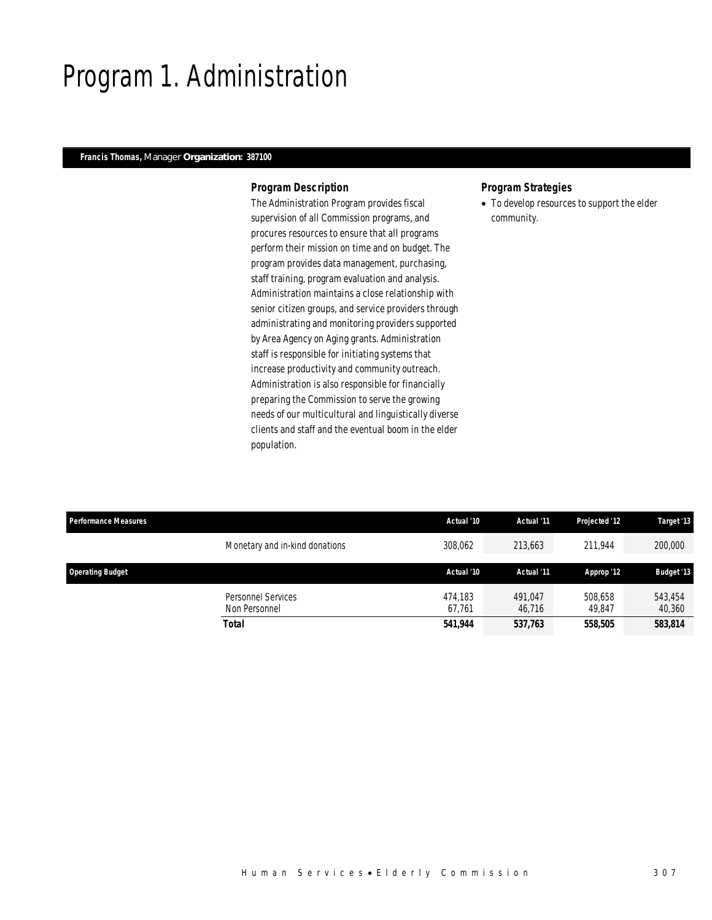### Program 1. Administration

### *Francis Thomas, Manager Organization: 387100*

### *Program Description*

The Administration Program provides fiscal supervision of all Commission programs, and procures resources to ensure that all programs perform their mission on time and on budget. The program provides data management, purchasing, staff training, program evaluation and analysis. Administration maintains a close relationship with senior citizen groups, and service providers through administrating and monitoring providers supported by Area Agency on Aging grants. Administration staff is responsible for initiating systems that increase productivity and community outreach. Administration is also responsible for financially preparing the Commission to serve the growing needs of our multicultural and linguistically diverse clients and staff and the eventual boom in the elder population.

### *Program Strategies*

• To develop resources to support the elder community.

| <b>Performance Measures</b> |                                | Actual '10 | Actual '11 | Projected '12 | Target '13        |
|-----------------------------|--------------------------------|------------|------------|---------------|-------------------|
|                             | Monetary and in-kind donations | 308.062    | 213.663    | 211.944       | 200,000           |
| <b>Operating Budget</b>     |                                | Actual '10 | Actual '11 | Approp '12    | <b>Budget '13</b> |
|                             |                                |            |            |               |                   |
|                             | Personnel Services             | 474.183    | 491.047    | 508,658       | 543,454           |
|                             | Non Personnel                  | 67.761     | 46.716     | 49.847        | 40,360            |
|                             | <b>Total</b>                   | 541.944    | 537,763    | 558,505       | 583,814           |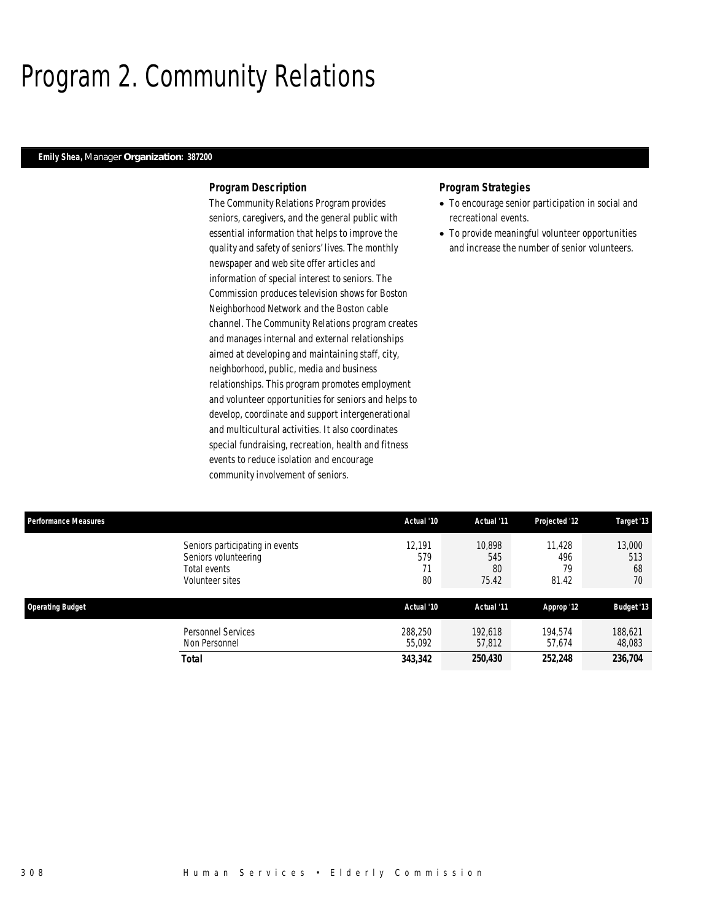### Program 2. Community Relations

### *Emily Shea, Manager Organization: 387200*

### *Program Description*

The Community Relations Program provides seniors, caregivers, and the general public with essential information that helps to improve the quality and safety of seniors' lives. The monthly newspaper and web site offer articles and information of special interest to seniors. The Commission produces television shows for Boston Neighborhood Network and the Boston cable channel. The Community Relations program creates and manages internal and external relationships aimed at developing and maintaining staff, city, neighborhood, public, media and business relationships. This program promotes employment and volunteer opportunities for seniors and helps to develop, coordinate and support intergenerational and multicultural activities. It also coordinates special fundraising, recreation, health and fitness events to reduce isolation and encourage community involvement of seniors.

- To encourage senior participation in social and recreational events.
- To provide meaningful volunteer opportunities and increase the number of senior volunteers.

| <b>Performance Measures</b> |                                                                                            | Actual '10                | Actual '11                   | Projected '12                | Target '13                |
|-----------------------------|--------------------------------------------------------------------------------------------|---------------------------|------------------------------|------------------------------|---------------------------|
|                             | Seniors participating in events<br>Seniors volunteering<br>Total events<br>Volunteer sites | 12.191<br>579<br>71<br>80 | 10.898<br>545<br>80<br>75.42 | 11.428<br>496<br>79<br>81.42 | 13,000<br>513<br>68<br>70 |
| <b>Operating Budget</b>     |                                                                                            | Actual '10                | Actual '11                   | Approp '12                   | <b>Budget '13</b>         |
|                             | Personnel Services<br>Non Personnel                                                        | 288,250<br>55.092         | 192,618<br>57,812            | 194.574<br>57.674            | 188,621<br>48,083         |
|                             | Total                                                                                      | 343,342                   | 250,430                      | 252,248                      | 236,704                   |
|                             |                                                                                            |                           |                              |                              |                           |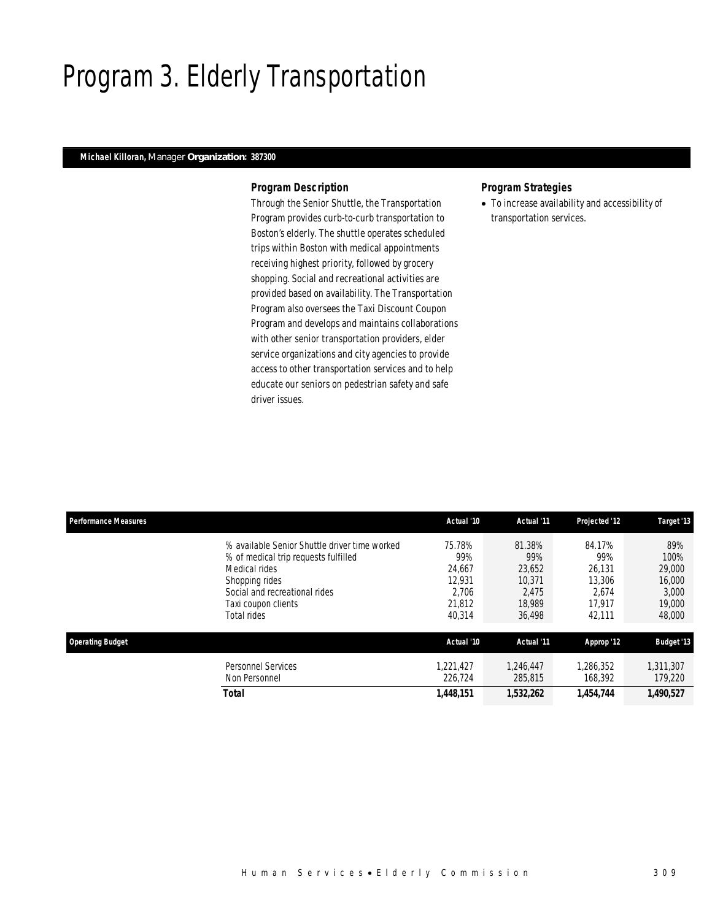### Program 3. Elderly Transportation

### *Michael Killoran, Manager Organization: 387300*

### *Program Description*

Through the Senior Shuttle, the Transportation Program provides curb-to-curb transportation to Boston's elderly. The shuttle operates scheduled trips within Boston with medical appointments receiving highest priority, followed by grocery shopping. Social and recreational activities are provided based on availability. The Transportation Program also oversees the Taxi Discount Coupon Program and develops and maintains collaborations with other senior transportation providers, elder service organizations and city agencies to provide access to other transportation services and to help educate our seniors on pedestrian safety and safe driver issues.

### *Program Strategies*

• To increase availability and accessibility of transportation services.

| <b>Performance Measures</b> |                                                                                                                                                                                                 | Actual '10                                                     | Actual '11                                                     | Projected '12                                                  | Target '13                                                   |
|-----------------------------|-------------------------------------------------------------------------------------------------------------------------------------------------------------------------------------------------|----------------------------------------------------------------|----------------------------------------------------------------|----------------------------------------------------------------|--------------------------------------------------------------|
|                             | % available Senior Shuttle driver time worked<br>% of medical trip requests fulfilled<br>Medical rides<br>Shopping rides<br>Social and recreational rides<br>Taxi coupon clients<br>Total rides | 75.78%<br>99%<br>24,667<br>12.931<br>2.706<br>21,812<br>40,314 | 81.38%<br>99%<br>23,652<br>10.371<br>2.475<br>18.989<br>36,498 | 84.17%<br>99%<br>26.131<br>13,306<br>2.674<br>17.917<br>42,111 | 89%<br>100%<br>29,000<br>16,000<br>3,000<br>19,000<br>48,000 |
| <b>Operating Budget</b>     |                                                                                                                                                                                                 | Actual '10                                                     | Actual '11                                                     | Approp '12                                                     | <b>Budget '13</b>                                            |
|                             | <b>Personnel Services</b><br>Non Personnel                                                                                                                                                      | 1.221.427<br>226.724                                           | 1.246.447<br>285,815                                           | 1,286,352<br>168,392                                           | 1,311,307<br>179,220                                         |
|                             | Total                                                                                                                                                                                           | 1,448,151                                                      | 1,532,262                                                      | 1,454,744                                                      | 1,490,527                                                    |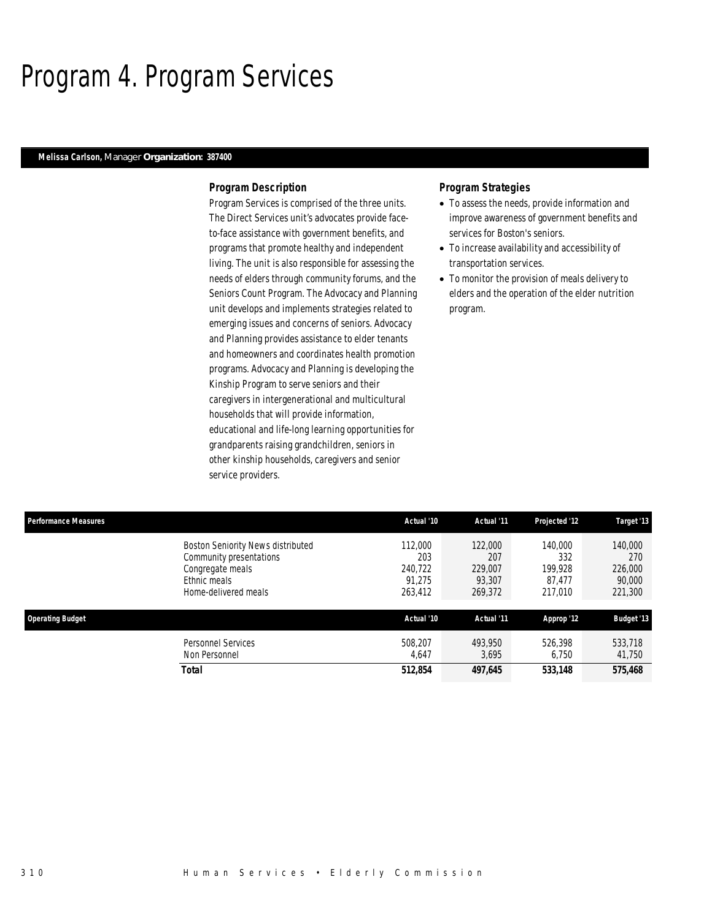### Program 4. Program Services

### *Melissa Carlson, Manager Organization: 387400*

### *Program Description*

Program Services is comprised of the three units. The Direct Services unit's advocates provide faceto-face assistance with government benefits, and programs that promote healthy and independent living. The unit is also responsible for assessing the needs of elders through community forums, and the Seniors Count Program. The Advocacy and Planning unit develops and implements strategies related to emerging issues and concerns of seniors. Advocacy and Planning provides assistance to elder tenants and homeowners and coordinates health promotion programs. Advocacy and Planning is developing the Kinship Program to serve seniors and their caregivers in intergenerational and multicultural households that will provide information, educational and life-long learning opportunities for grandparents raising grandchildren, seniors in other kinship households, caregivers and senior service providers.

- To assess the needs, provide information and improve awareness of government benefits and services for Boston's seniors.
- To increase availability and accessibility of transportation services.
- To monitor the provision of meals delivery to elders and the operation of the elder nutrition program.

| Performance Measures                                                                                                            | Actual '10                                     | Actual '11                                     | Projected '12                                  | Target '13                                     |
|---------------------------------------------------------------------------------------------------------------------------------|------------------------------------------------|------------------------------------------------|------------------------------------------------|------------------------------------------------|
| <b>Boston Seniority News distributed</b><br>Community presentations<br>Congregate meals<br>Ethnic meals<br>Home-delivered meals | 112,000<br>203<br>240.722<br>91.275<br>263,412 | 122,000<br>207<br>229,007<br>93.307<br>269,372 | 140,000<br>332<br>199.928<br>87.477<br>217,010 | 140,000<br>270<br>226,000<br>90,000<br>221,300 |
| <b>Operating Budget</b>                                                                                                         | Actual '10                                     | Actual '11                                     | Approp '12                                     | <b>Budget '13</b>                              |
| <b>Personnel Services</b><br>Non Personnel                                                                                      | 508.207<br>4.647                               | 493,950<br>3,695                               | 526.398<br>6.750                               | 533,718<br>41,750                              |
| Total                                                                                                                           | 512,854                                        | 497,645                                        | 533,148                                        | 575,468                                        |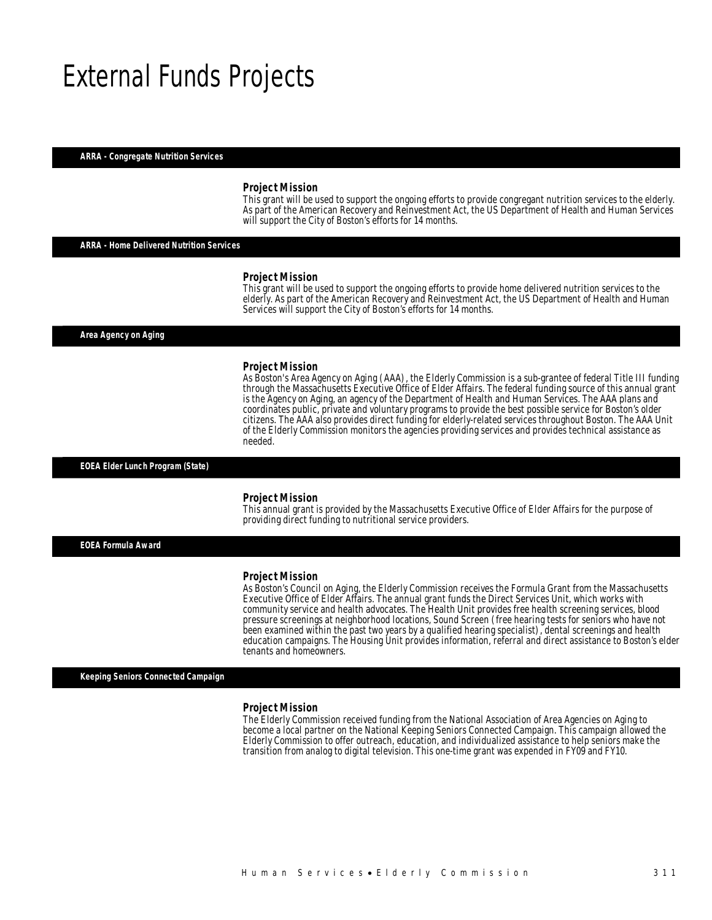### External Funds Projects

#### *ARRA - Congregate Nutrition Services*

#### *Project Mission*

This grant will be used to support the ongoing efforts to provide congregant nutrition services to the elderly. As part of the American Recovery and Reinvestment Act, the US Department of Health and Human Services will support the City of Boston's efforts for 14 months.

### *ARRA - Home Delivered Nutrition Services*

#### *Project Mission*

This grant will be used to support the ongoing efforts to provide home delivered nutrition services to the elderly. As part of the American Recovery and Reinvestment Act, the US Department of Health and Human Services will support the City of Boston's efforts for 14 months.

*Area Agency on Aging* 

#### *Project Mission*

As Boston's Area Agency on Aging (AAA), the Elderly Commission is a sub-grantee of federal Title III funding through the Massachusetts Executive Office of Elder Affairs. The federal funding source of this annual grant is the Agency on Aging, an agency of the Department of Health and Human Services. The AAA plans and coordinates public, private and voluntary programs to provide the best possible service for Boston's older citizens. The AAA also provides direct funding for elderly-related services throughout Boston. The AAA Unit of the Elderly Commission monitors the agencies providing services and provides technical assistance as needed. 

#### *EOEA Elder Lunch Program (State)*

#### *Project Mission*

Î

This annual grant is provided by the Massachusetts Executive Office of Elder Affairs for the purpose of providing direct funding to nutritional service providers.

*EOEA Formula Award* 

#### *Project Mission*

As Boston's Council on Aging, the Elderly Commission receives the Formula Grant from the Massachusetts Executive Office of Elder Affairs. The annual grant funds the Direct Services Unit, which works with community service and health advocates. The Health Unit provides free health screening services, blood pressure screenings at neighborhood locations, Sound Screen (free hearing tests for seniors who have not been examined within the past two years by a qualified hearing specialist), dental screenings and health education campaigns. The Housing Unit provides information, referral and direct assistance to Boston's elder tenants and homeowners.

#### *Keeping Seniors Connected Campaign*

#### *Project Mission*

The Elderly Commission received funding from the National Association of Area Agencies on Aging to become a local partner on the National Keeping Seniors Connected Campaign. This campaign allowed the Elderly Commission to offer outreach, education, and individualized assistance to help seniors make the transition from analog to digital television. This one-time grant was expended in FY09 and FY10.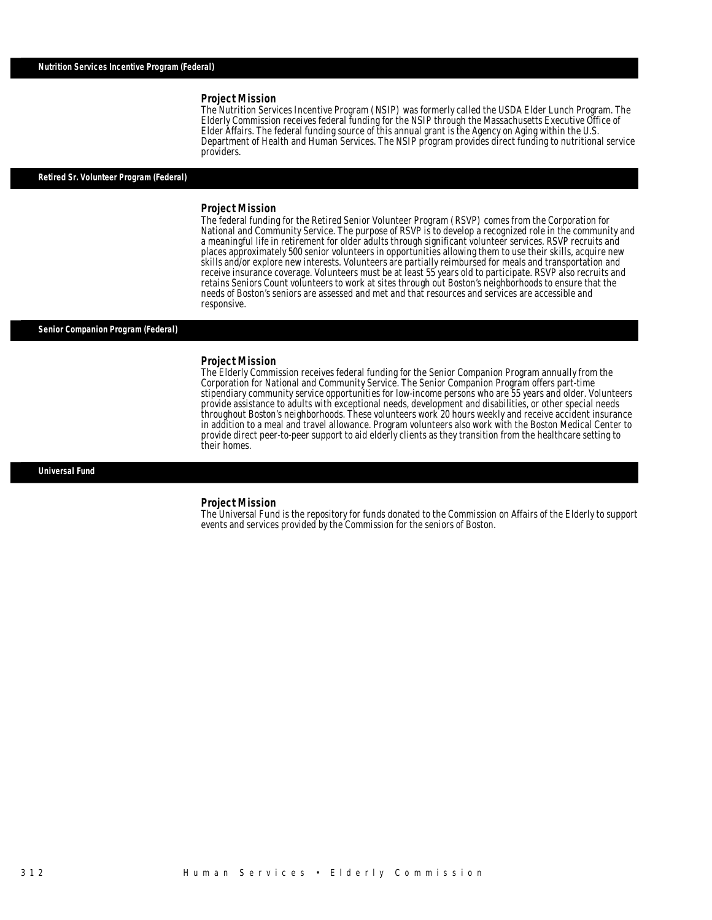### *Project Mission*

The Nutrition Services Incentive Program (NSIP) was formerly called the USDA Elder Lunch Program. The Elderly Commission receives federal funding for the NSIP through the Massachusetts Executive Office of Elder Affairs. The federal funding source of this annual grant is the Agency on Aging within the U.S. Department of Health and Human Services. The NSIP program provides direct funding to nutritional service providers. Î

### *Retired Sr. Volunteer Program (Federal)*

#### *Project Mission*

The federal funding for the Retired Senior Volunteer Program (RSVP) comes from the Corporation for National and Community Service. The purpose of RSVP is to develop a recognized role in the community and a meaningful life in retirement for older adults through significant volunteer services. RSVP recruits and places approximately 500 senior volunteers in opportunities allowing them to use their skills, acquire new skills and/or explore new interests. Volunteers are partially reimbursed for meals and transportation and receive insurance coverage. Volunteers must be at least 55 years old to participate. RSVP also recruits and retains Seniors Count volunteers to work at sites through out Boston's neighborhoods to ensure that the needs of Boston's seniors are assessed and met and that resources and services are accessible and responsive.

#### *Senior Companion Program (Federal)*

#### *Project Mission*

The Elderly Commission receives federal funding for the Senior Companion Program annually from the Corporation for National and Community Service. The Senior Companion Program offers part-time stipendiary community service opportunities for low-income persons who are 55 years and older. Volunteers provide assistance to adults with exceptional needs, development and disabilities, or other special needs throughout Boston's neighborhoods. These volunteers work 20 hours weekly and receive accident insurance in addition to a meal and travel allowance. Program volunteers also work with the Boston Medical Center to provide direct peer-to-peer support to aid elderly clients as they transition from the healthcare setting to their homes.

*Universal Fund* 

#### *Project Mission*

The Universal Fund is the repository for funds donated to the Commission on Affairs of the Elderly to support events and services provided by the Commission for the seniors of Boston.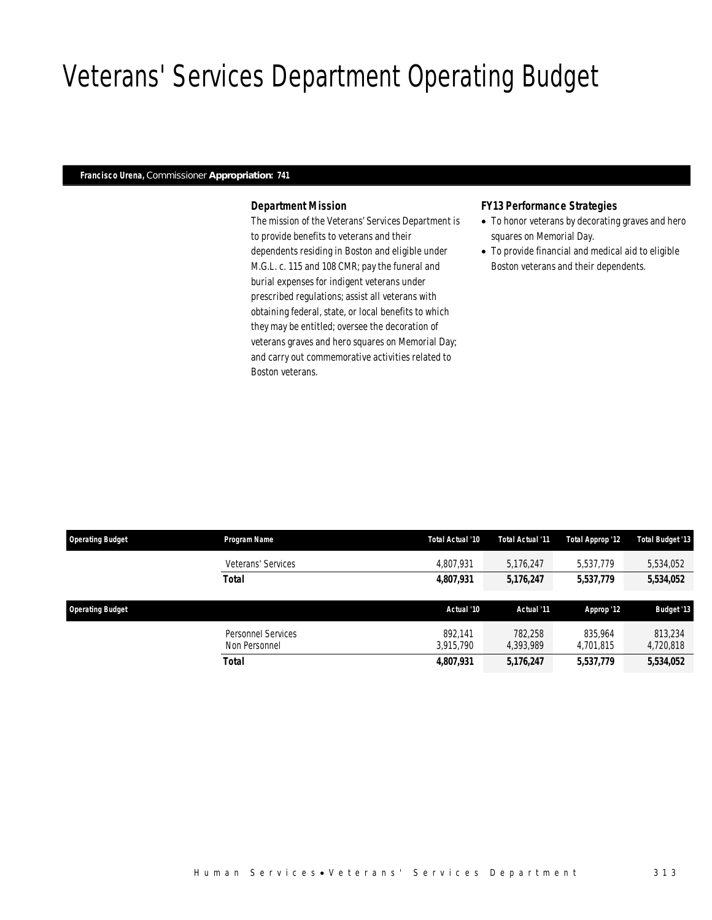# Veterans' Services Department Operating Budget

### *Francisco Urena, Commissioner Appropriation: 741*

### *Department Mission*

The mission of the Veterans' Services Department is to provide benefits to veterans and their dependents residing in Boston and eligible under M.G.L. c. 115 and 108 CMR; pay the funeral and burial expenses for indigent veterans under prescribed regulations; assist all veterans with obtaining federal, state, or local benefits to which they may be entitled; oversee the decoration of veterans graves and hero squares on Memorial Day; and carry out commemorative activities related to Boston veterans.

### *FY13 Performance Strategies*

- To honor veterans by decorating graves and hero squares on Memorial Day.
- To provide financial and medical aid to eligible Boston veterans and their dependents.

| <b>Operating Budget</b> | Program Name                        | Total Actual '10     | Total Actual '11     | Total Approp '12     | <b>Total Budget '13</b> |
|-------------------------|-------------------------------------|----------------------|----------------------|----------------------|-------------------------|
|                         | Veterans' Services                  | 4.807.931            | 5,176,247            | 5.537.779            | 5,534,052               |
|                         | Total                               | 4,807,931            | 5,176,247            | 5,537,779            | 5,534,052               |
| <b>Operating Budget</b> |                                     | Actual '10           | Actual '11           | Approp '12           | <b>Budget '13</b>       |
|                         | Personnel Services<br>Non Personnel | 892.141<br>3.915.790 | 782,258<br>4.393.989 | 835,964<br>4,701,815 | 813.234<br>4,720,818    |
|                         | Total                               | 4,807,931            | 5,176,247            | 5,537,779            | 5,534,052               |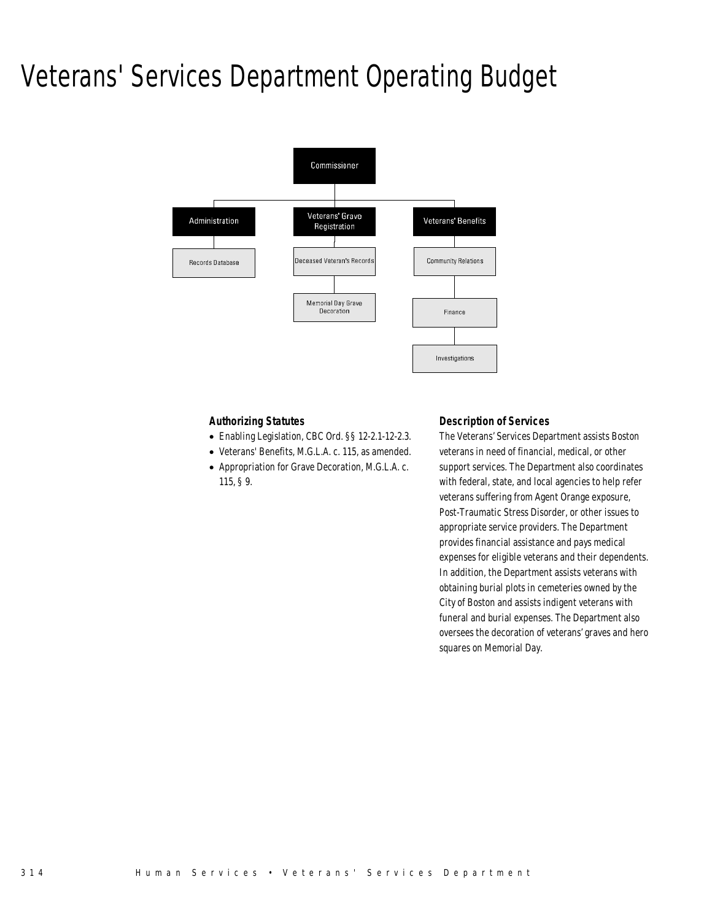### Veterans' Services Department Operating Budget



### *Authorizing Statutes*

- Enabling Legislation, CBC Ord. §§ 12-2.1-12-2.3.
- Veterans' Benefits, M.G.L.A. c. 115, as amended.
- Appropriation for Grave Decoration, M.G.L.A. c. 115, § 9.

### *Description of Services*

The Veterans' Services Department assists Boston veterans in need of financial, medical, or other support services. The Department also coordinates with federal, state, and local agencies to help refer veterans suffering from Agent Orange exposure, Post-Traumatic Stress Disorder, or other issues to appropriate service providers. The Department provides financial assistance and pays medical expenses for eligible veterans and their dependents. In addition, the Department assists veterans with obtaining burial plots in cemeteries owned by the City of Boston and assists indigent veterans with funeral and burial expenses. The Department also oversees the decoration of veterans' graves and hero squares on Memorial Day.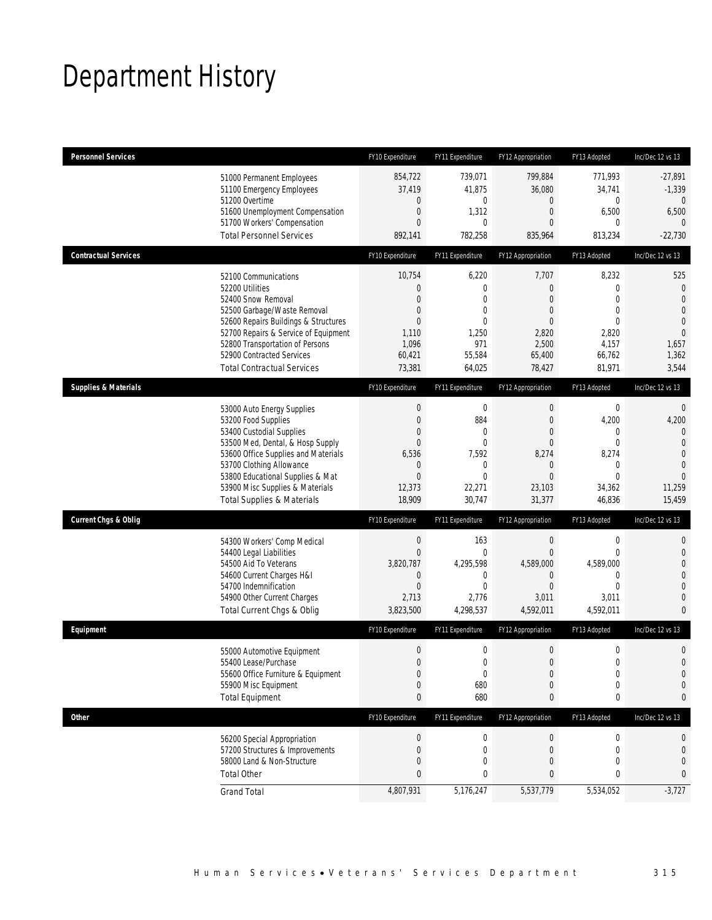# Department History

| <b>Personnel Services</b>             | FY10 Expenditure | FY11 Expenditure | FY12 Appropriation | FY13 Adopted     | Inc/Dec 12 vs 13 |
|---------------------------------------|------------------|------------------|--------------------|------------------|------------------|
| 51000 Permanent Employees             | 854,722          | 739,071          | 799,884            | 771,993          | $-27,891$        |
| 51100 Emergency Employees             | 37,419           | 41,875           | 36,080             | 34,741           | $-1,339$         |
| 51200 Overtime                        | 0                | 0                | $\mathbf 0$        | 0                | $\theta$         |
| 51600 Unemployment Compensation       | 0                | 1,312            | $\overline{0}$     | 6,500            | 6,500            |
| 51700 Workers' Compensation           | $\overline{0}$   | 0                | $\overline{0}$     | $\Omega$         | 0                |
| <b>Total Personnel Services</b>       | 892,141          | 782,258          | 835,964            | 813,234          | $-22,730$        |
| <b>Contractual Services</b>           | FY10 Expenditure | FY11 Expenditure | FY12 Appropriation | FY13 Adopted     | Inc/Dec 12 vs 13 |
| 52100 Communications                  | 10,754           | 6,220            | 7,707              | 8,232            | 525              |
| 52200 Utilities                       | 0                | $\mathbf 0$      | $\overline{0}$     | 0                | $\theta$         |
| 52400 Snow Removal                    | $\overline{0}$   | $\theta$         | $\overline{0}$     | $\Omega$         | $\Omega$         |
| 52500 Garbage/Waste Removal           | $\mathbf 0$      | $\overline{0}$   | $\overline{0}$     | $\mathbf{0}$     | $\overline{0}$   |
| 52600 Repairs Buildings & Structures  | $\overline{0}$   | $\overline{0}$   | $\overline{0}$     | $\theta$         | $\overline{0}$   |
| 52700 Repairs & Service of Equipment  | 1,110            | 1,250            | 2,820              | 2,820            | $\mathbf{0}$     |
| 52800 Transportation of Persons       | 1,096            | 971              | 2,500              | 4,157            | 1,657            |
| 52900 Contracted Services             | 60,421           | 55,584           | 65,400             | 66,762           | 1,362            |
| <b>Total Contractual Services</b>     | 73,381           | 64,025           | 78,427             | 81,971           | 3,544            |
| <b>Supplies &amp; Materials</b>       | FY10 Expenditure | FY11 Expenditure | FY12 Appropriation | FY13 Adopted     | Inc/Dec 12 vs 13 |
| 53000 Auto Energy Supplies            | $\boldsymbol{0}$ | $\mathbf 0$      | $\boldsymbol{0}$   | $\boldsymbol{0}$ | $\mathbf 0$      |
| 53200 Food Supplies                   | $\overline{0}$   | 884              | $\overline{0}$     | 4,200            | 4,200            |
| 53400 Custodial Supplies              | $\overline{0}$   | $\mathbf 0$      | $\overline{0}$     | 0                | 0                |
| 53500 Med, Dental, & Hosp Supply      | $\overline{0}$   | $\overline{0}$   | $\mathbf{0}$       | $\mathbf 0$      | $\overline{0}$   |
| 53600 Office Supplies and Materials   | 6,536            | 7,592            | 8,274              | 8,274            | $\overline{0}$   |
| 53700 Clothing Allowance              | 0                | 0                | $\mathbf 0$        | $\mathbf 0$      | $\theta$         |
| 53800 Educational Supplies & Mat      | $\boldsymbol{0}$ | $\overline{0}$   | $\overline{0}$     | $\mathbf 0$      | $\overline{0}$   |
| 53900 Misc Supplies & Materials       | 12,373           | 22,271           | 23,103             | 34,362           | 11,259           |
| <b>Total Supplies &amp; Materials</b> | 18,909           | 30,747           | 31,377             | 46,836           | 15,459           |
| <b>Current Chgs &amp; Oblig</b>       | FY10 Expenditure | FY11 Expenditure | FY12 Appropriation | FY13 Adopted     | Inc/Dec 12 vs 13 |
| 54300 Workers' Comp Medical           | $\boldsymbol{0}$ | 163              | $\mathbf 0$        | $\boldsymbol{0}$ | 0                |
| 54400 Legal Liabilities               | $\boldsymbol{0}$ | $\mathbf{0}$     | $\overline{0}$     | $\mathbf{0}$     | $\mathbf 0$      |
| 54500 Aid To Veterans                 | 3,820,787        | 4,295,598        | 4,589,000          | 4,589,000        | 0                |
| 54600 Current Charges H&I             | $\mathbf 0$      | 0                | $\mathbf 0$        | $\mathbf 0$      | 0                |
| 54700 Indemnification                 | $\overline{0}$   | $\overline{0}$   | $\overline{0}$     | $\mathbf{0}$     | 0                |
| 54900 Other Current Charges           | 2,713            | 2,776            | 3,011              | 3,011            | $\overline{0}$   |
| Total Current Chgs & Oblig            | 3,823,500        | 4,298,537        | 4,592,011          | 4,592,011        | 0                |
| Equipment                             | FY10 Expenditure | FY11 Expenditure | FY12 Appropriation | FY13 Adopted     | Inc/Dec 12 vs 13 |
| 55000 Automotive Equipment            | $\boldsymbol{0}$ | $\mathbf 0$      | $\boldsymbol{0}$   | $\boldsymbol{0}$ | 0                |
| 55400 Lease/Purchase                  | $\overline{0}$   | 0                | $\mathbf{0}$       | $\mathbf 0$      | $\overline{0}$   |
| 55600 Office Furniture & Equipment    | $\boldsymbol{0}$ | $\pmb{0}$        | $\boldsymbol{0}$   | $\boldsymbol{0}$ | $\mathbf 0$      |
| 55900 Misc Equipment                  | $\mathbf 0$      | 680              | $\mathbf 0$        | $\boldsymbol{0}$ | 0                |
| <b>Total Equipment</b>                | 0                | 680              | $\pmb{0}$          | 0                | 0                |
| <b>Other</b>                          | FY10 Expenditure | FY11 Expenditure | FY12 Appropriation | FY13 Adopted     | Inc/Dec 12 vs 13 |
| 56200 Special Appropriation           | 0                | 0                | $\boldsymbol{0}$   | 0                | 0                |
| 57200 Structures & Improvements       | 0                | 0                | $\mathbf 0$        | 0                | 0                |
| 58000 Land & Non-Structure            | $\mathbf 0$      | $\mathbf 0$      | $\mathbf{0}$       | $\mathbf{0}$     | 0                |
| <b>Total Other</b>                    | 0                | 0                | 0                  | 0                | 0                |
| <b>Grand Total</b>                    | 4,807,931        | 5,176,247        | 5,537,779          | 5,534,052        | $-3,727$         |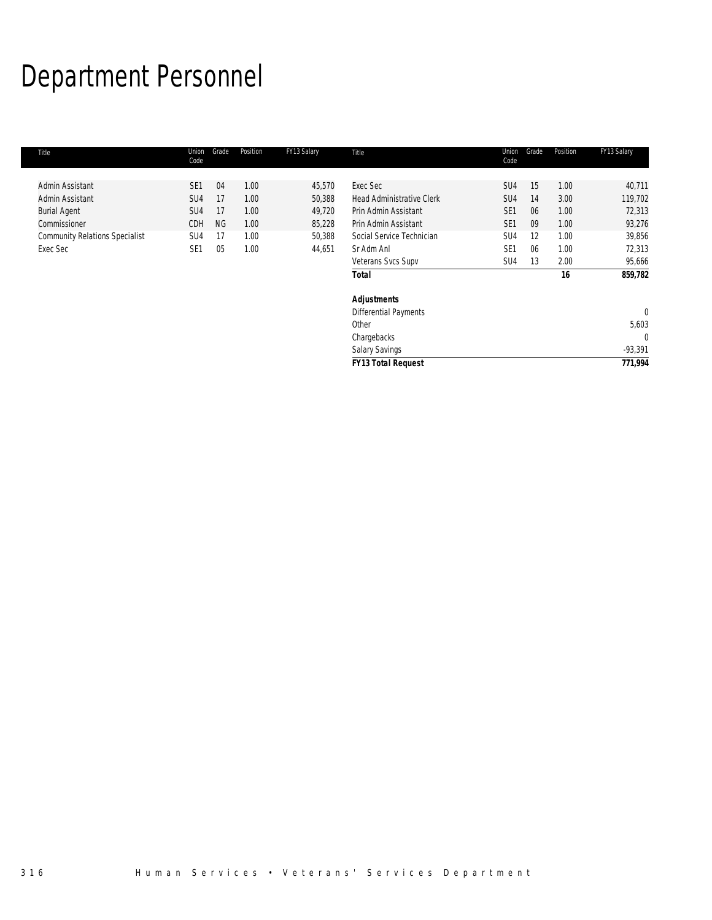# Department Personnel

| Title                                 | Union<br>Code   | Grade     | Position | FY13 Salary | Title                            | Union<br>Code   | Grade | Position | FY13 Salary |
|---------------------------------------|-----------------|-----------|----------|-------------|----------------------------------|-----------------|-------|----------|-------------|
| Admin Assistant                       | SE <sub>1</sub> | 04        | 1.00     | 45,570      | Exec Sec                         | SU <sub>4</sub> | 15    | 1.00     | 40,711      |
|                                       |                 |           |          |             |                                  |                 |       |          |             |
| Admin Assistant                       | SU <sub>4</sub> | 17        | 1.00     | 50,388      | <b>Head Administrative Clerk</b> | SU <sub>4</sub> | 14    | 3.00     | 119,702     |
| <b>Burial Agent</b>                   | SU <sub>4</sub> | 17        | 1.00     | 49,720      | Prin Admin Assistant             | SE <sub>1</sub> | 06    | 1.00     | 72,313      |
| Commissioner                          | <b>CDH</b>      | <b>NG</b> | 1.00     | 85,228      | Prin Admin Assistant             | SE <sub>1</sub> | 09    | 1.00     | 93,276      |
| <b>Community Relations Specialist</b> | SU4             | 17        | 1.00     | 50,388      | Social Service Technician        | SU <sub>4</sub> | 12    | 1.00     | 39,856      |
| Exec Sec                              | SE <sub>1</sub> | 05        | 1.00     | 44,651      | Sr Adm Anl                       | SE <sub>1</sub> | 06    | 1.00     | 72,313      |
|                                       |                 |           |          |             | Veterans Svcs Supv               | SU4             | 13    | 2.00     | 95,666      |
|                                       |                 |           |          |             | <b>Total</b>                     |                 |       | 16       | 859,782     |
|                                       |                 |           |          |             | <b>Adjustments</b>               |                 |       |          |             |
|                                       |                 |           |          |             | <b>Differential Payments</b>     |                 |       |          | 0           |
|                                       |                 |           |          |             | Other                            |                 |       |          | 5,603       |
|                                       |                 |           |          |             | Chargebacks                      |                 |       |          | 0           |
|                                       |                 |           |          |             | <b>Salary Savings</b>            |                 |       |          | $-93,391$   |
|                                       |                 |           |          |             | <b>FY13 Total Request</b>        |                 |       |          | 771,994     |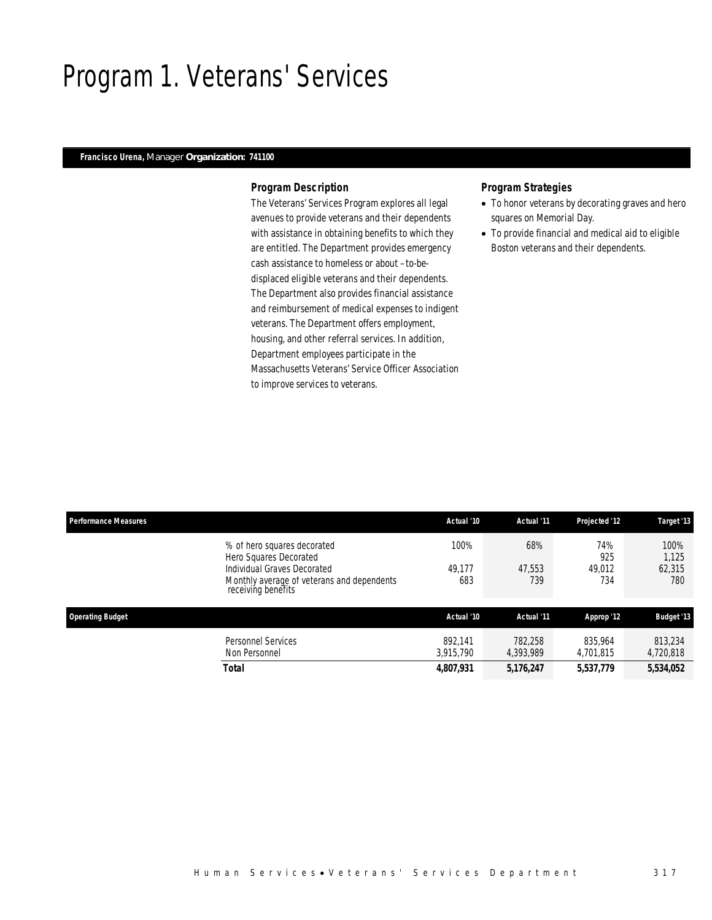### Program 1. Veterans' Services

### *Francisco Urena, Manager Organization: 741100*

### *Program Description*

The Veterans' Services Program explores all legal avenues to provide veterans and their dependents with assistance in obtaining benefits to which they are entitled. The Department provides emergency cash assistance to homeless or about –to-bedisplaced eligible veterans and their dependents. The Department also provides financial assistance and reimbursement of medical expenses to indigent veterans. The Department offers employment, housing, and other referral services. In addition, Department employees participate in the Massachusetts Veterans' Service Officer Association to improve services to veterans.

- To honor veterans by decorating graves and hero squares on Memorial Day.
- To provide financial and medical aid to eligible Boston veterans and their dependents.

| <b>Performance Measures</b>                           | Actual '10                                        | Actual '11 | Projected '12 | Target '13        |
|-------------------------------------------------------|---------------------------------------------------|------------|---------------|-------------------|
| % of hero squares decorated<br>Hero Squares Decorated | 100%                                              | 68%        | 74%<br>925    | 100%<br>1.125     |
| Individual Graves Decorated                           | 49.177                                            | 47.553     | 49,012        | 62,315            |
| receiving benefits                                    | Monthly average of veterans and dependents<br>683 | 739        | 734           | 780               |
| <b>Operating Budget</b>                               | Actual '10                                        | Actual '11 | Approp '12    | <b>Budget '13</b> |
| <b>Personnel Services</b>                             | 892.141                                           | 782.258    | 835,964       | 813,234           |
| Non Personnel                                         | 3.915.790                                         | 4.393.989  | 4,701,815     | 4,720,818         |
| <b>Total</b>                                          | 4,807,931                                         | 5,176,247  | 5,537,779     | 5,534,052         |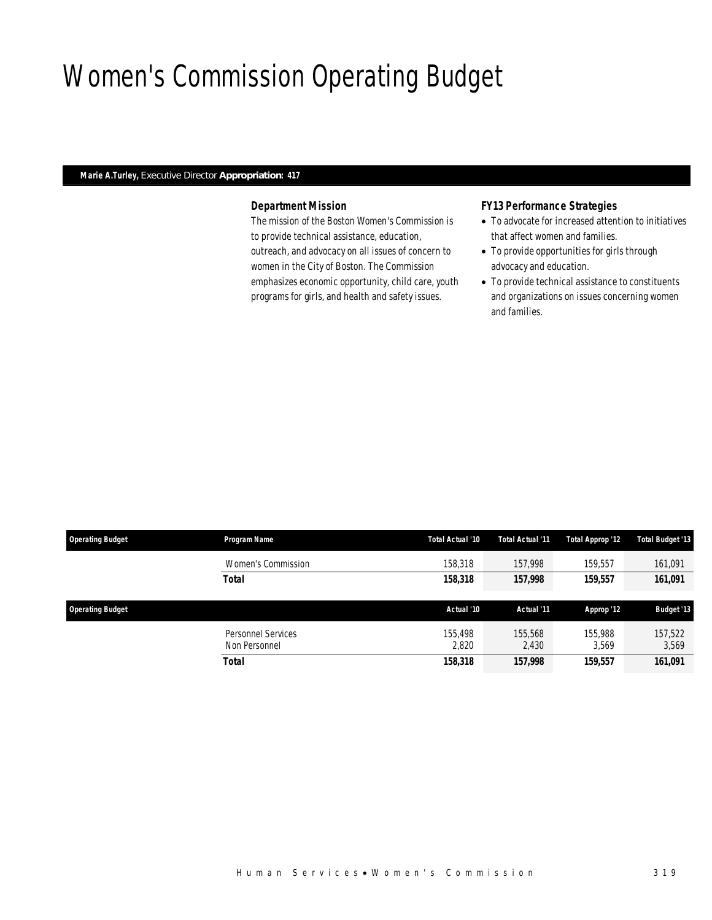# Women's Commission Operating Budget

### *Marie A.Turley, Executive Director Appropriation: 417*

### *Department Mission*

The mission of the Boston Women's Commission is to provide technical assistance, education, outreach, and advocacy on all issues of concern to women in the City of Boston. The Commission emphasizes economic opportunity, child care, youth programs for girls, and health and safety issues.

### *FY13 Performance Strategies*

- To advocate for increased attention to initiatives that affect women and families.
- To provide opportunities for girls through advocacy and education.
- To provide technical assistance to constituents and organizations on issues concerning women and families.

| <b>Operating Budget</b> | Program Name                        | Total Actual '10 | Total Actual '11 | Total Approp '12 | <b>Total Budget '13</b> |
|-------------------------|-------------------------------------|------------------|------------------|------------------|-------------------------|
|                         | Women's Commission                  | 158,318          | 157.998          | 159,557          | 161,091                 |
|                         | Total                               | 158,318          | 157,998          | 159,557          | 161,091                 |
| <b>Operating Budget</b> |                                     | Actual '10       | Actual '11       | Approp '12       | <b>Budget '13</b>       |
|                         |                                     |                  |                  |                  |                         |
|                         | Personnel Services<br>Non Personnel | 155,498<br>2,820 | 155,568<br>2,430 | 155,988<br>3.569 | 157,522<br>3,569        |
|                         | Total                               | 158,318          | 157,998          | 159,557          | 161,091                 |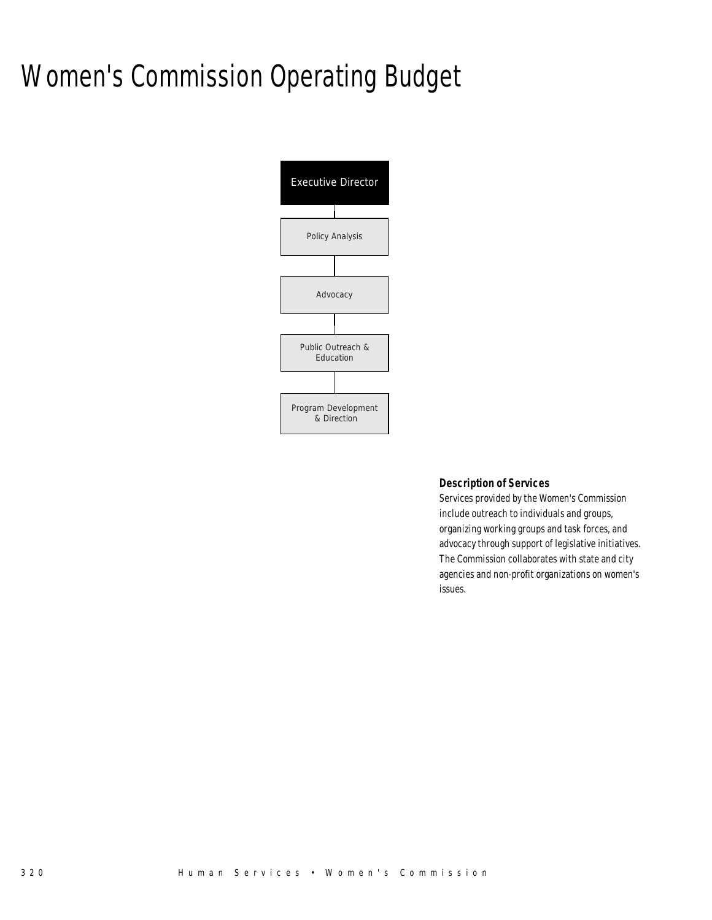# Women's Commission Operating Budget



### *Description of Services*

Services provided by the Women's Commission include outreach to individuals and groups, organizing working groups and task forces, and advocacy through support of legislative initiatives. The Commission collaborates with state and city agencies and non-profit organizations on women's issues.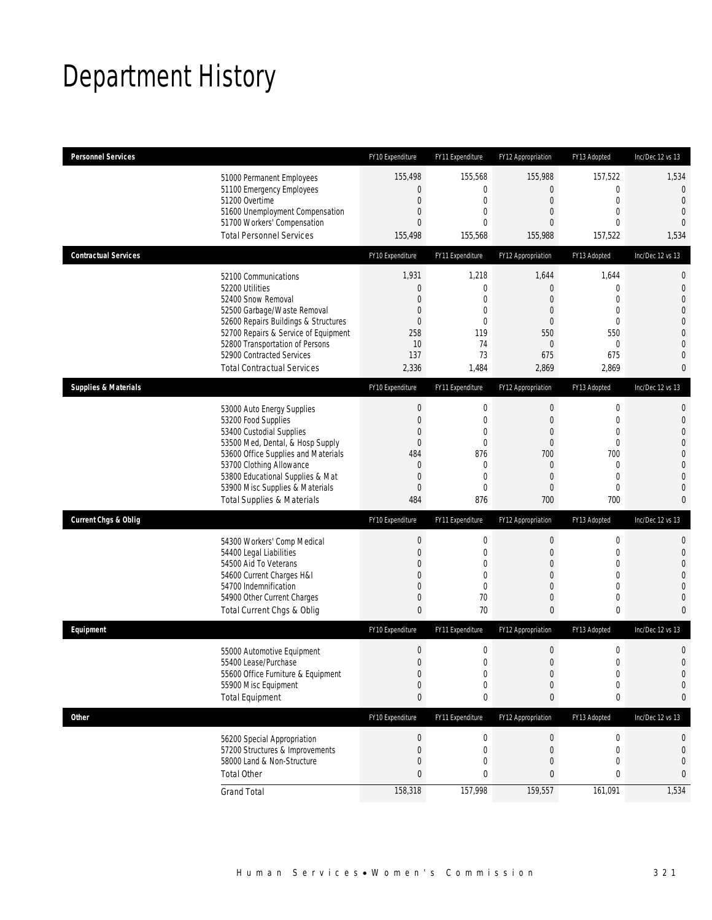# Department History

| <b>Personnel Services</b>       |                                                                                                                                                                                                                                                                                                      | FY10 Expenditure                                                                           | FY11 Expenditure                                                                               | FY12 Appropriation                                                                                                                          | FY13 Adopted                                                                                                               | Inc/Dec 12 vs 13                                                                                                                                         |
|---------------------------------|------------------------------------------------------------------------------------------------------------------------------------------------------------------------------------------------------------------------------------------------------------------------------------------------------|--------------------------------------------------------------------------------------------|------------------------------------------------------------------------------------------------|---------------------------------------------------------------------------------------------------------------------------------------------|----------------------------------------------------------------------------------------------------------------------------|----------------------------------------------------------------------------------------------------------------------------------------------------------|
|                                 | 51000 Permanent Employees<br>51100 Emergency Employees<br>51200 Overtime<br>51600 Unemployment Compensation<br>51700 Workers' Compensation<br><b>Total Personnel Services</b>                                                                                                                        | 155,498<br>0<br>0<br>0<br>0<br>155,498                                                     | 155,568<br>0<br>0<br>$\mathbf 0$<br>0<br>155,568                                               | 155,988<br>$\boldsymbol{0}$<br>$\mathbf 0$<br>$\mathbf 0$<br>$\overline{0}$<br>155,988                                                      | 157,522<br>$\mathbf 0$<br>$\mathbf 0$<br>$\mathbf{0}$<br>$\mathbf{0}$<br>157,522                                           | 1,534<br>$\overline{0}$<br>$\mathbf{0}$<br>$\mathbf{0}$<br>$\overline{0}$<br>1,534                                                                       |
| <b>Contractual Services</b>     |                                                                                                                                                                                                                                                                                                      |                                                                                            |                                                                                                |                                                                                                                                             |                                                                                                                            |                                                                                                                                                          |
|                                 | 52100 Communications<br>52200 Utilities<br>52400 Snow Removal<br>52500 Garbage/Waste Removal<br>52600 Repairs Buildings & Structures<br>52700 Repairs & Service of Equipment<br>52800 Transportation of Persons<br>52900 Contracted Services<br><b>Total Contractual Services</b>                    | FY10 Expenditure<br>1,931<br>$\boldsymbol{0}$<br>0<br>0<br>0<br>258<br>10<br>137<br>2,336  | FY11 Expenditure<br>1,218<br>$\mathbf 0$<br>0<br>0<br>$\mathbf{0}$<br>119<br>74<br>73<br>1,484 | FY12 Appropriation<br>1,644<br>$\boldsymbol{0}$<br>$\overline{0}$<br>$\overline{0}$<br>$\overline{0}$<br>550<br>$\mathbf 0$<br>675<br>2,869 | FY13 Adopted<br>1,644<br>$\mathbf 0$<br>$\mathbf{0}$<br>$\mathbf{0}$<br>$\mathbf{0}$<br>550<br>$\mathbf 0$<br>675<br>2,869 | Inc/Dec 12 vs 13<br>$\mathbf 0$<br>$\mathbf 0$<br>$\overline{0}$<br>$\mathbf{0}$<br>$\mathbf 0$<br>$\overline{0}$<br>$\mathbf{0}$<br>$\overline{0}$<br>0 |
| <b>Supplies &amp; Materials</b> |                                                                                                                                                                                                                                                                                                      | FY10 Expenditure                                                                           | FY11 Expenditure                                                                               | FY12 Appropriation                                                                                                                          | FY13 Adopted                                                                                                               | Inc/Dec 12 vs 13                                                                                                                                         |
|                                 | 53000 Auto Energy Supplies<br>53200 Food Supplies<br>53400 Custodial Supplies<br>53500 Med, Dental, & Hosp Supply<br>53600 Office Supplies and Materials<br>53700 Clothing Allowance<br>53800 Educational Supplies & Mat<br>53900 Misc Supplies & Materials<br><b>Total Supplies &amp; Materials</b> | $\boldsymbol{0}$<br>$\mathbf 0$<br>0<br>$\mathbf 0$<br>484<br>$\mathbf 0$<br>0<br>0<br>484 | $\boldsymbol{0}$<br>$\mathbf 0$<br>0<br>0<br>876<br>0<br>$\mathbf 0$<br>$\mathbf{0}$<br>876    | $\boldsymbol{0}$<br>$\boldsymbol{0}$<br>$\mathbf 0$<br>$\mathbf 0$<br>700<br>$\overline{0}$<br>$\boldsymbol{0}$<br>$\overline{0}$<br>700    | $\mathbf 0$<br>$\mathbf 0$<br>$\mathbf{0}$<br>$\mathbf 0$<br>700<br>$\mathbf{0}$<br>$\mathbf 0$<br>$\mathbf 0$<br>700      | $\mathbf{0}$<br>$\mathbf{0}$<br>$\mathbf{0}$<br>$\mathbf{0}$<br>$\mathbf 0$<br>$\overline{0}$<br>$\mathbf{0}$<br>$\overline{0}$<br>$\mathbf{0}$          |
| <b>Current Chgs &amp; Oblig</b> |                                                                                                                                                                                                                                                                                                      | FY10 Expenditure                                                                           | FY11 Expenditure                                                                               | FY12 Appropriation                                                                                                                          | FY13 Adopted                                                                                                               | Inc/Dec 12 vs 13                                                                                                                                         |
|                                 | 54300 Workers' Comp Medical<br>54400 Legal Liabilities<br>54500 Aid To Veterans<br>54600 Current Charges H&I<br>54700 Indemnification<br>54900 Other Current Charges<br>Total Current Chgs & Oblig                                                                                                   | $\boldsymbol{0}$<br>0<br>0<br>0<br>0<br>0<br>0                                             | $\boldsymbol{0}$<br>0<br>0<br>0<br>$\mathbf 0$<br>70<br>70                                     | $\boldsymbol{0}$<br>$\overline{0}$<br>$\overline{0}$<br>$\overline{0}$<br>$\overline{0}$<br>$\mathbf 0$<br>$\mathbf{0}$                     | $\boldsymbol{0}$<br>$\mathbf 0$<br>$\mathbf{0}$<br>$\mathbf{0}$<br>$\mathbf{0}$<br>$\mathbf 0$<br>$\mathbf{0}$             | $\mathbf{0}$<br>$\mathbf 0$<br>$\overline{0}$<br>$\overline{0}$<br>$\overline{0}$<br>$\mathbf{0}$<br>$\mathbf{0}$                                        |
| Equipment                       |                                                                                                                                                                                                                                                                                                      | FY10 Expenditure                                                                           | FY11 Expenditure                                                                               | FY12 Appropriation                                                                                                                          | FY13 Adopted                                                                                                               | Inc/Dec 12 vs 13                                                                                                                                         |
|                                 | 55000 Automotive Equipment<br>55400 Lease/Purchase<br>55600 Office Furniture & Equipment<br>55900 Misc Equipment<br><b>Total Equipment</b>                                                                                                                                                           | $\mathbf 0$<br>$\Omega$<br>$\boldsymbol{0}$<br>$\boldsymbol{0}$<br>0                       | 0<br>$\Omega$<br>0<br>0<br>0                                                                   | $\boldsymbol{0}$<br>$\Omega$<br>$\boldsymbol{0}$<br>0<br>0                                                                                  | $\mathbf 0$<br>$\mathbf 0$<br>$\boldsymbol{0}$<br>$\mathbf 0$<br>$\pmb{0}$                                                 | $\mathbf 0$<br>$\Omega$<br>$\mathbf 0$<br>0<br>0                                                                                                         |
| <b>Other</b>                    |                                                                                                                                                                                                                                                                                                      | FY10 Expenditure                                                                           | FY11 Expenditure                                                                               | FY12 Appropriation                                                                                                                          | FY13 Adopted                                                                                                               | Inc/Dec 12 vs 13                                                                                                                                         |
|                                 | 56200 Special Appropriation<br>57200 Structures & Improvements<br>58000 Land & Non-Structure<br><b>Total Other</b>                                                                                                                                                                                   | $\theta$<br>$\boldsymbol{0}$<br>0<br>0                                                     | 0<br>0<br>$\mathbf 0$<br>0                                                                     | $\boldsymbol{0}$<br>$\boldsymbol{0}$<br>0<br>$\bf{0}$                                                                                       | $\boldsymbol{0}$<br>$\mathbf 0$<br>$\mathbf 0$<br>$\mathbf 0$                                                              | 0<br>$\mathbf 0$<br>$\mathbf 0$<br>0                                                                                                                     |
|                                 | <b>Grand Total</b>                                                                                                                                                                                                                                                                                   | 158,318                                                                                    | 157,998                                                                                        | 159,557                                                                                                                                     | 161,091                                                                                                                    | 1,534                                                                                                                                                    |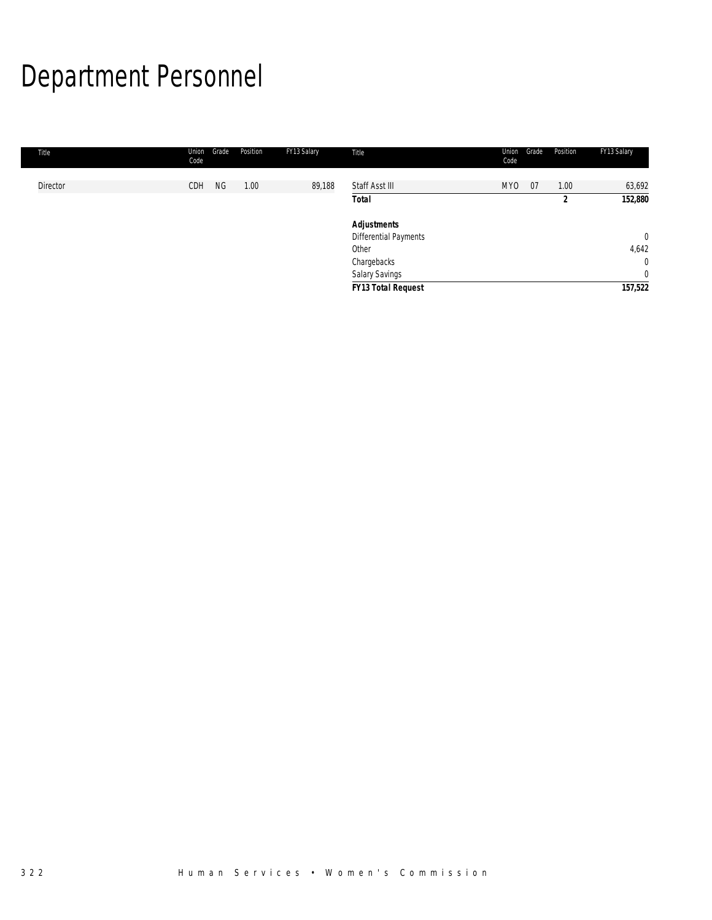# Department Personnel

| Title    | Union<br>Code | Grade     | Position | FY13 Salary | Title                     | Union<br>Code | Grade | Position       | FY13 Salary  |
|----------|---------------|-----------|----------|-------------|---------------------------|---------------|-------|----------------|--------------|
| Director | CDH           | <b>NG</b> | 1.00     | 89,188      | Staff Asst III            | <b>MYO</b>    | 07    | 1.00           | 63,692       |
|          |               |           |          |             | <b>Total</b>              |               |       | $\overline{2}$ | 152,880      |
|          |               |           |          |             | <b>Adjustments</b>        |               |       |                |              |
|          |               |           |          |             | Differential Payments     |               |       |                | $\mathbf 0$  |
|          |               |           |          |             | Other                     |               |       |                | 4,642        |
|          |               |           |          |             | Chargebacks               |               |       |                | $\mathbf{0}$ |
|          |               |           |          |             | Salary Savings            |               |       |                | $\mathbf{0}$ |
|          |               |           |          |             | <b>FY13 Total Request</b> |               |       |                | 157,522      |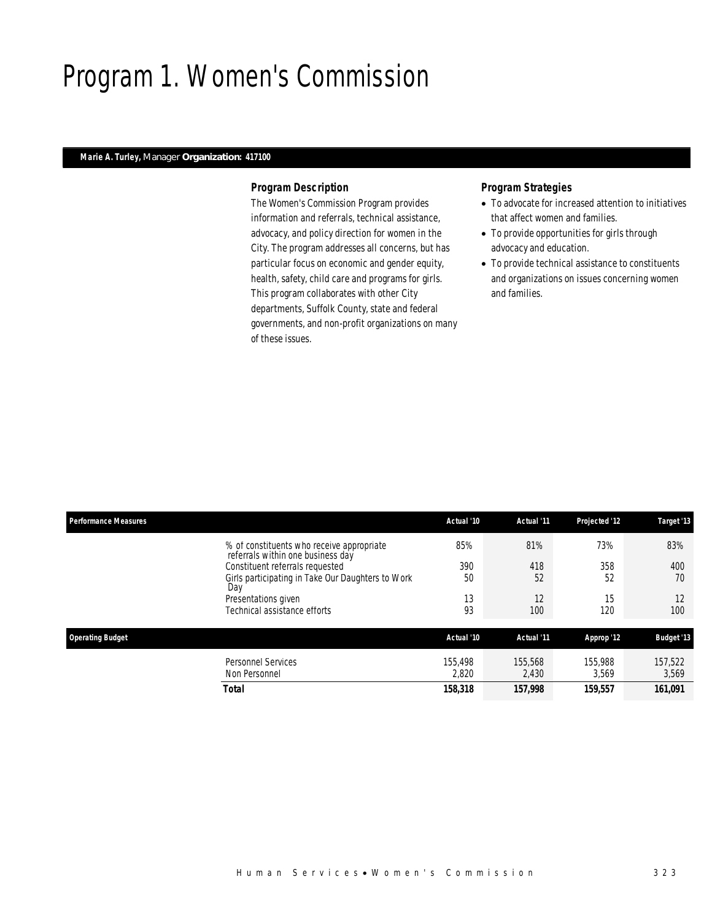### Program 1. Women's Commission

### *Marie A. Turley, Manager Organization: 417100*

### *Program Description*

The Women's Commission Program provides information and referrals, technical assistance, advocacy, and policy direction for women in the City. The program addresses all concerns, but has particular focus on economic and gender equity, health, safety, child care and programs for girls. This program collaborates with other City departments, Suffolk County, state and federal governments, and non-profit organizations on many of these issues.

- To advocate for increased attention to initiatives that affect women and families.
- To provide opportunities for girls through advocacy and education.
- To provide technical assistance to constituents and organizations on issues concerning women and families.

| <b>Performance Measures</b>     | Actual '10                                                                            | Actual '11 | Projected '12 | Target '13        |
|---------------------------------|---------------------------------------------------------------------------------------|------------|---------------|-------------------|
|                                 | 85%<br>% of constituents who receive appropriate<br>referrals within one business day | 81%        | 73%           | 83%               |
| Constituent referrals requested | 390                                                                                   | 418        | 358           | 400               |
| Day                             | Girls participating in Take Our Daughters to Work<br>50                               | 52         | 52            | 70                |
| Presentations given             | 13                                                                                    | 12         | 15            | 12                |
| Technical assistance efforts    | 93                                                                                    | 100        | 120           | 100               |
| <b>Operating Budget</b>         | Actual '10                                                                            | Actual '11 | Approp '12    | <b>Budget '13</b> |
| <b>Personnel Services</b>       | 155.498                                                                               | 155,568    | 155,988       | 157,522           |
| Non Personnel                   | 2,820                                                                                 | 2,430      | 3,569         | 3,569             |
| <b>Total</b>                    | 158,318                                                                               | 157,998    | 159,557       | 161,091           |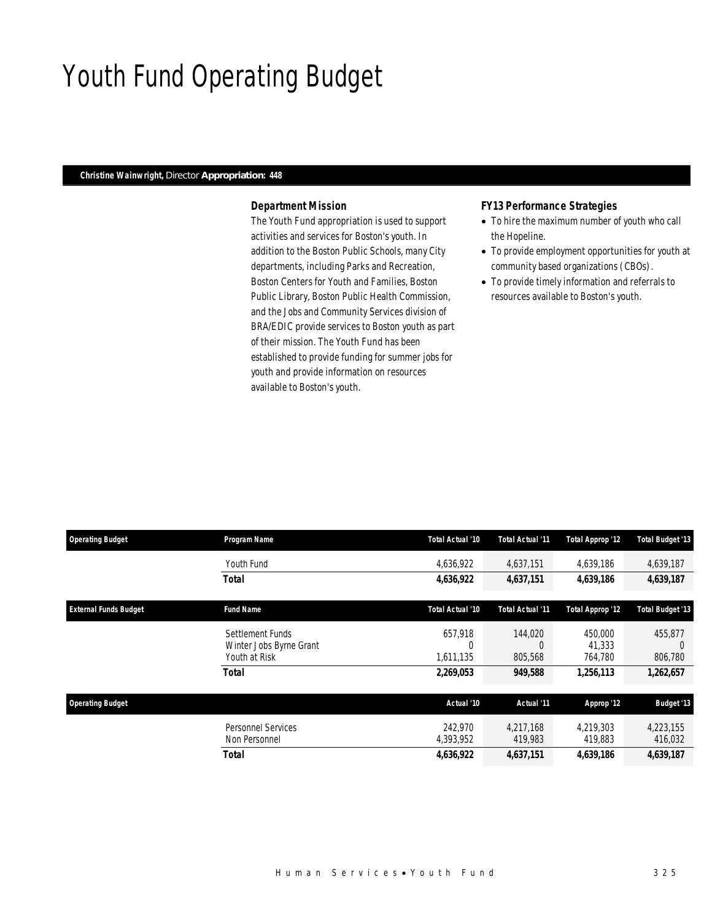### Youth Fund Operating Budget

### *Christine Wainwright, Director Appropriation: 448*

### *Department Mission*

The Youth Fund appropriation is used to support activities and services for Boston's youth. In addition to the Boston Public Schools, many City departments, including Parks and Recreation, Boston Centers for Youth and Families, Boston Public Library, Boston Public Health Commission, and the Jobs and Community Services division of BRA/EDIC provide services to Boston youth as part of their mission. The Youth Fund has been established to provide funding for summer jobs for youth and provide information on resources available to Boston's youth.

### *FY13 Performance Strategies*

- To hire the maximum number of youth who call the Hopeline.
- To provide employment opportunities for youth at community based organizations (CBOs).
- To provide timely information and referrals to resources available to Boston's youth.

| <b>Operating Budget</b>      | Program Name                                                 | Total Actual '10          | Total Actual '11               | <b>Total Approp '12</b>      | <b>Total Budget '13</b>        |
|------------------------------|--------------------------------------------------------------|---------------------------|--------------------------------|------------------------------|--------------------------------|
|                              | Youth Fund                                                   | 4,636,922                 | 4,637,151                      | 4,639,186                    | 4,639,187                      |
|                              | Total                                                        | 4,636,922                 | 4,637,151                      | 4,639,186                    | 4,639,187                      |
| <b>External Funds Budget</b> | <b>Fund Name</b>                                             | Total Actual '10          | Total Actual '11               | <b>Total Approp '12</b>      | <b>Total Budget '13</b>        |
|                              | Settlement Funds<br>Winter Jobs Byrne Grant<br>Youth at Risk | 657.918<br>0<br>1.611.135 | 144,020<br>$\Omega$<br>805,568 | 450,000<br>41,333<br>764,780 | 455,877<br>$\Omega$<br>806,780 |
|                              | <b>Total</b>                                                 | 2,269,053                 | 949,588                        | 1,256,113                    | 1,262,657                      |
| <b>Operating Budget</b>      |                                                              | Actual '10                | Actual '11                     | Approp '12                   | <b>Budget '13</b>              |
|                              | Personnel Services<br>Non Personnel                          | 242.970<br>4,393,952      | 4.217.168<br>419,983           | 4,219,303<br>419,883         | 4,223,155<br>416,032           |
|                              | <b>Total</b>                                                 | 4,636,922                 | 4,637,151                      | 4.639.186                    | 4,639,187                      |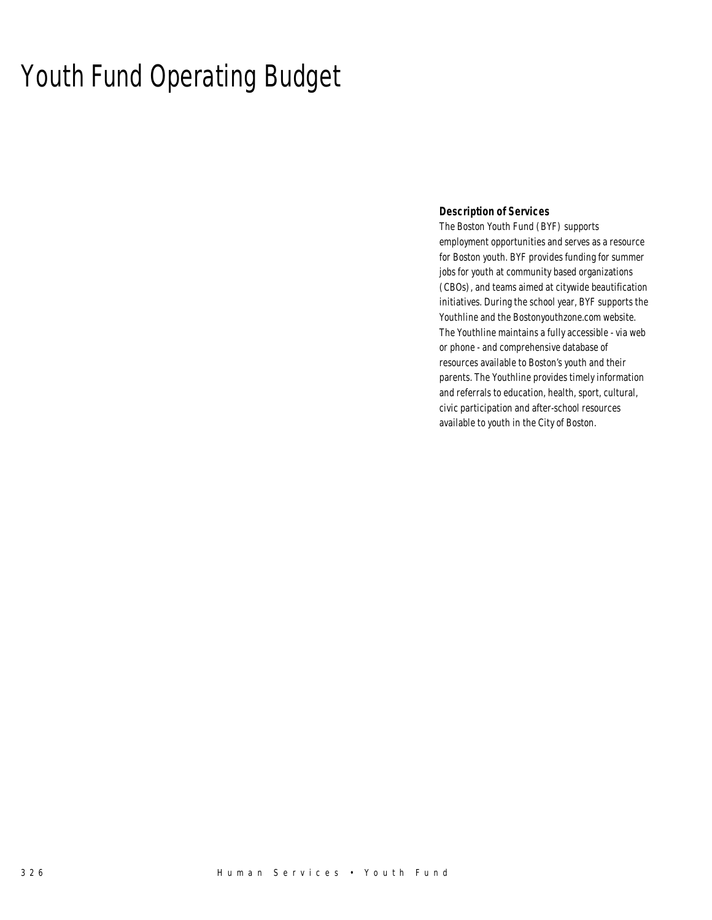### Youth Fund Operating Budget

### *Description of Services*

The Boston Youth Fund (BYF) supports employment opportunities and serves as a resource for Boston youth. BYF provides funding for summer jobs for youth at community based organizations (CBOs), and teams aimed at citywide beautification initiatives. During the school year, BYF supports the Youthline and the Bostonyouthzone.com website. The Youthline maintains a fully accessible - via web or phone - and comprehensive database of resources available to Boston's youth and their parents. The Youthline provides timely information and referrals to education, health, sport, cultural, civic participation and after-school resources available to youth in the City of Boston.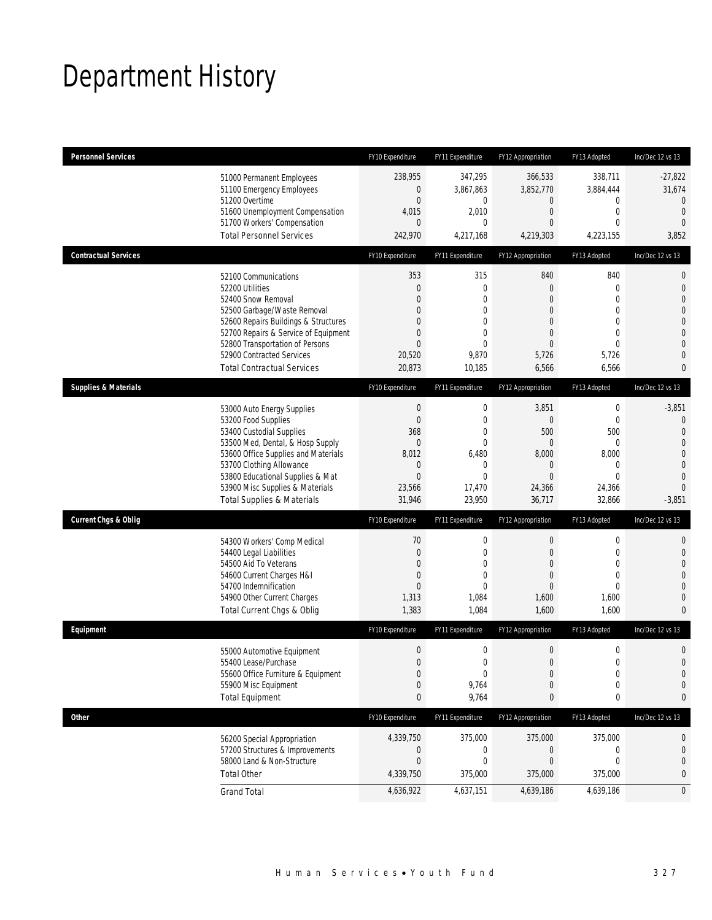# Department History

| <b>Personnel Services</b>       |                                                                         | FY10 Expenditure          | FY11 Expenditure        | FY12 Appropriation          | FY13 Adopted                | Inc/Dec 12 vs 13                 |
|---------------------------------|-------------------------------------------------------------------------|---------------------------|-------------------------|-----------------------------|-----------------------------|----------------------------------|
|                                 | 51000 Permanent Employees                                               | 238,955                   | 347,295                 | 366,533                     | 338,711                     | $-27,822$                        |
|                                 | 51100 Emergency Employees                                               | 0                         | 3,867,863               | 3,852,770                   | 3,884,444                   | 31,674                           |
|                                 | 51200 Overtime<br>51600 Unemployment Compensation                       | $\boldsymbol{0}$<br>4,015 | 0<br>2,010              | $\mathbf 0$<br>$\mathbf{0}$ | $\mathbf 0$<br>$\mathbf{0}$ | $\mathbf{0}$<br>$\mathbf{0}$     |
|                                 | 51700 Workers' Compensation                                             | $\overline{0}$            | 0                       | 0                           | $\mathbf{0}$                | $\mathbf{0}$                     |
|                                 | <b>Total Personnel Services</b>                                         | 242,970                   | 4,217,168               | 4,219,303                   | 4,223,155                   | 3,852                            |
| <b>Contractual Services</b>     |                                                                         | FY10 Expenditure          | FY11 Expenditure        | FY12 Appropriation          | FY13 Adopted                | Inc/Dec 12 vs 13                 |
|                                 | 52100 Communications                                                    | 353                       | 315                     | 840                         | 840                         | $\mathbf 0$                      |
|                                 | 52200 Utilities                                                         | 0                         | $\mathbf 0$             | $\mathbf{0}$                | $\mathbf{0}$                | $\mathbf 0$                      |
|                                 | 52400 Snow Removal                                                      | $\Omega$<br>0             | $\Omega$<br>0           | 0<br>0                      | $\theta$<br>$\mathbf{0}$    | $\overline{0}$<br>$\overline{0}$ |
|                                 | 52500 Garbage/Waste Removal<br>52600 Repairs Buildings & Structures     | $\Omega$                  | 0                       | $\Omega$                    | $\mathbf{0}$                | $\mathbf 0$                      |
|                                 | 52700 Repairs & Service of Equipment                                    | 0                         | $\mathbf{0}$            | $\overline{0}$              | $\mathbf{0}$                | $\overline{0}$                   |
|                                 | 52800 Transportation of Persons                                         | $\overline{0}$            | $\overline{0}$          | $\overline{0}$              | $\overline{0}$              | $\mathbf{0}$                     |
|                                 | 52900 Contracted Services                                               | 20,520                    | 9,870                   | 5,726                       | 5,726                       | $\overline{0}$                   |
|                                 | <b>Total Contractual Services</b>                                       | 20,873                    | 10,185                  | 6,566                       | 6,566                       | 0                                |
| <b>Supplies &amp; Materials</b> |                                                                         | FY10 Expenditure          | FY11 Expenditure        | FY12 Appropriation          | FY13 Adopted                | Inc/Dec 12 vs 13                 |
|                                 | 53000 Auto Energy Supplies                                              | $\boldsymbol{0}$          | $\boldsymbol{0}$        | 3,851                       | $\boldsymbol{0}$            | $-3,851$                         |
|                                 | 53200 Food Supplies                                                     | $\boldsymbol{0}$          | $\mathbf 0$             | $\boldsymbol{0}$            | $\mathbf 0$                 | $\mathbf 0$                      |
|                                 | 53400 Custodial Supplies                                                | 368                       | $\mathbf{0}$            | 500                         | 500                         | $\overline{0}$                   |
|                                 | 53500 Med, Dental, & Hosp Supply<br>53600 Office Supplies and Materials | $\boldsymbol{0}$<br>8,012 | $\mathbf{0}$<br>6,480   | $\boldsymbol{0}$<br>8,000   | $\boldsymbol{0}$<br>8,000   | $\overline{0}$<br>$\mathbf 0$    |
|                                 | 53700 Clothing Allowance                                                | 0                         | 0                       | $\mathbf 0$                 | $\mathbf 0$                 | $\overline{0}$                   |
|                                 | 53800 Educational Supplies & Mat                                        | $\mathbf{0}$              | $\mathbf{0}$            | $\overline{0}$              | $\overline{0}$              | $\overline{0}$                   |
|                                 | 53900 Misc Supplies & Materials                                         | 23,566                    | 17,470                  | 24,366                      | 24,366                      | $\Omega$                         |
|                                 | <b>Total Supplies &amp; Materials</b>                                   | 31,946                    | 23,950                  | 36,717                      | 32,866                      | $-3,851$                         |
| <b>Current Chgs &amp; Oblig</b> |                                                                         | FY10 Expenditure          | FY11 Expenditure        | FY12 Appropriation          | FY13 Adopted                | Inc/Dec 12 vs 13                 |
|                                 | 54300 Workers' Comp Medical                                             | $70\,$                    | $\boldsymbol{0}$        | $\boldsymbol{0}$            | $\boldsymbol{0}$            | $\mathbf{0}$                     |
|                                 | 54400 Legal Liabilities                                                 | $\boldsymbol{0}$          | $\mathbf 0$             | $\boldsymbol{0}$            | $\mathbf 0$                 | $\mathbf 0$                      |
|                                 | 54500 Aid To Veterans                                                   | $\overline{0}$            | $\mathbf{0}$            | 0                           | $\mathbf{0}$                | $\overline{0}$                   |
|                                 | 54600 Current Charges H&I                                               | $\mathbf 0$               | $\overline{0}$          | 0                           | $\mathbf{0}$                | $\overline{0}$                   |
|                                 | 54700 Indemnification<br>54900 Other Current Charges                    | $\overline{0}$<br>1,313   | $\overline{0}$<br>1,084 | $\overline{0}$<br>1,600     | $\mathbf{0}$<br>1,600       | $\overline{0}$<br>$\overline{0}$ |
|                                 | Total Current Chgs & Oblig                                              | 1,383                     | 1,084                   | 1,600                       | 1,600                       | $\overline{0}$                   |
| Equipment                       |                                                                         | FY10 Expenditure          | FY11 Expenditure        | FY12 Appropriation          | FY13 Adopted                | Inc/Dec 12 vs 13                 |
|                                 | 55000 Automotive Equipment                                              | $\boldsymbol{0}$          | $\boldsymbol{0}$        | $\boldsymbol{0}$            | $\boldsymbol{0}$            | $\mathbf 0$                      |
|                                 | 55400 Lease/Purchase                                                    | $\Omega$                  | 0                       | $\mathbf{0}$                | $\mathbf 0$                 | $\overline{0}$                   |
|                                 | 55600 Office Furniture & Equipment                                      | $\boldsymbol{0}$          | 0                       | $\boldsymbol{0}$            | $\boldsymbol{0}$            | $\mathbf 0$                      |
|                                 | 55900 Misc Equipment                                                    | 0                         | 9,764                   | $\mathbf 0$                 | $\mathbf 0$                 | $\mathbf 0$                      |
|                                 | <b>Total Equipment</b>                                                  | 0                         | 9,764                   | 0                           | 0                           | 0                                |
| <b>Other</b>                    |                                                                         | FY10 Expenditure          | FY11 Expenditure        | FY12 Appropriation          | FY13 Adopted                | Inc/Dec 12 vs 13                 |
|                                 | 56200 Special Appropriation                                             | 4,339,750                 | 375,000                 | 375,000                     | 375,000                     | 0                                |
|                                 | 57200 Structures & Improvements                                         | 0                         | 0                       | $\boldsymbol{0}$            | 0                           | $\mathbf 0$                      |
|                                 | 58000 Land & Non-Structure                                              | $\boldsymbol{0}$          | $\mathbf 0$             | $\boldsymbol{0}$            | $\mathbf 0$                 | $\mathbf 0$                      |
|                                 | <b>Total Other</b>                                                      | 4,339,750                 | 375,000                 | 375,000                     | 375,000                     | 0                                |
|                                 | <b>Grand Total</b>                                                      | 4,636,922                 | 4,637,151               | 4,639,186                   | 4,639,186                   | $\mathbf 0$                      |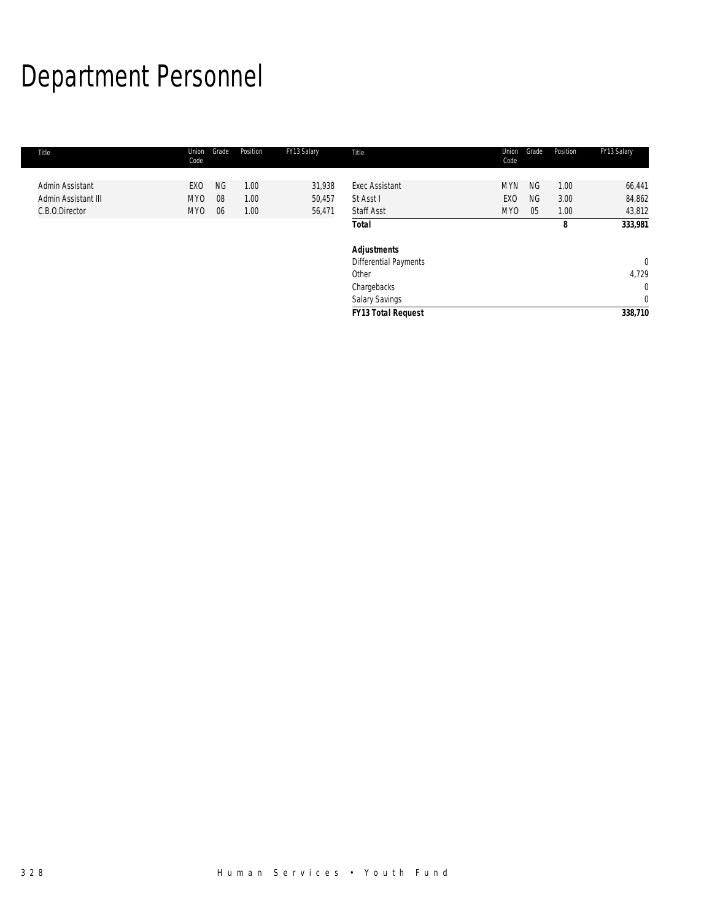# Department Personnel

| Title               | Union<br>Code | Grade     | Position | FY13 Salary | Title                     | Union<br>Code | Grade     | Position | FY13 Salary  |
|---------------------|---------------|-----------|----------|-------------|---------------------------|---------------|-----------|----------|--------------|
|                     |               |           |          |             |                           |               |           |          |              |
| Admin Assistant     | EXO           | <b>NG</b> | 1.00     | 31,938      | <b>Exec Assistant</b>     | <b>MYN</b>    | <b>NG</b> | 1.00     | 66,441       |
| Admin Assistant III | MY0           | 08        | 1.00     | 50,457      | St Asst I                 | EXO           | <b>NG</b> | 3.00     | 84,862       |
| C.B.O.Director      | MY0           | 06        | 1.00     | 56,471      | <b>Staff Asst</b>         | MY0           | 05        | 1.00     | 43,812       |
|                     |               |           |          |             | <b>Total</b>              |               |           | 8        | 333,981      |
|                     |               |           |          |             | <b>Adjustments</b>        |               |           |          |              |
|                     |               |           |          |             | Differential Payments     |               |           |          | $\mathbf{0}$ |
|                     |               |           |          |             | Other                     |               |           |          | 4,729        |
|                     |               |           |          |             | Chargebacks               |               |           |          | $\mathbf 0$  |
|                     |               |           |          |             | Salary Savings            |               |           |          | $\mathbf 0$  |
|                     |               |           |          |             | <b>FY13 Total Request</b> |               |           |          | 338,710      |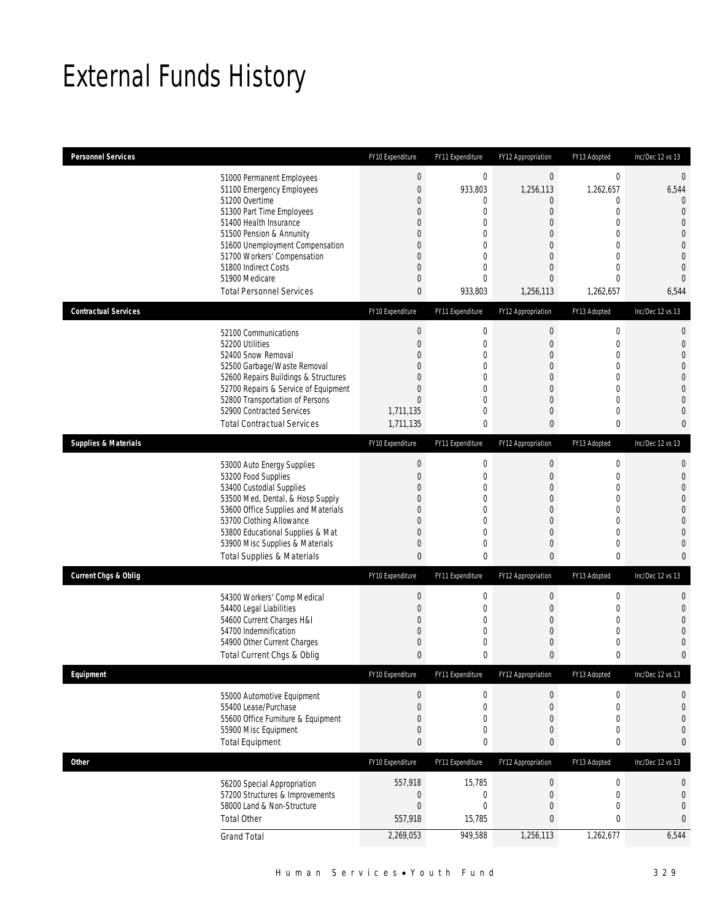# External Funds History

| <b>Personnel Services</b>       |                                                                          | FY10 Expenditure                | FY11 Expenditure                     | FY12 Appropriation              | FY13 Adopted                    | Inc/Dec 12 vs 13                 |
|---------------------------------|--------------------------------------------------------------------------|---------------------------------|--------------------------------------|---------------------------------|---------------------------------|----------------------------------|
|                                 | 51000 Permanent Employees<br>51100 Emergency Employees<br>51200 Overtime | $\mathbf 0$<br>$\overline{0}$   | $\boldsymbol{0}$<br>933,803          | $\mathbf 0$<br>1,256,113        | $\boldsymbol{0}$<br>1,262,657   | $\mathbf 0$<br>6,544             |
|                                 | 51300 Part Time Employees                                                | 0<br>0                          | 0<br>$\mathbf 0$                     | 0<br>$\overline{0}$             | 0<br>0                          | $\theta$<br>$\overline{0}$       |
|                                 | 51400 Health Insurance<br>51500 Pension & Annunity                       | 0<br>0                          | $\mathbf 0$<br>$\mathbf 0$           | 0<br>0                          | $\theta$<br>0                   | $\Omega$<br>$\overline{0}$       |
|                                 | 51600 Unemployment Compensation<br>51700 Workers' Compensation           | 0<br>0                          | $\mathbf{0}$<br>$\boldsymbol{0}$     | 0<br>$\mathbf 0$                | $\theta$<br>$\overline{0}$      | $\overline{0}$<br>$\overline{0}$ |
|                                 | 51800 Indirect Costs                                                     | 0                               | 0                                    | 0                               | 0                               | $\overline{0}$                   |
|                                 | 51900 Medicare<br><b>Total Personnel Services</b>                        | $\overline{0}$<br>0             | $\mathbf{0}$<br>933,803              | $\overline{0}$<br>1,256,113     | $\overline{0}$<br>1,262,657     | $\overline{0}$<br>6,544          |
| <b>Contractual Services</b>     |                                                                          | FY10 Expenditure                | FY11 Expenditure                     | FY12 Appropriation              | FY13 Adopted                    | Inc/Dec 12 vs 13                 |
|                                 |                                                                          | $\boldsymbol{0}$                | $\boldsymbol{0}$                     | $\boldsymbol{0}$                | $\boldsymbol{0}$                | $\mathbf{0}$                     |
|                                 | 52100 Communications<br>52200 Utilities                                  | $\overline{0}$                  | $\boldsymbol{0}$                     | 0                               | 0                               | $\mathbf{0}$                     |
|                                 | 52400 Snow Removal                                                       | $\Omega$                        | 0                                    | 0                               | $\theta$                        | $\Omega$                         |
|                                 | 52500 Garbage/Waste Removal<br>52600 Repairs Buildings & Structures      | 0<br>0                          | 0<br>0                               | 0<br>0                          | 0<br>0                          | $\Omega$<br>$\mathbf 0$          |
|                                 | 52700 Repairs & Service of Equipment                                     | 0                               | $\mathbf{0}$                         | $\mathbf 0$                     | $\overline{0}$                  | $\Omega$                         |
|                                 | 52800 Transportation of Persons<br>52900 Contracted Services             | $\overline{0}$<br>1,711,135     | 0<br>0                               | 0<br>0                          | 0<br>0                          | $\bigcap$<br>$\sqrt{ }$          |
|                                 | <b>Total Contractual Services</b>                                        | 1,711,135                       | $\bf{0}$                             | 0                               | 0                               | $\mathbf 0$                      |
| <b>Supplies &amp; Materials</b> |                                                                          | FY10 Expenditure                | FY11 Expenditure                     | FY12 Appropriation              | FY13 Adopted                    | Inc/Dec 12 vs 13                 |
|                                 | 53000 Auto Energy Supplies                                               | $\boldsymbol{0}$                | $\boldsymbol{0}$                     | $\boldsymbol{0}$                | $\mathbf 0$                     | $\theta$                         |
|                                 | 53200 Food Supplies<br>53400 Custodial Supplies                          | $\overline{0}$<br>$\Omega$      | $\boldsymbol{0}$<br>$\mathbf{0}$     | 0<br>0                          | $\mathbf 0$<br>0                | $\mathbf{0}$<br>$\overline{0}$   |
|                                 | 53500 Med, Dental, & Hosp Supply                                         | 0                               | $\mathbf 0$                          | 0                               | 0                               | $\overline{0}$                   |
|                                 | 53600 Office Supplies and Materials                                      | 0                               | 0                                    | 0                               | $\theta$                        | $\overline{0}$                   |
|                                 | 53700 Clothing Allowance<br>53800 Educational Supplies & Mat             | 0<br>0                          | $\boldsymbol{0}$<br>$\mathbf 0$      | $\mathbf 0$<br>0                | $\overline{0}$<br>0             | $\bigcap$<br>$\Omega$            |
|                                 | 53900 Misc Supplies & Materials                                          | 0                               | $\mathbf 0$                          | 0                               | 0                               | $\sqrt{ }$                       |
|                                 | <b>Total Supplies &amp; Materials</b>                                    | 0                               | 0                                    | 0                               | 0                               | $\Omega$                         |
| <b>Current Chgs &amp; Oblig</b> |                                                                          | FY10 Expenditure                | FY11 Expenditure                     | FY12 Appropriation              | FY13 Adopted                    | Inc/Dec 12 vs 13                 |
|                                 | 54300 Workers' Comp Medical                                              | $\boldsymbol{0}$                | $\boldsymbol{0}$                     | $\boldsymbol{0}$                | $\mathbf 0$                     | $\mathbf{0}$                     |
|                                 | 54400 Legal Liabilities<br>54600 Current Charges H&I                     | 0<br>0                          | $\boldsymbol{0}$<br>$\mathbf{0}$     | 0<br>0                          | 0<br>0                          | $\overline{0}$<br>$\bigcap$      |
|                                 | 54700 Indemnification                                                    | 0                               | 0                                    | 0                               | 0                               | $\bigcap$                        |
|                                 | 54900 Other Current Charges<br>Total Current Chgs & Oblig                | 0<br>$\overline{0}$             | $\mathbf 0$<br>$\mathbf{0}$          | 0<br>0                          | 0<br>0                          | $\mathbf 0$<br>$\mathbf 0$       |
| Equipment                       |                                                                          | FY10 Expenditure                | FY11 Expenditure                     | FY12 Appropriation              | FY13 Adopted                    | Inc/Dec 12 vs 13                 |
|                                 |                                                                          |                                 |                                      |                                 |                                 |                                  |
|                                 | 55000 Automotive Equipment<br>55400 Lease/Purchase                       | $\boldsymbol{0}$<br>$\mathbf 0$ | $\boldsymbol{0}$<br>$\boldsymbol{0}$ | $\pmb{0}$<br>$\mathbf 0$        | $\boldsymbol{0}$<br>$\mathbf 0$ | $\boldsymbol{0}$<br>$\mathbf{0}$ |
|                                 | 55600 Office Furniture & Equipment                                       | 0                               | $\boldsymbol{0}$                     | 0                               | 0                               | 0                                |
|                                 | 55900 Misc Equipment<br><b>Total Equipment</b>                           | 0<br>0                          | 0<br>$\bf{0}$                        | 0<br>0                          | 0<br>0                          | $\overline{0}$<br>$\bf{0}$       |
| Other                           |                                                                          | FY10 Expenditure                | FY11 Expenditure                     | FY12 Appropriation              | FY13 Adopted                    | Inc/Dec 12 vs 13                 |
|                                 |                                                                          | 557,918                         |                                      |                                 |                                 |                                  |
|                                 | 56200 Special Appropriation<br>57200 Structures & Improvements           | 0                               | 15,785<br>$\boldsymbol{0}$           | $\boldsymbol{0}$<br>$\mathbf 0$ | $\boldsymbol{0}$<br>$\mathbf 0$ | $\boldsymbol{0}$<br>$\mathbf 0$  |
|                                 | 58000 Land & Non-Structure                                               | $\mathbf 0$                     | $\boldsymbol{0}$                     | 0                               | 0                               | $\mathbf{0}$                     |
|                                 | <b>Total Other</b>                                                       | 557,918                         | 15,785                               | 0                               | 0                               | $\mathbf 0$                      |
|                                 | <b>Grand Total</b>                                                       | 2,269,053                       | 949,588                              | 1,256,113                       | 1,262,677                       | 6,544                            |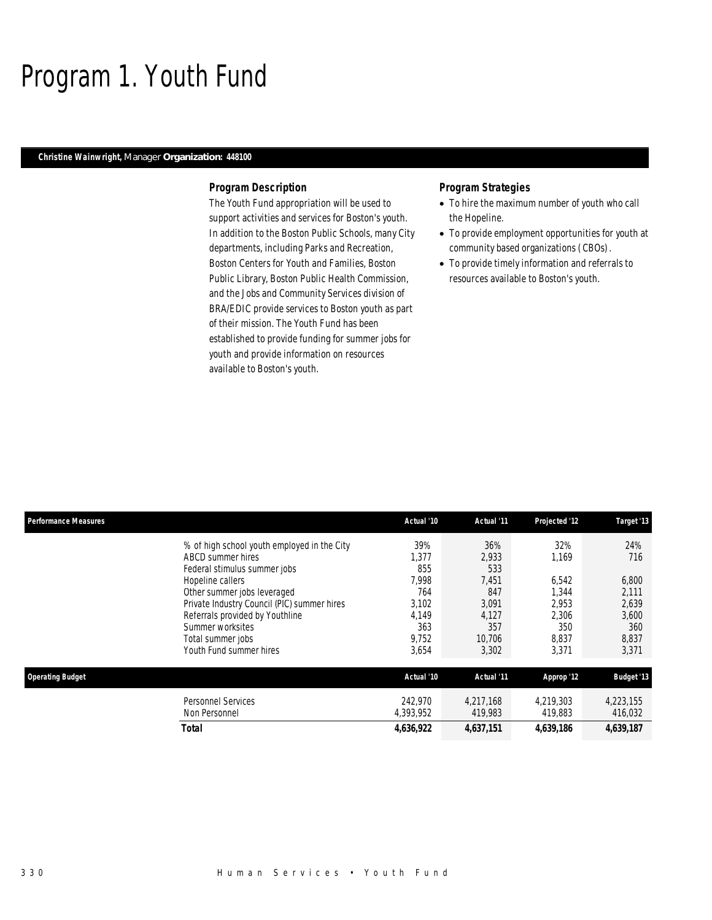### Program 1. Youth Fund

### *Christine Wainwright, Manager Organization: 448100*

### *Program Description*

The Youth Fund appropriation will be used to support activities and services for Boston's youth. In addition to the Boston Public Schools, many City departments, including Parks and Recreation, Boston Centers for Youth and Families, Boston Public Library, Boston Public Health Commission, and the Jobs and Community Services division of BRA/EDIC provide services to Boston youth as part of their mission. The Youth Fund has been established to provide funding for summer jobs for youth and provide information on resources available to Boston's youth.

- To hire the maximum number of youth who call the Hopeline.
- To provide employment opportunities for youth at community based organizations (CBOs).
- To provide timely information and referrals to resources available to Boston's youth.

| <b>Performance Measures</b> |                                                                                                                                                                                                                                                                                | Actual '10                                                            | Actual '11                                                             | Projected '12                                                    | Target '13                                                     |
|-----------------------------|--------------------------------------------------------------------------------------------------------------------------------------------------------------------------------------------------------------------------------------------------------------------------------|-----------------------------------------------------------------------|------------------------------------------------------------------------|------------------------------------------------------------------|----------------------------------------------------------------|
|                             | % of high school youth employed in the City<br>ABCD summer hires<br>Federal stimulus summer jobs<br>Hopeline callers<br>Other summer jobs leveraged<br>Private Industry Council (PIC) summer hires<br>Referrals provided by Youthline<br>Summer worksites<br>Total summer jobs | 39%<br>1,377<br>855<br>7,998<br>764<br>3,102<br>4,149<br>363<br>9,752 | 36%<br>2,933<br>533<br>7,451<br>847<br>3,091<br>4,127<br>357<br>10,706 | 32%<br>1.169<br>6,542<br>1.344<br>2.953<br>2,306<br>350<br>8.837 | 24%<br>716<br>6,800<br>2,111<br>2,639<br>3,600<br>360<br>8,837 |
|                             | Youth Fund summer hires                                                                                                                                                                                                                                                        | 3,654                                                                 | 3,302                                                                  | 3,371                                                            | 3,371                                                          |
| <b>Operating Budget</b>     |                                                                                                                                                                                                                                                                                | Actual '10                                                            | Actual '11                                                             | Approp '12                                                       | <b>Budget '13</b>                                              |
|                             | <b>Personnel Services</b><br>Non Personnel                                                                                                                                                                                                                                     | 242,970<br>4,393,952                                                  | 4,217,168<br>419,983                                                   | 4,219,303<br>419,883                                             | 4,223,155<br>416,032                                           |
|                             | <b>Total</b>                                                                                                                                                                                                                                                                   | 4,636,922                                                             | 4,637,151                                                              | 4,639,186                                                        | 4,639,187                                                      |